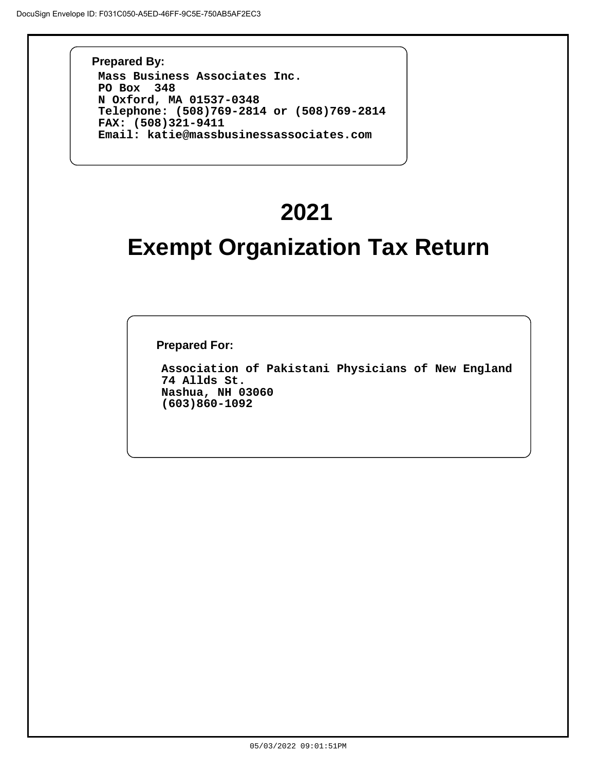**Prepared By: Mass Business Associates Inc. PO Box 348 N Oxford, MA 01537-0348 Telephone: (508)769-2814 or (508)769-2814 FAX: (508)321-9411 Email: katie@massbusinessassociates.com**

# **2021**

## **Exempt Organization Tax Return**

**Prepared For:**

**Association of Pakistani Physicians of New England 74 Allds St. Nashua, NH 03060 (603)860-1092**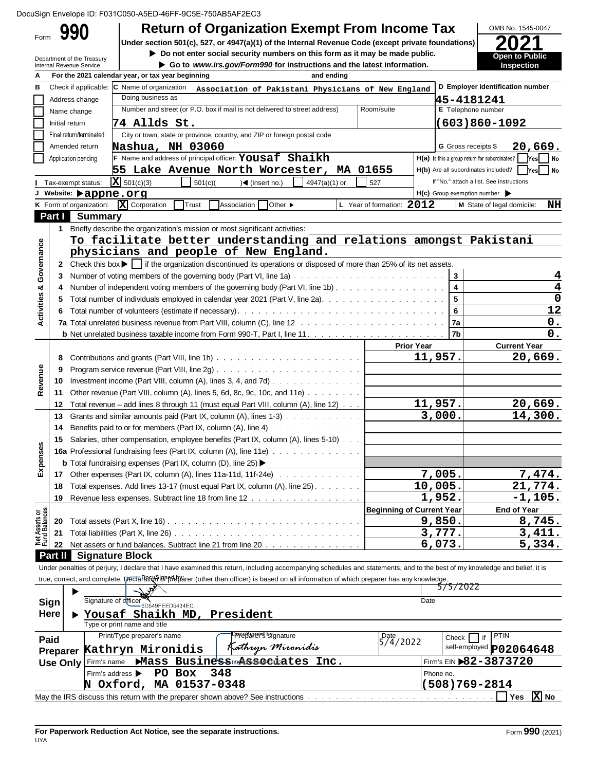|  |  | DocuSign Envelope ID: F031C050-A5ED-46FF-9C5E-750AB5AF2EC3 |  |
|--|--|------------------------------------------------------------|--|
|  |  |                                                            |  |

| Form                                                                                              | <b>Return of Organization Exempt From Income Tax</b>                                                                                                                       |                                  |                                                     | OMB No. 1545-0047                                                                  |
|---------------------------------------------------------------------------------------------------|----------------------------------------------------------------------------------------------------------------------------------------------------------------------------|----------------------------------|-----------------------------------------------------|------------------------------------------------------------------------------------|
|                                                                                                   | Under section 501(c), 527, or 4947(a)(1) of the Internal Revenue Code (except private foundations)                                                                         |                                  |                                                     |                                                                                    |
| Department of the Treasury                                                                        | Do not enter social security numbers on this form as it may be made public.                                                                                                |                                  |                                                     | <b>Open to Public</b>                                                              |
| Internal Revenue Service                                                                          | Go to www.irs.gov/Form990 for instructions and the latest information.                                                                                                     |                                  |                                                     | Inspection                                                                         |
|                                                                                                   | For the 2021 calendar year, or tax year beginning<br>and ending                                                                                                            |                                  |                                                     |                                                                                    |
| Check if applicable: C Name of organization                                                       | Association of Pakistani Physicians of New England                                                                                                                         |                                  |                                                     | D Employer identification number                                                   |
| Address change                                                                                    | Doing business as                                                                                                                                                          |                                  | 45-4181241                                          |                                                                                    |
| Name change                                                                                       | Number and street (or P.O. box if mail is not delivered to street address)                                                                                                 | Room/suite                       | E Telephone number                                  |                                                                                    |
| Initial return                                                                                    | 74 Allds St.                                                                                                                                                               |                                  |                                                     | (603)860-1092                                                                      |
| Final return/terminated                                                                           | City or town, state or province, country, and ZIP or foreign postal code                                                                                                   |                                  |                                                     |                                                                                    |
| Amended return                                                                                    | Nashua, NH 03060                                                                                                                                                           |                                  | <b>G</b> Gross receipts \$                          | 20,669.                                                                            |
| Application pending                                                                               | $\vert$ F Name and address of principal officer: Yousaf Shaikh                                                                                                             |                                  | H(a) Is this a group return for subordinates?       | Yes <br>  No                                                                       |
|                                                                                                   | 55 Lake Avenue North Worcester, MA 01655                                                                                                                                   |                                  |                                                     | H(b) Are all subordinates included?<br>  Yes<br>  No                               |
| Tax-exempt status:                                                                                | $\bar{x}$ 501(c)(3)<br>501(c)<br>4947(a)(1) or<br>)◀ (insert no.)                                                                                                          | 527                              |                                                     | If "No," attach a list. See instructions                                           |
| J Website: <b>&gt;appne.org</b>                                                                   |                                                                                                                                                                            |                                  | $H(c)$ Group exemption number $\blacktriangleright$ |                                                                                    |
| K Form of organization:                                                                           | X Corporation<br><b>Other ▶</b><br>Trust<br>Association                                                                                                                    | L Year of formation: 2012        |                                                     | M State of legal domicile:<br>NH                                                   |
| Part I Summary                                                                                    |                                                                                                                                                                            |                                  |                                                     |                                                                                    |
|                                                                                                   | 1 Briefly describe the organization's mission or most significant activities:                                                                                              |                                  |                                                     |                                                                                    |
|                                                                                                   | To facilitate better understanding and relations amongst Pakistani                                                                                                         |                                  |                                                     |                                                                                    |
| Activities & Governance                                                                           | physicians and people of New England.                                                                                                                                      |                                  |                                                     |                                                                                    |
|                                                                                                   |                                                                                                                                                                            |                                  |                                                     |                                                                                    |
| 2                                                                                                 | Check this box $\blacktriangleright$ $\blacksquare$ if the organization discontinued its operations or disposed of more than 25% of its net assets.                        |                                  |                                                     |                                                                                    |
| 3                                                                                                 |                                                                                                                                                                            |                                  | $\mathbf{3}$                                        | 4                                                                                  |
| 4                                                                                                 | Number of independent voting members of the governing body (Part VI, line 1b)                                                                                              |                                  | $\overline{\mathbf{4}}$                             |                                                                                    |
|                                                                                                   |                                                                                                                                                                            |                                  | $\overline{\mathbf{5}}$                             | 0                                                                                  |
|                                                                                                   |                                                                                                                                                                            |                                  | 6                                                   | 12                                                                                 |
|                                                                                                   |                                                                                                                                                                            |                                  | 7a                                                  | 0.                                                                                 |
|                                                                                                   |                                                                                                                                                                            |                                  | 7b                                                  | 0.                                                                                 |
|                                                                                                   |                                                                                                                                                                            | <b>Prior Year</b>                |                                                     | <b>Current Year</b>                                                                |
| 8                                                                                                 |                                                                                                                                                                            |                                  | 11,957.                                             | 20,669.                                                                            |
| 9                                                                                                 |                                                                                                                                                                            |                                  |                                                     |                                                                                    |
| Revenue<br>10                                                                                     | Investment income (Part VIII, column (A), lines 3, 4, and 7d) $\ldots$                                                                                                     |                                  |                                                     |                                                                                    |
| 11                                                                                                | Other revenue (Part VIII, column (A), lines 5, 6d, 8c, 9c, 10c, and 11e)                                                                                                   |                                  |                                                     |                                                                                    |
| 12                                                                                                | Total revenue - add lines 8 through 11 (must equal Part VIII, column (A), line 12)                                                                                         |                                  | 11,957.                                             | 20,669.                                                                            |
| 13                                                                                                | Grants and similar amounts paid (Part IX, column (A), lines 1-3)                                                                                                           |                                  | 3,000.                                              | 14,300.                                                                            |
|                                                                                                   |                                                                                                                                                                            |                                  |                                                     |                                                                                    |
|                                                                                                   |                                                                                                                                                                            |                                  |                                                     |                                                                                    |
| 14                                                                                                | Benefits paid to or for members (Part IX, column $(A)$ , line $A$ ) $\ldots$                                                                                               |                                  |                                                     |                                                                                    |
| 15                                                                                                | Salaries, other compensation, employee benefits (Part IX, column (A), lines 5-10)                                                                                          |                                  |                                                     |                                                                                    |
|                                                                                                   | <b>16a</b> Professional fundraising fees (Part IX, column (A), line 11e)                                                                                                   |                                  |                                                     |                                                                                    |
|                                                                                                   | <b>b</b> Total fundraising expenses (Part IX, column (D), line 25) $\blacktriangleright$                                                                                   |                                  |                                                     |                                                                                    |
| 17                                                                                                | Other expenses (Part IX, column (A), lines 11a-11d, 11f-24e)                                                                                                               |                                  | 7,005.                                              |                                                                                    |
| 18                                                                                                | Total expenses. Add lines 13-17 (must equal Part IX, column (A), line 25).                                                                                                 |                                  | 10,005.                                             |                                                                                    |
| 19                                                                                                | Revenue less expenses. Subtract line 18 from line 12                                                                                                                       |                                  | 1,952.                                              |                                                                                    |
|                                                                                                   |                                                                                                                                                                            | <b>Beginning of Current Year</b> |                                                     | <b>End of Year</b>                                                                 |
| 20                                                                                                |                                                                                                                                                                            |                                  | 9,850.                                              |                                                                                    |
| 21                                                                                                |                                                                                                                                                                            |                                  | 3,777.                                              |                                                                                    |
| 22                                                                                                | Net assets or fund balances. Subtract line 21 from line 20                                                                                                                 |                                  | 6,073.                                              |                                                                                    |
|                                                                                                   |                                                                                                                                                                            |                                  |                                                     |                                                                                    |
|                                                                                                   | Under penalties of perjury, I declare that I have examined this return, including accompanying schedules and statements, and to the best of my knowledge and belief, it is |                                  |                                                     |                                                                                    |
|                                                                                                   | true, correct, and complete. Decla Part in pherician (other than officer) is based on all information of which preparer has any knowledge.                                 |                                  |                                                     |                                                                                    |
|                                                                                                   |                                                                                                                                                                            |                                  | 5/5/2022                                            |                                                                                    |
|                                                                                                   |                                                                                                                                                                            | Date                             |                                                     |                                                                                    |
|                                                                                                   | Signature of officer 6D549FEED5434EC                                                                                                                                       |                                  |                                                     |                                                                                    |
|                                                                                                   | ▶ Yousaf Shaikh MD, President                                                                                                                                              |                                  |                                                     |                                                                                    |
|                                                                                                   | Type or print name and title                                                                                                                                               |                                  |                                                     |                                                                                    |
| w<br>Expense<br>Net Assets or<br>Fund Balances<br>Part II Signature Block<br>Sign<br>Here<br>Paid | <b>PPFUSURERS</b> Sygnature<br>Print/Type preparer's name                                                                                                                  | Date<br>5/4/2022                 | Check                                               | 7,474.<br>21,774.<br>$-1, 105.$<br>8,745.<br>3,411.<br>5,334.<br><b>PTIN</b><br>if |
|                                                                                                   | Kathryn Mironidis<br>Kathryn Mironidis                                                                                                                                     |                                  |                                                     | self-employed P02064648                                                            |
| Firm's name                                                                                       | Mass Business associates Inc.                                                                                                                                              |                                  |                                                     | Firm's EIN $82 - 3873720$                                                          |
| Preparer<br>Use Only<br>Firm's address $\blacktriangleright$                                      | 348<br>PO Box<br>N Oxford, MA 01537-0348                                                                                                                                   |                                  | Phone no.<br>$(508)769 - 2814$                      |                                                                                    |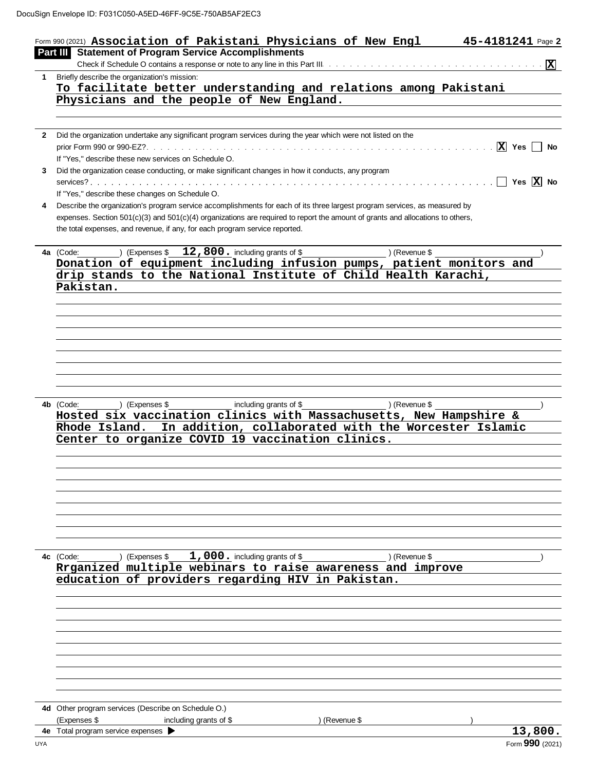|   | Form 990 (2021) Association of Pakistani Physicians of New Engl                                                                    | 45-4181241 Page 2                     |
|---|------------------------------------------------------------------------------------------------------------------------------------|---------------------------------------|
|   | Part III Statement of Program Service Accomplishments                                                                              |                                       |
|   |                                                                                                                                    |                                       |
|   | 1 Briefly describe the organization's mission:                                                                                     |                                       |
|   | To facilitate better understanding and relations among Pakistani                                                                   |                                       |
|   | Physicians and the people of New England.                                                                                          |                                       |
|   |                                                                                                                                    |                                       |
|   |                                                                                                                                    |                                       |
|   | 2 Did the organization undertake any significant program services during the year which were not listed on the                     |                                       |
|   |                                                                                                                                    | $ \overline{X} $ Yes<br><b>No</b>     |
|   | If "Yes," describe these new services on Schedule O.                                                                               |                                       |
| 3 | Did the organization cease conducting, or make significant changes in how it conducts, any program                                 |                                       |
|   |                                                                                                                                    | $\Box$ Yes $\overline{\mathrm{X}}$ No |
|   | If "Yes," describe these changes on Schedule O.                                                                                    |                                       |
| 4 | Describe the organization's program service accomplishments for each of its three largest program services, as measured by         |                                       |
|   | expenses. Section $501(c)(3)$ and $501(c)(4)$ organizations are required to report the amount of grants and allocations to others, |                                       |
|   | the total expenses, and revenue, if any, for each program service reported.                                                        |                                       |
|   |                                                                                                                                    |                                       |
|   | ) (Expenses $$12,800.$ including grants of \$<br>4a (Code:                                                                         | ) (Revenue \$                         |
|   | Donation of equipment including infusion pumps, patient monitors and                                                               |                                       |
|   | drip stands to the National Institute of Child Health Karachi,                                                                     |                                       |
|   | Pakistan.                                                                                                                          |                                       |
|   |                                                                                                                                    |                                       |
|   |                                                                                                                                    |                                       |
|   |                                                                                                                                    |                                       |
|   |                                                                                                                                    |                                       |
|   |                                                                                                                                    |                                       |
|   |                                                                                                                                    |                                       |
|   |                                                                                                                                    |                                       |
|   |                                                                                                                                    |                                       |
|   |                                                                                                                                    |                                       |
|   |                                                                                                                                    |                                       |
|   |                                                                                                                                    |                                       |
|   | 4b (Code:<br>) (Expenses \$<br>including grants of \$                                                                              | ) (Revenue \$                         |
|   | Hosted six vaccination clinics with Massachusetts, New Hampshire &                                                                 |                                       |
|   | Rhode Island. In addition, collaborated with the Worcester Islamic                                                                 |                                       |
|   | Center to organize COVID 19 vaccination clinics.                                                                                   |                                       |
|   |                                                                                                                                    |                                       |
|   |                                                                                                                                    |                                       |
|   |                                                                                                                                    |                                       |
|   |                                                                                                                                    |                                       |
|   |                                                                                                                                    |                                       |
|   |                                                                                                                                    |                                       |
|   |                                                                                                                                    |                                       |
|   |                                                                                                                                    |                                       |
|   |                                                                                                                                    |                                       |
|   |                                                                                                                                    |                                       |
|   | $1,000$ . including grants of \$<br>4c (Code:<br>) (Expenses \$                                                                    | ) (Revenue \$                         |
|   | Rrganized multiple webinars to raise awareness and improve                                                                         |                                       |
|   | education of providers regarding HIV in Pakistan.                                                                                  |                                       |
|   |                                                                                                                                    |                                       |
|   |                                                                                                                                    |                                       |
|   |                                                                                                                                    |                                       |
|   |                                                                                                                                    |                                       |
|   |                                                                                                                                    |                                       |
|   |                                                                                                                                    |                                       |
|   |                                                                                                                                    |                                       |
|   |                                                                                                                                    |                                       |
|   |                                                                                                                                    |                                       |
|   |                                                                                                                                    |                                       |
|   |                                                                                                                                    |                                       |
|   | 4d Other program services (Describe on Schedule O.)                                                                                |                                       |
|   | (Expenses \$<br>including grants of \$<br>4e Total program service expenses >                                                      | ) (Revenue \$<br>13,800.              |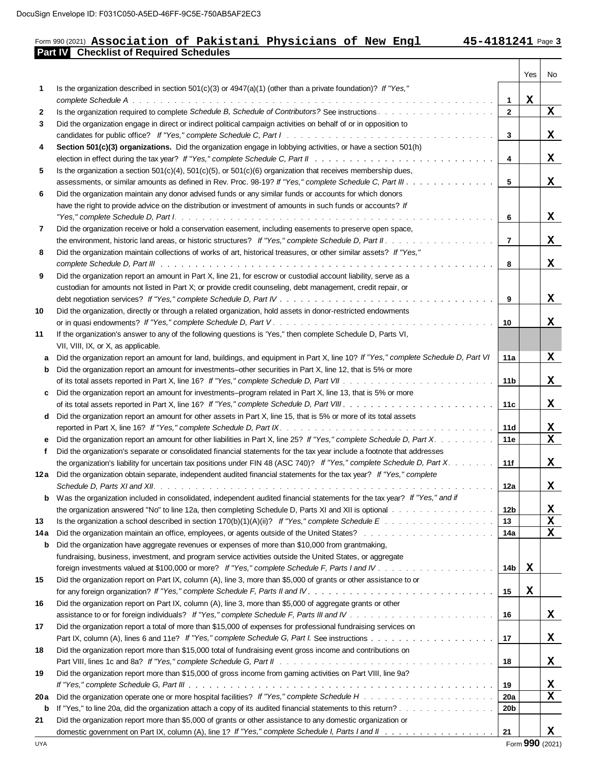## Form 990 (2021) Part IV: F031C050-A5ED-46FF-9C5E-750AB5AF2EC3<br>Form 990 (2021) **Association of Pakistani Physicians of New Engl 45-4181241** Page<br>**Part IV** Checklist of Required Schedules

┯

T

| Is the organization described in section 501(c)(3) or $4947(a)(1)$ (other than a private foundation)? If "Yes,"<br>1<br>$\mathbf x$<br>$\mathbf{1}$<br>$\mathbf X$<br>$\overline{2}$<br>$\mathbf{2}$<br>Did the organization engage in direct or indirect political campaign activities on behalf of or in opposition to<br>3<br>X<br>3<br>Section 501(c)(3) organizations. Did the organization engage in lobbying activities, or have a section 501(h)<br>4<br>X<br>4<br>Is the organization a section $501(c)(4)$ , $501(c)(5)$ , or $501(c)(6)$ organization that receives membership dues,<br>5<br>x<br>assessments, or similar amounts as defined in Rev. Proc. 98-19? If "Yes," complete Schedule C, Part III.<br>5<br>Did the organization maintain any donor advised funds or any similar funds or accounts for which donors<br>6<br>have the right to provide advice on the distribution or investment of amounts in such funds or accounts? If<br>X<br>6<br>Did the organization receive or hold a conservation easement, including easements to preserve open space,<br>7<br>$\overline{7}$<br>X<br>Did the organization maintain collections of works of art, historical treasures, or other similar assets? If "Yes,"<br>8<br>X<br>8<br>Did the organization report an amount in Part X, line 21, for escrow or custodial account liability, serve as a<br>9<br>custodian for amounts not listed in Part X; or provide credit counseling, debt management, credit repair, or<br>X<br>9<br>Did the organization, directly or through a related organization, hold assets in donor-restricted endowments<br>х<br>10<br>11<br>If the organization's answer to any of the following questions is 'Yes," then complete Schedule D, Parts VI,<br>VII, VIII, IX, or X, as applicable.<br>X<br>Did the organization report an amount for land, buildings, and equipment in Part X, line 10? If "Yes," complete Schedule D, Part VI<br>11a<br>Did the organization report an amount for investments–other securities in Part X, line 12, that is 5% or more<br>b<br>X<br>11 <sub>b</sub><br>Did the organization report an amount for investments-program related in Part X, line 13, that is 5% or more<br>c<br>X<br>11c<br>Did the organization report an amount for other assets in Part X, line 15, that is 5% or more of its total assets<br>d<br><u>x</u><br>11d<br>$\overline{\mathbf{x}}$<br>Did the organization report an amount for other liabilities in Part X, line 25? If "Yes," complete Schedule D, Part X.<br>11e<br>Did the organization's separate or consolidated financial statements for the tax year include a footnote that addresses<br>f<br>X<br>the organization's liability for uncertain tax positions under FIN 48 (ASC 740)? If "Yes," complete Schedule D, Part X.<br>11f<br>Did the organization obtain separate, independent audited financial statements for the tax year? If "Yes," complete<br>12a<br>X<br>12a<br>Was the organization included in consolidated, independent audited financial statements for the tax year? If "Yes," and if<br>b<br><u>x</u><br>the organization answered "No" to line 12a, then completing Schedule D, Parts XI and XII is optional with the window with the organization answered "No" to line 12a, then completing Schedule D, Parts XI and XII is optional<br>12b<br>$\mathbf x$<br>13<br>13<br>$\mathbf X$<br>14a<br>14a<br>Did the organization have aggregate revenues or expenses of more than \$10,000 from grantmaking,<br>b<br>fundraising, business, investment, and program service activities outside the United States, or aggregate<br>X<br>14b<br>15<br>Did the organization report on Part IX, column (A), line 3, more than \$5,000 of grants or other assistance to or<br>$\mathbf x$<br>for any foreign organization? If "Yes," complete Schedule F, Parts II and IV. $\ldots$ , $\ldots$ , $\ldots$ , $\ldots$ , $\ldots$ , $\ldots$ , $\ldots$ , $\ldots$ , $\ldots$<br>15<br>16<br>Did the organization report on Part IX, column (A), line 3, more than \$5,000 of aggregate grants or other<br>x<br>16<br>17<br>Did the organization report a total of more than \$15,000 of expenses for professional fundraising services on<br>X<br>17<br>18<br>Did the organization report more than \$15,000 total of fundraising event gross income and contributions on<br>X<br>18<br>Did the organization report more than \$15,000 of gross income from gaming activities on Part VIII, line 9a?<br>x<br>19<br>$\mathbf x$<br>20 a<br>20a<br>20b<br>b<br>Did the organization report more than \$5,000 of grants or other assistance to any domestic organization or<br>21 |    |  | Yes | No |
|--------------------------------------------------------------------------------------------------------------------------------------------------------------------------------------------------------------------------------------------------------------------------------------------------------------------------------------------------------------------------------------------------------------------------------------------------------------------------------------------------------------------------------------------------------------------------------------------------------------------------------------------------------------------------------------------------------------------------------------------------------------------------------------------------------------------------------------------------------------------------------------------------------------------------------------------------------------------------------------------------------------------------------------------------------------------------------------------------------------------------------------------------------------------------------------------------------------------------------------------------------------------------------------------------------------------------------------------------------------------------------------------------------------------------------------------------------------------------------------------------------------------------------------------------------------------------------------------------------------------------------------------------------------------------------------------------------------------------------------------------------------------------------------------------------------------------------------------------------------------------------------------------------------------------------------------------------------------------------------------------------------------------------------------------------------------------------------------------------------------------------------------------------------------------------------------------------------------------------------------------------------------------------------------------------------------------------------------------------------------------------------------------------------------------------------------------------------------------------------------------------------------------------------------------------------------------------------------------------------------------------------------------------------------------------------------------------------------------------------------------------------------------------------------------------------------------------------------------------------------------------------------------------------------------------------------------------------------------------------------------------------------------------------------------------------------------------------------------------------------------------------------------------------------------------------------------------------------------------------------------------------------------------------------------------------------------------------------------------------------------------------------------------------------------------------------------------------------------------------------------------------------------------------------------------------------------------------------------------------------------------------------------------------------------------------------------------------------------------------------------------------------------------------------------------------------------------------------------------------------------------------------------------------------------------------------------------------------------------------------------------------------------------------------------------------------------------------------------------------------------------------------------------------------------------------------------------------------------------------------------------------------------------------------------------------------------------------------------------------------------------------------------------------------------------------------------------------------------------------------------------------------------------------------------------------------------------------------------------------------------------------------------------------------------|----|--|-----|----|
|                                                                                                                                                                                                                                                                                                                                                                                                                                                                                                                                                                                                                                                                                                                                                                                                                                                                                                                                                                                                                                                                                                                                                                                                                                                                                                                                                                                                                                                                                                                                                                                                                                                                                                                                                                                                                                                                                                                                                                                                                                                                                                                                                                                                                                                                                                                                                                                                                                                                                                                                                                                                                                                                                                                                                                                                                                                                                                                                                                                                                                                                                                                                                                                                                                                                                                                                                                                                                                                                                                                                                                                                                                                                                                                                                                                                                                                                                                                                                                                                                                                                                                                                                                                                                                                                                                                                                                                                                                                                                                                                                                                                                                                                          |    |  |     |    |
|                                                                                                                                                                                                                                                                                                                                                                                                                                                                                                                                                                                                                                                                                                                                                                                                                                                                                                                                                                                                                                                                                                                                                                                                                                                                                                                                                                                                                                                                                                                                                                                                                                                                                                                                                                                                                                                                                                                                                                                                                                                                                                                                                                                                                                                                                                                                                                                                                                                                                                                                                                                                                                                                                                                                                                                                                                                                                                                                                                                                                                                                                                                                                                                                                                                                                                                                                                                                                                                                                                                                                                                                                                                                                                                                                                                                                                                                                                                                                                                                                                                                                                                                                                                                                                                                                                                                                                                                                                                                                                                                                                                                                                                                          |    |  |     |    |
|                                                                                                                                                                                                                                                                                                                                                                                                                                                                                                                                                                                                                                                                                                                                                                                                                                                                                                                                                                                                                                                                                                                                                                                                                                                                                                                                                                                                                                                                                                                                                                                                                                                                                                                                                                                                                                                                                                                                                                                                                                                                                                                                                                                                                                                                                                                                                                                                                                                                                                                                                                                                                                                                                                                                                                                                                                                                                                                                                                                                                                                                                                                                                                                                                                                                                                                                                                                                                                                                                                                                                                                                                                                                                                                                                                                                                                                                                                                                                                                                                                                                                                                                                                                                                                                                                                                                                                                                                                                                                                                                                                                                                                                                          |    |  |     |    |
|                                                                                                                                                                                                                                                                                                                                                                                                                                                                                                                                                                                                                                                                                                                                                                                                                                                                                                                                                                                                                                                                                                                                                                                                                                                                                                                                                                                                                                                                                                                                                                                                                                                                                                                                                                                                                                                                                                                                                                                                                                                                                                                                                                                                                                                                                                                                                                                                                                                                                                                                                                                                                                                                                                                                                                                                                                                                                                                                                                                                                                                                                                                                                                                                                                                                                                                                                                                                                                                                                                                                                                                                                                                                                                                                                                                                                                                                                                                                                                                                                                                                                                                                                                                                                                                                                                                                                                                                                                                                                                                                                                                                                                                                          |    |  |     |    |
|                                                                                                                                                                                                                                                                                                                                                                                                                                                                                                                                                                                                                                                                                                                                                                                                                                                                                                                                                                                                                                                                                                                                                                                                                                                                                                                                                                                                                                                                                                                                                                                                                                                                                                                                                                                                                                                                                                                                                                                                                                                                                                                                                                                                                                                                                                                                                                                                                                                                                                                                                                                                                                                                                                                                                                                                                                                                                                                                                                                                                                                                                                                                                                                                                                                                                                                                                                                                                                                                                                                                                                                                                                                                                                                                                                                                                                                                                                                                                                                                                                                                                                                                                                                                                                                                                                                                                                                                                                                                                                                                                                                                                                                                          |    |  |     |    |
|                                                                                                                                                                                                                                                                                                                                                                                                                                                                                                                                                                                                                                                                                                                                                                                                                                                                                                                                                                                                                                                                                                                                                                                                                                                                                                                                                                                                                                                                                                                                                                                                                                                                                                                                                                                                                                                                                                                                                                                                                                                                                                                                                                                                                                                                                                                                                                                                                                                                                                                                                                                                                                                                                                                                                                                                                                                                                                                                                                                                                                                                                                                                                                                                                                                                                                                                                                                                                                                                                                                                                                                                                                                                                                                                                                                                                                                                                                                                                                                                                                                                                                                                                                                                                                                                                                                                                                                                                                                                                                                                                                                                                                                                          |    |  |     |    |
|                                                                                                                                                                                                                                                                                                                                                                                                                                                                                                                                                                                                                                                                                                                                                                                                                                                                                                                                                                                                                                                                                                                                                                                                                                                                                                                                                                                                                                                                                                                                                                                                                                                                                                                                                                                                                                                                                                                                                                                                                                                                                                                                                                                                                                                                                                                                                                                                                                                                                                                                                                                                                                                                                                                                                                                                                                                                                                                                                                                                                                                                                                                                                                                                                                                                                                                                                                                                                                                                                                                                                                                                                                                                                                                                                                                                                                                                                                                                                                                                                                                                                                                                                                                                                                                                                                                                                                                                                                                                                                                                                                                                                                                                          |    |  |     |    |
|                                                                                                                                                                                                                                                                                                                                                                                                                                                                                                                                                                                                                                                                                                                                                                                                                                                                                                                                                                                                                                                                                                                                                                                                                                                                                                                                                                                                                                                                                                                                                                                                                                                                                                                                                                                                                                                                                                                                                                                                                                                                                                                                                                                                                                                                                                                                                                                                                                                                                                                                                                                                                                                                                                                                                                                                                                                                                                                                                                                                                                                                                                                                                                                                                                                                                                                                                                                                                                                                                                                                                                                                                                                                                                                                                                                                                                                                                                                                                                                                                                                                                                                                                                                                                                                                                                                                                                                                                                                                                                                                                                                                                                                                          |    |  |     |    |
|                                                                                                                                                                                                                                                                                                                                                                                                                                                                                                                                                                                                                                                                                                                                                                                                                                                                                                                                                                                                                                                                                                                                                                                                                                                                                                                                                                                                                                                                                                                                                                                                                                                                                                                                                                                                                                                                                                                                                                                                                                                                                                                                                                                                                                                                                                                                                                                                                                                                                                                                                                                                                                                                                                                                                                                                                                                                                                                                                                                                                                                                                                                                                                                                                                                                                                                                                                                                                                                                                                                                                                                                                                                                                                                                                                                                                                                                                                                                                                                                                                                                                                                                                                                                                                                                                                                                                                                                                                                                                                                                                                                                                                                                          |    |  |     |    |
|                                                                                                                                                                                                                                                                                                                                                                                                                                                                                                                                                                                                                                                                                                                                                                                                                                                                                                                                                                                                                                                                                                                                                                                                                                                                                                                                                                                                                                                                                                                                                                                                                                                                                                                                                                                                                                                                                                                                                                                                                                                                                                                                                                                                                                                                                                                                                                                                                                                                                                                                                                                                                                                                                                                                                                                                                                                                                                                                                                                                                                                                                                                                                                                                                                                                                                                                                                                                                                                                                                                                                                                                                                                                                                                                                                                                                                                                                                                                                                                                                                                                                                                                                                                                                                                                                                                                                                                                                                                                                                                                                                                                                                                                          |    |  |     |    |
|                                                                                                                                                                                                                                                                                                                                                                                                                                                                                                                                                                                                                                                                                                                                                                                                                                                                                                                                                                                                                                                                                                                                                                                                                                                                                                                                                                                                                                                                                                                                                                                                                                                                                                                                                                                                                                                                                                                                                                                                                                                                                                                                                                                                                                                                                                                                                                                                                                                                                                                                                                                                                                                                                                                                                                                                                                                                                                                                                                                                                                                                                                                                                                                                                                                                                                                                                                                                                                                                                                                                                                                                                                                                                                                                                                                                                                                                                                                                                                                                                                                                                                                                                                                                                                                                                                                                                                                                                                                                                                                                                                                                                                                                          |    |  |     |    |
|                                                                                                                                                                                                                                                                                                                                                                                                                                                                                                                                                                                                                                                                                                                                                                                                                                                                                                                                                                                                                                                                                                                                                                                                                                                                                                                                                                                                                                                                                                                                                                                                                                                                                                                                                                                                                                                                                                                                                                                                                                                                                                                                                                                                                                                                                                                                                                                                                                                                                                                                                                                                                                                                                                                                                                                                                                                                                                                                                                                                                                                                                                                                                                                                                                                                                                                                                                                                                                                                                                                                                                                                                                                                                                                                                                                                                                                                                                                                                                                                                                                                                                                                                                                                                                                                                                                                                                                                                                                                                                                                                                                                                                                                          |    |  |     |    |
|                                                                                                                                                                                                                                                                                                                                                                                                                                                                                                                                                                                                                                                                                                                                                                                                                                                                                                                                                                                                                                                                                                                                                                                                                                                                                                                                                                                                                                                                                                                                                                                                                                                                                                                                                                                                                                                                                                                                                                                                                                                                                                                                                                                                                                                                                                                                                                                                                                                                                                                                                                                                                                                                                                                                                                                                                                                                                                                                                                                                                                                                                                                                                                                                                                                                                                                                                                                                                                                                                                                                                                                                                                                                                                                                                                                                                                                                                                                                                                                                                                                                                                                                                                                                                                                                                                                                                                                                                                                                                                                                                                                                                                                                          |    |  |     |    |
|                                                                                                                                                                                                                                                                                                                                                                                                                                                                                                                                                                                                                                                                                                                                                                                                                                                                                                                                                                                                                                                                                                                                                                                                                                                                                                                                                                                                                                                                                                                                                                                                                                                                                                                                                                                                                                                                                                                                                                                                                                                                                                                                                                                                                                                                                                                                                                                                                                                                                                                                                                                                                                                                                                                                                                                                                                                                                                                                                                                                                                                                                                                                                                                                                                                                                                                                                                                                                                                                                                                                                                                                                                                                                                                                                                                                                                                                                                                                                                                                                                                                                                                                                                                                                                                                                                                                                                                                                                                                                                                                                                                                                                                                          |    |  |     |    |
|                                                                                                                                                                                                                                                                                                                                                                                                                                                                                                                                                                                                                                                                                                                                                                                                                                                                                                                                                                                                                                                                                                                                                                                                                                                                                                                                                                                                                                                                                                                                                                                                                                                                                                                                                                                                                                                                                                                                                                                                                                                                                                                                                                                                                                                                                                                                                                                                                                                                                                                                                                                                                                                                                                                                                                                                                                                                                                                                                                                                                                                                                                                                                                                                                                                                                                                                                                                                                                                                                                                                                                                                                                                                                                                                                                                                                                                                                                                                                                                                                                                                                                                                                                                                                                                                                                                                                                                                                                                                                                                                                                                                                                                                          |    |  |     |    |
|                                                                                                                                                                                                                                                                                                                                                                                                                                                                                                                                                                                                                                                                                                                                                                                                                                                                                                                                                                                                                                                                                                                                                                                                                                                                                                                                                                                                                                                                                                                                                                                                                                                                                                                                                                                                                                                                                                                                                                                                                                                                                                                                                                                                                                                                                                                                                                                                                                                                                                                                                                                                                                                                                                                                                                                                                                                                                                                                                                                                                                                                                                                                                                                                                                                                                                                                                                                                                                                                                                                                                                                                                                                                                                                                                                                                                                                                                                                                                                                                                                                                                                                                                                                                                                                                                                                                                                                                                                                                                                                                                                                                                                                                          |    |  |     |    |
|                                                                                                                                                                                                                                                                                                                                                                                                                                                                                                                                                                                                                                                                                                                                                                                                                                                                                                                                                                                                                                                                                                                                                                                                                                                                                                                                                                                                                                                                                                                                                                                                                                                                                                                                                                                                                                                                                                                                                                                                                                                                                                                                                                                                                                                                                                                                                                                                                                                                                                                                                                                                                                                                                                                                                                                                                                                                                                                                                                                                                                                                                                                                                                                                                                                                                                                                                                                                                                                                                                                                                                                                                                                                                                                                                                                                                                                                                                                                                                                                                                                                                                                                                                                                                                                                                                                                                                                                                                                                                                                                                                                                                                                                          |    |  |     |    |
|                                                                                                                                                                                                                                                                                                                                                                                                                                                                                                                                                                                                                                                                                                                                                                                                                                                                                                                                                                                                                                                                                                                                                                                                                                                                                                                                                                                                                                                                                                                                                                                                                                                                                                                                                                                                                                                                                                                                                                                                                                                                                                                                                                                                                                                                                                                                                                                                                                                                                                                                                                                                                                                                                                                                                                                                                                                                                                                                                                                                                                                                                                                                                                                                                                                                                                                                                                                                                                                                                                                                                                                                                                                                                                                                                                                                                                                                                                                                                                                                                                                                                                                                                                                                                                                                                                                                                                                                                                                                                                                                                                                                                                                                          |    |  |     |    |
|                                                                                                                                                                                                                                                                                                                                                                                                                                                                                                                                                                                                                                                                                                                                                                                                                                                                                                                                                                                                                                                                                                                                                                                                                                                                                                                                                                                                                                                                                                                                                                                                                                                                                                                                                                                                                                                                                                                                                                                                                                                                                                                                                                                                                                                                                                                                                                                                                                                                                                                                                                                                                                                                                                                                                                                                                                                                                                                                                                                                                                                                                                                                                                                                                                                                                                                                                                                                                                                                                                                                                                                                                                                                                                                                                                                                                                                                                                                                                                                                                                                                                                                                                                                                                                                                                                                                                                                                                                                                                                                                                                                                                                                                          |    |  |     |    |
|                                                                                                                                                                                                                                                                                                                                                                                                                                                                                                                                                                                                                                                                                                                                                                                                                                                                                                                                                                                                                                                                                                                                                                                                                                                                                                                                                                                                                                                                                                                                                                                                                                                                                                                                                                                                                                                                                                                                                                                                                                                                                                                                                                                                                                                                                                                                                                                                                                                                                                                                                                                                                                                                                                                                                                                                                                                                                                                                                                                                                                                                                                                                                                                                                                                                                                                                                                                                                                                                                                                                                                                                                                                                                                                                                                                                                                                                                                                                                                                                                                                                                                                                                                                                                                                                                                                                                                                                                                                                                                                                                                                                                                                                          | 10 |  |     |    |
|                                                                                                                                                                                                                                                                                                                                                                                                                                                                                                                                                                                                                                                                                                                                                                                                                                                                                                                                                                                                                                                                                                                                                                                                                                                                                                                                                                                                                                                                                                                                                                                                                                                                                                                                                                                                                                                                                                                                                                                                                                                                                                                                                                                                                                                                                                                                                                                                                                                                                                                                                                                                                                                                                                                                                                                                                                                                                                                                                                                                                                                                                                                                                                                                                                                                                                                                                                                                                                                                                                                                                                                                                                                                                                                                                                                                                                                                                                                                                                                                                                                                                                                                                                                                                                                                                                                                                                                                                                                                                                                                                                                                                                                                          |    |  |     |    |
|                                                                                                                                                                                                                                                                                                                                                                                                                                                                                                                                                                                                                                                                                                                                                                                                                                                                                                                                                                                                                                                                                                                                                                                                                                                                                                                                                                                                                                                                                                                                                                                                                                                                                                                                                                                                                                                                                                                                                                                                                                                                                                                                                                                                                                                                                                                                                                                                                                                                                                                                                                                                                                                                                                                                                                                                                                                                                                                                                                                                                                                                                                                                                                                                                                                                                                                                                                                                                                                                                                                                                                                                                                                                                                                                                                                                                                                                                                                                                                                                                                                                                                                                                                                                                                                                                                                                                                                                                                                                                                                                                                                                                                                                          |    |  |     |    |
|                                                                                                                                                                                                                                                                                                                                                                                                                                                                                                                                                                                                                                                                                                                                                                                                                                                                                                                                                                                                                                                                                                                                                                                                                                                                                                                                                                                                                                                                                                                                                                                                                                                                                                                                                                                                                                                                                                                                                                                                                                                                                                                                                                                                                                                                                                                                                                                                                                                                                                                                                                                                                                                                                                                                                                                                                                                                                                                                                                                                                                                                                                                                                                                                                                                                                                                                                                                                                                                                                                                                                                                                                                                                                                                                                                                                                                                                                                                                                                                                                                                                                                                                                                                                                                                                                                                                                                                                                                                                                                                                                                                                                                                                          |    |  |     |    |
|                                                                                                                                                                                                                                                                                                                                                                                                                                                                                                                                                                                                                                                                                                                                                                                                                                                                                                                                                                                                                                                                                                                                                                                                                                                                                                                                                                                                                                                                                                                                                                                                                                                                                                                                                                                                                                                                                                                                                                                                                                                                                                                                                                                                                                                                                                                                                                                                                                                                                                                                                                                                                                                                                                                                                                                                                                                                                                                                                                                                                                                                                                                                                                                                                                                                                                                                                                                                                                                                                                                                                                                                                                                                                                                                                                                                                                                                                                                                                                                                                                                                                                                                                                                                                                                                                                                                                                                                                                                                                                                                                                                                                                                                          |    |  |     |    |
|                                                                                                                                                                                                                                                                                                                                                                                                                                                                                                                                                                                                                                                                                                                                                                                                                                                                                                                                                                                                                                                                                                                                                                                                                                                                                                                                                                                                                                                                                                                                                                                                                                                                                                                                                                                                                                                                                                                                                                                                                                                                                                                                                                                                                                                                                                                                                                                                                                                                                                                                                                                                                                                                                                                                                                                                                                                                                                                                                                                                                                                                                                                                                                                                                                                                                                                                                                                                                                                                                                                                                                                                                                                                                                                                                                                                                                                                                                                                                                                                                                                                                                                                                                                                                                                                                                                                                                                                                                                                                                                                                                                                                                                                          |    |  |     |    |
|                                                                                                                                                                                                                                                                                                                                                                                                                                                                                                                                                                                                                                                                                                                                                                                                                                                                                                                                                                                                                                                                                                                                                                                                                                                                                                                                                                                                                                                                                                                                                                                                                                                                                                                                                                                                                                                                                                                                                                                                                                                                                                                                                                                                                                                                                                                                                                                                                                                                                                                                                                                                                                                                                                                                                                                                                                                                                                                                                                                                                                                                                                                                                                                                                                                                                                                                                                                                                                                                                                                                                                                                                                                                                                                                                                                                                                                                                                                                                                                                                                                                                                                                                                                                                                                                                                                                                                                                                                                                                                                                                                                                                                                                          |    |  |     |    |
|                                                                                                                                                                                                                                                                                                                                                                                                                                                                                                                                                                                                                                                                                                                                                                                                                                                                                                                                                                                                                                                                                                                                                                                                                                                                                                                                                                                                                                                                                                                                                                                                                                                                                                                                                                                                                                                                                                                                                                                                                                                                                                                                                                                                                                                                                                                                                                                                                                                                                                                                                                                                                                                                                                                                                                                                                                                                                                                                                                                                                                                                                                                                                                                                                                                                                                                                                                                                                                                                                                                                                                                                                                                                                                                                                                                                                                                                                                                                                                                                                                                                                                                                                                                                                                                                                                                                                                                                                                                                                                                                                                                                                                                                          |    |  |     |    |
|                                                                                                                                                                                                                                                                                                                                                                                                                                                                                                                                                                                                                                                                                                                                                                                                                                                                                                                                                                                                                                                                                                                                                                                                                                                                                                                                                                                                                                                                                                                                                                                                                                                                                                                                                                                                                                                                                                                                                                                                                                                                                                                                                                                                                                                                                                                                                                                                                                                                                                                                                                                                                                                                                                                                                                                                                                                                                                                                                                                                                                                                                                                                                                                                                                                                                                                                                                                                                                                                                                                                                                                                                                                                                                                                                                                                                                                                                                                                                                                                                                                                                                                                                                                                                                                                                                                                                                                                                                                                                                                                                                                                                                                                          |    |  |     |    |
|                                                                                                                                                                                                                                                                                                                                                                                                                                                                                                                                                                                                                                                                                                                                                                                                                                                                                                                                                                                                                                                                                                                                                                                                                                                                                                                                                                                                                                                                                                                                                                                                                                                                                                                                                                                                                                                                                                                                                                                                                                                                                                                                                                                                                                                                                                                                                                                                                                                                                                                                                                                                                                                                                                                                                                                                                                                                                                                                                                                                                                                                                                                                                                                                                                                                                                                                                                                                                                                                                                                                                                                                                                                                                                                                                                                                                                                                                                                                                                                                                                                                                                                                                                                                                                                                                                                                                                                                                                                                                                                                                                                                                                                                          |    |  |     |    |
|                                                                                                                                                                                                                                                                                                                                                                                                                                                                                                                                                                                                                                                                                                                                                                                                                                                                                                                                                                                                                                                                                                                                                                                                                                                                                                                                                                                                                                                                                                                                                                                                                                                                                                                                                                                                                                                                                                                                                                                                                                                                                                                                                                                                                                                                                                                                                                                                                                                                                                                                                                                                                                                                                                                                                                                                                                                                                                                                                                                                                                                                                                                                                                                                                                                                                                                                                                                                                                                                                                                                                                                                                                                                                                                                                                                                                                                                                                                                                                                                                                                                                                                                                                                                                                                                                                                                                                                                                                                                                                                                                                                                                                                                          |    |  |     |    |
|                                                                                                                                                                                                                                                                                                                                                                                                                                                                                                                                                                                                                                                                                                                                                                                                                                                                                                                                                                                                                                                                                                                                                                                                                                                                                                                                                                                                                                                                                                                                                                                                                                                                                                                                                                                                                                                                                                                                                                                                                                                                                                                                                                                                                                                                                                                                                                                                                                                                                                                                                                                                                                                                                                                                                                                                                                                                                                                                                                                                                                                                                                                                                                                                                                                                                                                                                                                                                                                                                                                                                                                                                                                                                                                                                                                                                                                                                                                                                                                                                                                                                                                                                                                                                                                                                                                                                                                                                                                                                                                                                                                                                                                                          |    |  |     |    |
|                                                                                                                                                                                                                                                                                                                                                                                                                                                                                                                                                                                                                                                                                                                                                                                                                                                                                                                                                                                                                                                                                                                                                                                                                                                                                                                                                                                                                                                                                                                                                                                                                                                                                                                                                                                                                                                                                                                                                                                                                                                                                                                                                                                                                                                                                                                                                                                                                                                                                                                                                                                                                                                                                                                                                                                                                                                                                                                                                                                                                                                                                                                                                                                                                                                                                                                                                                                                                                                                                                                                                                                                                                                                                                                                                                                                                                                                                                                                                                                                                                                                                                                                                                                                                                                                                                                                                                                                                                                                                                                                                                                                                                                                          |    |  |     |    |
|                                                                                                                                                                                                                                                                                                                                                                                                                                                                                                                                                                                                                                                                                                                                                                                                                                                                                                                                                                                                                                                                                                                                                                                                                                                                                                                                                                                                                                                                                                                                                                                                                                                                                                                                                                                                                                                                                                                                                                                                                                                                                                                                                                                                                                                                                                                                                                                                                                                                                                                                                                                                                                                                                                                                                                                                                                                                                                                                                                                                                                                                                                                                                                                                                                                                                                                                                                                                                                                                                                                                                                                                                                                                                                                                                                                                                                                                                                                                                                                                                                                                                                                                                                                                                                                                                                                                                                                                                                                                                                                                                                                                                                                                          |    |  |     |    |
|                                                                                                                                                                                                                                                                                                                                                                                                                                                                                                                                                                                                                                                                                                                                                                                                                                                                                                                                                                                                                                                                                                                                                                                                                                                                                                                                                                                                                                                                                                                                                                                                                                                                                                                                                                                                                                                                                                                                                                                                                                                                                                                                                                                                                                                                                                                                                                                                                                                                                                                                                                                                                                                                                                                                                                                                                                                                                                                                                                                                                                                                                                                                                                                                                                                                                                                                                                                                                                                                                                                                                                                                                                                                                                                                                                                                                                                                                                                                                                                                                                                                                                                                                                                                                                                                                                                                                                                                                                                                                                                                                                                                                                                                          |    |  |     |    |
|                                                                                                                                                                                                                                                                                                                                                                                                                                                                                                                                                                                                                                                                                                                                                                                                                                                                                                                                                                                                                                                                                                                                                                                                                                                                                                                                                                                                                                                                                                                                                                                                                                                                                                                                                                                                                                                                                                                                                                                                                                                                                                                                                                                                                                                                                                                                                                                                                                                                                                                                                                                                                                                                                                                                                                                                                                                                                                                                                                                                                                                                                                                                                                                                                                                                                                                                                                                                                                                                                                                                                                                                                                                                                                                                                                                                                                                                                                                                                                                                                                                                                                                                                                                                                                                                                                                                                                                                                                                                                                                                                                                                                                                                          |    |  |     |    |
|                                                                                                                                                                                                                                                                                                                                                                                                                                                                                                                                                                                                                                                                                                                                                                                                                                                                                                                                                                                                                                                                                                                                                                                                                                                                                                                                                                                                                                                                                                                                                                                                                                                                                                                                                                                                                                                                                                                                                                                                                                                                                                                                                                                                                                                                                                                                                                                                                                                                                                                                                                                                                                                                                                                                                                                                                                                                                                                                                                                                                                                                                                                                                                                                                                                                                                                                                                                                                                                                                                                                                                                                                                                                                                                                                                                                                                                                                                                                                                                                                                                                                                                                                                                                                                                                                                                                                                                                                                                                                                                                                                                                                                                                          |    |  |     |    |
|                                                                                                                                                                                                                                                                                                                                                                                                                                                                                                                                                                                                                                                                                                                                                                                                                                                                                                                                                                                                                                                                                                                                                                                                                                                                                                                                                                                                                                                                                                                                                                                                                                                                                                                                                                                                                                                                                                                                                                                                                                                                                                                                                                                                                                                                                                                                                                                                                                                                                                                                                                                                                                                                                                                                                                                                                                                                                                                                                                                                                                                                                                                                                                                                                                                                                                                                                                                                                                                                                                                                                                                                                                                                                                                                                                                                                                                                                                                                                                                                                                                                                                                                                                                                                                                                                                                                                                                                                                                                                                                                                                                                                                                                          |    |  |     |    |
|                                                                                                                                                                                                                                                                                                                                                                                                                                                                                                                                                                                                                                                                                                                                                                                                                                                                                                                                                                                                                                                                                                                                                                                                                                                                                                                                                                                                                                                                                                                                                                                                                                                                                                                                                                                                                                                                                                                                                                                                                                                                                                                                                                                                                                                                                                                                                                                                                                                                                                                                                                                                                                                                                                                                                                                                                                                                                                                                                                                                                                                                                                                                                                                                                                                                                                                                                                                                                                                                                                                                                                                                                                                                                                                                                                                                                                                                                                                                                                                                                                                                                                                                                                                                                                                                                                                                                                                                                                                                                                                                                                                                                                                                          |    |  |     |    |
|                                                                                                                                                                                                                                                                                                                                                                                                                                                                                                                                                                                                                                                                                                                                                                                                                                                                                                                                                                                                                                                                                                                                                                                                                                                                                                                                                                                                                                                                                                                                                                                                                                                                                                                                                                                                                                                                                                                                                                                                                                                                                                                                                                                                                                                                                                                                                                                                                                                                                                                                                                                                                                                                                                                                                                                                                                                                                                                                                                                                                                                                                                                                                                                                                                                                                                                                                                                                                                                                                                                                                                                                                                                                                                                                                                                                                                                                                                                                                                                                                                                                                                                                                                                                                                                                                                                                                                                                                                                                                                                                                                                                                                                                          |    |  |     |    |
|                                                                                                                                                                                                                                                                                                                                                                                                                                                                                                                                                                                                                                                                                                                                                                                                                                                                                                                                                                                                                                                                                                                                                                                                                                                                                                                                                                                                                                                                                                                                                                                                                                                                                                                                                                                                                                                                                                                                                                                                                                                                                                                                                                                                                                                                                                                                                                                                                                                                                                                                                                                                                                                                                                                                                                                                                                                                                                                                                                                                                                                                                                                                                                                                                                                                                                                                                                                                                                                                                                                                                                                                                                                                                                                                                                                                                                                                                                                                                                                                                                                                                                                                                                                                                                                                                                                                                                                                                                                                                                                                                                                                                                                                          |    |  |     |    |
|                                                                                                                                                                                                                                                                                                                                                                                                                                                                                                                                                                                                                                                                                                                                                                                                                                                                                                                                                                                                                                                                                                                                                                                                                                                                                                                                                                                                                                                                                                                                                                                                                                                                                                                                                                                                                                                                                                                                                                                                                                                                                                                                                                                                                                                                                                                                                                                                                                                                                                                                                                                                                                                                                                                                                                                                                                                                                                                                                                                                                                                                                                                                                                                                                                                                                                                                                                                                                                                                                                                                                                                                                                                                                                                                                                                                                                                                                                                                                                                                                                                                                                                                                                                                                                                                                                                                                                                                                                                                                                                                                                                                                                                                          |    |  |     |    |
|                                                                                                                                                                                                                                                                                                                                                                                                                                                                                                                                                                                                                                                                                                                                                                                                                                                                                                                                                                                                                                                                                                                                                                                                                                                                                                                                                                                                                                                                                                                                                                                                                                                                                                                                                                                                                                                                                                                                                                                                                                                                                                                                                                                                                                                                                                                                                                                                                                                                                                                                                                                                                                                                                                                                                                                                                                                                                                                                                                                                                                                                                                                                                                                                                                                                                                                                                                                                                                                                                                                                                                                                                                                                                                                                                                                                                                                                                                                                                                                                                                                                                                                                                                                                                                                                                                                                                                                                                                                                                                                                                                                                                                                                          |    |  |     |    |
|                                                                                                                                                                                                                                                                                                                                                                                                                                                                                                                                                                                                                                                                                                                                                                                                                                                                                                                                                                                                                                                                                                                                                                                                                                                                                                                                                                                                                                                                                                                                                                                                                                                                                                                                                                                                                                                                                                                                                                                                                                                                                                                                                                                                                                                                                                                                                                                                                                                                                                                                                                                                                                                                                                                                                                                                                                                                                                                                                                                                                                                                                                                                                                                                                                                                                                                                                                                                                                                                                                                                                                                                                                                                                                                                                                                                                                                                                                                                                                                                                                                                                                                                                                                                                                                                                                                                                                                                                                                                                                                                                                                                                                                                          |    |  |     |    |
|                                                                                                                                                                                                                                                                                                                                                                                                                                                                                                                                                                                                                                                                                                                                                                                                                                                                                                                                                                                                                                                                                                                                                                                                                                                                                                                                                                                                                                                                                                                                                                                                                                                                                                                                                                                                                                                                                                                                                                                                                                                                                                                                                                                                                                                                                                                                                                                                                                                                                                                                                                                                                                                                                                                                                                                                                                                                                                                                                                                                                                                                                                                                                                                                                                                                                                                                                                                                                                                                                                                                                                                                                                                                                                                                                                                                                                                                                                                                                                                                                                                                                                                                                                                                                                                                                                                                                                                                                                                                                                                                                                                                                                                                          |    |  |     |    |
|                                                                                                                                                                                                                                                                                                                                                                                                                                                                                                                                                                                                                                                                                                                                                                                                                                                                                                                                                                                                                                                                                                                                                                                                                                                                                                                                                                                                                                                                                                                                                                                                                                                                                                                                                                                                                                                                                                                                                                                                                                                                                                                                                                                                                                                                                                                                                                                                                                                                                                                                                                                                                                                                                                                                                                                                                                                                                                                                                                                                                                                                                                                                                                                                                                                                                                                                                                                                                                                                                                                                                                                                                                                                                                                                                                                                                                                                                                                                                                                                                                                                                                                                                                                                                                                                                                                                                                                                                                                                                                                                                                                                                                                                          |    |  |     |    |
|                                                                                                                                                                                                                                                                                                                                                                                                                                                                                                                                                                                                                                                                                                                                                                                                                                                                                                                                                                                                                                                                                                                                                                                                                                                                                                                                                                                                                                                                                                                                                                                                                                                                                                                                                                                                                                                                                                                                                                                                                                                                                                                                                                                                                                                                                                                                                                                                                                                                                                                                                                                                                                                                                                                                                                                                                                                                                                                                                                                                                                                                                                                                                                                                                                                                                                                                                                                                                                                                                                                                                                                                                                                                                                                                                                                                                                                                                                                                                                                                                                                                                                                                                                                                                                                                                                                                                                                                                                                                                                                                                                                                                                                                          |    |  |     |    |
|                                                                                                                                                                                                                                                                                                                                                                                                                                                                                                                                                                                                                                                                                                                                                                                                                                                                                                                                                                                                                                                                                                                                                                                                                                                                                                                                                                                                                                                                                                                                                                                                                                                                                                                                                                                                                                                                                                                                                                                                                                                                                                                                                                                                                                                                                                                                                                                                                                                                                                                                                                                                                                                                                                                                                                                                                                                                                                                                                                                                                                                                                                                                                                                                                                                                                                                                                                                                                                                                                                                                                                                                                                                                                                                                                                                                                                                                                                                                                                                                                                                                                                                                                                                                                                                                                                                                                                                                                                                                                                                                                                                                                                                                          |    |  |     |    |
|                                                                                                                                                                                                                                                                                                                                                                                                                                                                                                                                                                                                                                                                                                                                                                                                                                                                                                                                                                                                                                                                                                                                                                                                                                                                                                                                                                                                                                                                                                                                                                                                                                                                                                                                                                                                                                                                                                                                                                                                                                                                                                                                                                                                                                                                                                                                                                                                                                                                                                                                                                                                                                                                                                                                                                                                                                                                                                                                                                                                                                                                                                                                                                                                                                                                                                                                                                                                                                                                                                                                                                                                                                                                                                                                                                                                                                                                                                                                                                                                                                                                                                                                                                                                                                                                                                                                                                                                                                                                                                                                                                                                                                                                          |    |  |     |    |
|                                                                                                                                                                                                                                                                                                                                                                                                                                                                                                                                                                                                                                                                                                                                                                                                                                                                                                                                                                                                                                                                                                                                                                                                                                                                                                                                                                                                                                                                                                                                                                                                                                                                                                                                                                                                                                                                                                                                                                                                                                                                                                                                                                                                                                                                                                                                                                                                                                                                                                                                                                                                                                                                                                                                                                                                                                                                                                                                                                                                                                                                                                                                                                                                                                                                                                                                                                                                                                                                                                                                                                                                                                                                                                                                                                                                                                                                                                                                                                                                                                                                                                                                                                                                                                                                                                                                                                                                                                                                                                                                                                                                                                                                          |    |  |     |    |
|                                                                                                                                                                                                                                                                                                                                                                                                                                                                                                                                                                                                                                                                                                                                                                                                                                                                                                                                                                                                                                                                                                                                                                                                                                                                                                                                                                                                                                                                                                                                                                                                                                                                                                                                                                                                                                                                                                                                                                                                                                                                                                                                                                                                                                                                                                                                                                                                                                                                                                                                                                                                                                                                                                                                                                                                                                                                                                                                                                                                                                                                                                                                                                                                                                                                                                                                                                                                                                                                                                                                                                                                                                                                                                                                                                                                                                                                                                                                                                                                                                                                                                                                                                                                                                                                                                                                                                                                                                                                                                                                                                                                                                                                          | 19 |  |     |    |
|                                                                                                                                                                                                                                                                                                                                                                                                                                                                                                                                                                                                                                                                                                                                                                                                                                                                                                                                                                                                                                                                                                                                                                                                                                                                                                                                                                                                                                                                                                                                                                                                                                                                                                                                                                                                                                                                                                                                                                                                                                                                                                                                                                                                                                                                                                                                                                                                                                                                                                                                                                                                                                                                                                                                                                                                                                                                                                                                                                                                                                                                                                                                                                                                                                                                                                                                                                                                                                                                                                                                                                                                                                                                                                                                                                                                                                                                                                                                                                                                                                                                                                                                                                                                                                                                                                                                                                                                                                                                                                                                                                                                                                                                          |    |  |     |    |
|                                                                                                                                                                                                                                                                                                                                                                                                                                                                                                                                                                                                                                                                                                                                                                                                                                                                                                                                                                                                                                                                                                                                                                                                                                                                                                                                                                                                                                                                                                                                                                                                                                                                                                                                                                                                                                                                                                                                                                                                                                                                                                                                                                                                                                                                                                                                                                                                                                                                                                                                                                                                                                                                                                                                                                                                                                                                                                                                                                                                                                                                                                                                                                                                                                                                                                                                                                                                                                                                                                                                                                                                                                                                                                                                                                                                                                                                                                                                                                                                                                                                                                                                                                                                                                                                                                                                                                                                                                                                                                                                                                                                                                                                          |    |  |     |    |
|                                                                                                                                                                                                                                                                                                                                                                                                                                                                                                                                                                                                                                                                                                                                                                                                                                                                                                                                                                                                                                                                                                                                                                                                                                                                                                                                                                                                                                                                                                                                                                                                                                                                                                                                                                                                                                                                                                                                                                                                                                                                                                                                                                                                                                                                                                                                                                                                                                                                                                                                                                                                                                                                                                                                                                                                                                                                                                                                                                                                                                                                                                                                                                                                                                                                                                                                                                                                                                                                                                                                                                                                                                                                                                                                                                                                                                                                                                                                                                                                                                                                                                                                                                                                                                                                                                                                                                                                                                                                                                                                                                                                                                                                          |    |  |     |    |
|                                                                                                                                                                                                                                                                                                                                                                                                                                                                                                                                                                                                                                                                                                                                                                                                                                                                                                                                                                                                                                                                                                                                                                                                                                                                                                                                                                                                                                                                                                                                                                                                                                                                                                                                                                                                                                                                                                                                                                                                                                                                                                                                                                                                                                                                                                                                                                                                                                                                                                                                                                                                                                                                                                                                                                                                                                                                                                                                                                                                                                                                                                                                                                                                                                                                                                                                                                                                                                                                                                                                                                                                                                                                                                                                                                                                                                                                                                                                                                                                                                                                                                                                                                                                                                                                                                                                                                                                                                                                                                                                                                                                                                                                          | 21 |  |     |    |
|                                                                                                                                                                                                                                                                                                                                                                                                                                                                                                                                                                                                                                                                                                                                                                                                                                                                                                                                                                                                                                                                                                                                                                                                                                                                                                                                                                                                                                                                                                                                                                                                                                                                                                                                                                                                                                                                                                                                                                                                                                                                                                                                                                                                                                                                                                                                                                                                                                                                                                                                                                                                                                                                                                                                                                                                                                                                                                                                                                                                                                                                                                                                                                                                                                                                                                                                                                                                                                                                                                                                                                                                                                                                                                                                                                                                                                                                                                                                                                                                                                                                                                                                                                                                                                                                                                                                                                                                                                                                                                                                                                                                                                                                          |    |  |     | X  |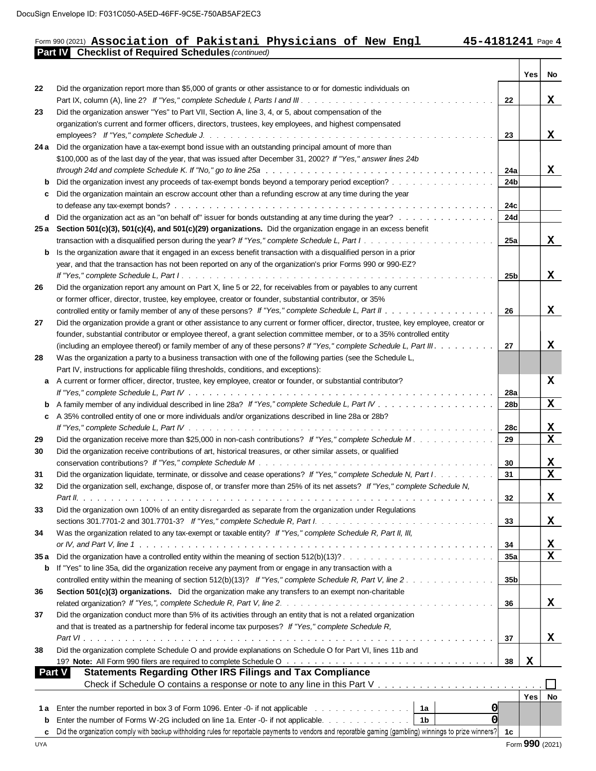### Form 990 (2021) **Part IV Checklist of Required Schedules** *(continued)* D:F031C050-A5ED-46FF-9C5E-750AB5AF2EC3<br>**Association of Pakistani Physicians of New Engl 15-4181241** Page

Τ

Т

|            |                                                                                                                                                                                                                                |                 | <b>Yes</b>      | No.         |
|------------|--------------------------------------------------------------------------------------------------------------------------------------------------------------------------------------------------------------------------------|-----------------|-----------------|-------------|
| 22         | Did the organization report more than \$5,000 of grants or other assistance to or for domestic individuals on                                                                                                                  |                 |                 |             |
|            |                                                                                                                                                                                                                                | 22              |                 | x           |
| 23         | Did the organization answer "Yes" to Part VII, Section A, line 3, 4, or 5, about compensation of the                                                                                                                           |                 |                 |             |
|            | organization's current and former officers, directors, trustees, key employees, and highest compensated                                                                                                                        |                 |                 |             |
|            |                                                                                                                                                                                                                                | 23              |                 | X           |
|            | 24 a Did the organization have a tax-exempt bond issue with an outstanding principal amount of more than                                                                                                                       |                 |                 |             |
|            | \$100,000 as of the last day of the year, that was issued after December 31, 2002? If "Yes," answer lines 24b                                                                                                                  |                 |                 |             |
|            |                                                                                                                                                                                                                                | 24a             |                 | X           |
| b          | Did the organization invest any proceeds of tax-exempt bonds beyond a temporary period exception?                                                                                                                              | 24 <sub>b</sub> |                 |             |
| c          | Did the organization maintain an escrow account other than a refunding escrow at any time during the year                                                                                                                      |                 |                 |             |
|            |                                                                                                                                                                                                                                | 24c             |                 |             |
| d          | Did the organization act as an "on behalf of" issuer for bonds outstanding at any time during the year?                                                                                                                        | 24d             |                 |             |
|            | 25 a Section 501(c)(3), 501(c)(4), and 501(c)(29) organizations. Did the organization engage in an excess benefit                                                                                                              |                 |                 |             |
|            |                                                                                                                                                                                                                                | 25a             |                 | X           |
| b          | Is the organization aware that it engaged in an excess benefit transaction with a disqualified person in a prior                                                                                                               |                 |                 |             |
|            | year, and that the transaction has not been reported on any of the organization's prior Forms 990 or 990-EZ?                                                                                                                   |                 |                 |             |
|            |                                                                                                                                                                                                                                | 25b             |                 | X           |
| 26         | Did the organization report any amount on Part X, line 5 or 22, for receivables from or payables to any current                                                                                                                |                 |                 |             |
|            | or former officer, director, trustee, key employee, creator or founder, substantial contributor, or 35%                                                                                                                        |                 |                 |             |
|            |                                                                                                                                                                                                                                | 26              |                 | x           |
| 27         | Did the organization provide a grant or other assistance to any current or former officer, director, trustee, key employee, creator or                                                                                         |                 |                 |             |
|            | founder, substantial contributor or employee thereof, a grant selection committee member, or to a 35% controlled entity                                                                                                        |                 |                 |             |
|            | (including an employee thereof) or family member of any of these persons? If "Yes," complete Schedule L, Part III.                                                                                                             | 27              |                 | x           |
| 28         | Was the organization a party to a business transaction with one of the following parties (see the Schedule L,                                                                                                                  |                 |                 |             |
|            | Part IV, instructions for applicable filing thresholds, conditions, and exceptions):                                                                                                                                           |                 |                 |             |
| a          | A current or former officer, director, trustee, key employee, creator or founder, or substantial contributor?                                                                                                                  |                 |                 | X           |
|            |                                                                                                                                                                                                                                | 28a             |                 |             |
| b          |                                                                                                                                                                                                                                | 28 <sub>b</sub> |                 | $\mathbf x$ |
| C          | A 35% controlled entity of one or more individuals and/or organizations described in line 28a or 28b?                                                                                                                          |                 |                 |             |
|            |                                                                                                                                                                                                                                | 28c             |                 | X           |
| 29         | Did the organization receive more than \$25,000 in non-cash contributions? If "Yes," complete Schedule M.                                                                                                                      | 29              |                 | $\mathbf x$ |
| 30         | Did the organization receive contributions of art, historical treasures, or other similar assets, or qualified                                                                                                                 |                 |                 |             |
|            |                                                                                                                                                                                                                                | 30              |                 | x           |
| 31         | Did the organization liquidate, terminate, or dissolve and cease operations? If "Yes," complete Schedule N, Part I.                                                                                                            | 31              |                 | $\mathbf x$ |
| 32         | Did the organization sell, exchange, dispose of, or transfer more than 25% of its net assets? If "Yes," complete Schedule N,                                                                                                   |                 |                 |             |
|            |                                                                                                                                                                                                                                | 32              |                 | X           |
| 33         | Did the organization own 100% of an entity disregarded as separate from the organization under Regulations                                                                                                                     |                 |                 |             |
|            |                                                                                                                                                                                                                                | 33              |                 | X           |
| 34         | Was the organization related to any tax-exempt or taxable entity? If "Yes," complete Schedule R, Part II, III,                                                                                                                 |                 |                 |             |
|            |                                                                                                                                                                                                                                | 34              |                 | X           |
| 35 a       |                                                                                                                                                                                                                                | 35a             |                 | X           |
| b          | If "Yes" to line 35a, did the organization receive any payment from or engage in any transaction with a                                                                                                                        |                 |                 |             |
|            | controlled entity within the meaning of section 512(b)(13)? If "Yes," complete Schedule R, Part V, line 2.                                                                                                                     | 35 <sub>b</sub> |                 |             |
| 36         | Section 501(c)(3) organizations. Did the organization make any transfers to an exempt non-charitable                                                                                                                           |                 |                 |             |
|            |                                                                                                                                                                                                                                | 36              |                 | X           |
| 37         | Did the organization conduct more than 5% of its activities through an entity that is not a related organization                                                                                                               |                 |                 |             |
|            | and that is treated as a partnership for federal income tax purposes? If "Yes," complete Schedule R,                                                                                                                           |                 |                 |             |
|            |                                                                                                                                                                                                                                | 37              |                 | x           |
| 38         | Did the organization complete Schedule O and provide explanations on Schedule O for Part VI, lines 11b and                                                                                                                     |                 |                 |             |
|            | 19? Note: All Form 990 filers are required to complete Schedule O with the content of the content of the Schedule O and the content of the content of the Content of the Schedule O and the Content of the content of the Cont | 38              | X               |             |
|            | <b>Part V</b><br><b>Statements Regarding Other IRS Filings and Tax Compliance</b>                                                                                                                                              |                 |                 |             |
|            |                                                                                                                                                                                                                                |                 |                 |             |
|            |                                                                                                                                                                                                                                |                 | Yes             | No          |
| 1 a        | <b>O</b><br>Enter the number reported in box 3 of Form 1096. Enter -0- if not applicable<br>1a                                                                                                                                 |                 |                 |             |
| b          | <sub>0</sub><br>Enter the number of Forms W-2G included on line 1a. Enter -0- if not applicable.<br>1 <sub>b</sub>                                                                                                             |                 |                 |             |
| c          | Did the organization comply with backup withholding rules for reportable payments to vendors and reporatble gaming (gambling) winnings to prize winners?                                                                       | 1c              |                 |             |
| <b>UYA</b> |                                                                                                                                                                                                                                |                 | Form 990 (2021) |             |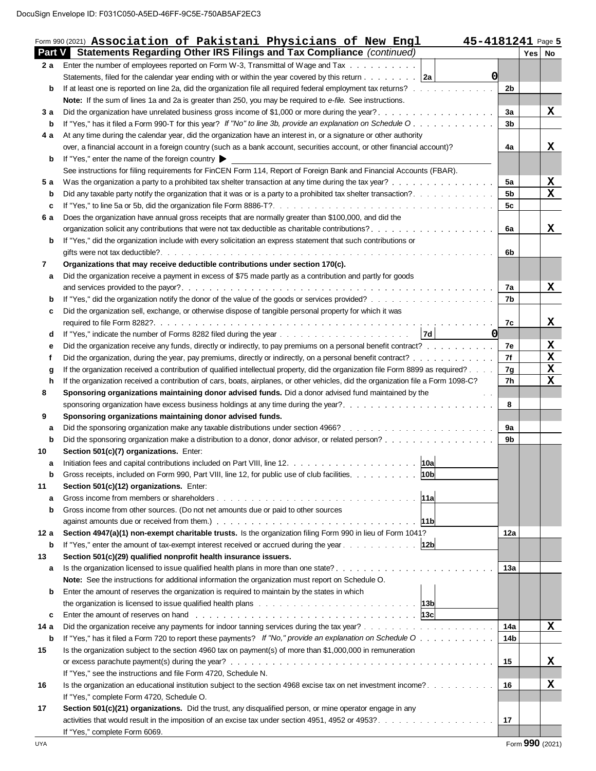|      | Form 990 (2021) Association of Pakistani Physicians of New Engl<br>45-4181241 Page 5<br><b>Part V</b> Statements Regarding Other IRS Filings and Tax Compliance (continued)                                                         |                |          |                         |
|------|-------------------------------------------------------------------------------------------------------------------------------------------------------------------------------------------------------------------------------------|----------------|----------|-------------------------|
| 2 a  | Enter the number of employees reported on Form W-3, Transmittal of Wage and Tax                                                                                                                                                     |                | Yes   No |                         |
|      | O<br>Statements, filed for the calendar year ending with or within the year covered by this return $\ldots \ldots \ldots$                                                                                                           |                |          |                         |
|      |                                                                                                                                                                                                                                     | 2 <sub>b</sub> |          |                         |
| b    | If at least one is reported on line 2a, did the organization file all required federal employment tax returns?                                                                                                                      |                |          |                         |
|      | Note: If the sum of lines 1a and 2a is greater than 250, you may be required to e-file. See instructions.                                                                                                                           |                |          |                         |
| 3а   | Did the organization have unrelated business gross income of \$1,000 or more during the year?                                                                                                                                       | За             |          | X                       |
| b    | If "Yes," has it filed a Form 990-T for this year? If "No" to line 3b, provide an explanation on Schedule O.                                                                                                                        | 3 <sub>b</sub> |          |                         |
| 4а   | At any time during the calendar year, did the organization have an interest in, or a signature or other authority                                                                                                                   |                |          |                         |
|      | over, a financial account in a foreign country (such as a bank account, securities account, or other financial account)?                                                                                                            | 4a             |          | x                       |
| b    | If "Yes," enter the name of the foreign country                                                                                                                                                                                     |                |          |                         |
|      | See instructions for filing requirements for FinCEN Form 114, Report of Foreign Bank and Financial Accounts (FBAR).                                                                                                                 |                |          |                         |
| 5 a  | Was the organization a party to a prohibited tax shelter transaction at any time during the tax year?                                                                                                                               | 5a             |          | X                       |
| b    |                                                                                                                                                                                                                                     | 5 <sub>b</sub> |          | $\mathbf x$             |
| c    |                                                                                                                                                                                                                                     | 5c             |          |                         |
| 6 a  | Does the organization have annual gross receipts that are normally greater than \$100,000, and did the                                                                                                                              |                |          |                         |
|      |                                                                                                                                                                                                                                     | 6a             |          | X                       |
| b    | If "Yes," did the organization include with every solicitation an express statement that such contributions or                                                                                                                      |                |          |                         |
|      |                                                                                                                                                                                                                                     | 6b             |          |                         |
| 7    | Organizations that may receive deductible contributions under section 170(c).                                                                                                                                                       |                |          |                         |
| а    | Did the organization receive a payment in excess of \$75 made partly as a contribution and partly for goods                                                                                                                         |                |          |                         |
|      |                                                                                                                                                                                                                                     | 7a             |          | X                       |
| b    |                                                                                                                                                                                                                                     | 7b             |          |                         |
| c    | Did the organization sell, exchange, or otherwise dispose of tangible personal property for which it was                                                                                                                            |                |          |                         |
|      |                                                                                                                                                                                                                                     | 7c             |          | х                       |
| d    | $\Omega$<br> 7d                                                                                                                                                                                                                     |                |          |                         |
| е    | Did the organization receive any funds, directly or indirectly, to pay premiums on a personal benefit contract?                                                                                                                     | 7e             |          | X                       |
| f    | Did the organization, during the year, pay premiums, directly or indirectly, on a personal benefit contract?                                                                                                                        | 7f             |          | $\overline{\textbf{x}}$ |
| g    | If the organization received a contribution of qualified intellectual property, did the organization file Form 8899 as required?                                                                                                    | 7g             |          | $\overline{\mathbf{X}}$ |
| h    | If the organization received a contribution of cars, boats, airplanes, or other vehicles, did the organization file a Form 1098-C?                                                                                                  | 7h             |          | X                       |
| 8    | Sponsoring organizations maintaining donor advised funds. Did a donor advised fund maintained by the<br>$\mathcal{L}=\mathcal{L}$                                                                                                   |                |          |                         |
|      | sponsoring organization have excess business holdings at any time during the year?                                                                                                                                                  | 8              |          |                         |
| 9    | Sponsoring organizations maintaining donor advised funds.                                                                                                                                                                           |                |          |                         |
| а    |                                                                                                                                                                                                                                     | 9a             |          |                         |
| b    |                                                                                                                                                                                                                                     | 9b             |          |                         |
| 10   | Section 501(c)(7) organizations. Enter:                                                                                                                                                                                             |                |          |                         |
| а    | 10a                                                                                                                                                                                                                                 |                |          |                         |
| b    | 10 <sub>b</sub>  <br>Gross receipts, included on Form 990, Part VIII, line 12, for public use of club facilities.                                                                                                                   |                |          |                         |
| 11   | Section 501(c)(12) organizations. Enter:                                                                                                                                                                                            |                |          |                         |
| a    | 11a                                                                                                                                                                                                                                 |                |          |                         |
| b    | Gross income from other sources. (Do not net amounts due or paid to other sources                                                                                                                                                   |                |          |                         |
|      | 11b                                                                                                                                                                                                                                 |                |          |                         |
| 12 a | Section 4947(a)(1) non-exempt charitable trusts. Is the organization filing Form 990 in lieu of Form 1041?                                                                                                                          | 12a            |          |                         |
| b    | If "Yes," enter the amount of tax-exempt interest received or accrued during the year 12b                                                                                                                                           |                |          |                         |
| 13   | Section 501(c)(29) qualified nonprofit health insurance issuers.                                                                                                                                                                    |                |          |                         |
| а    | Is the organization licensed to issue qualified health plans in more than one state?                                                                                                                                                | 13а            |          |                         |
|      | Note: See the instructions for additional information the organization must report on Schedule O.                                                                                                                                   |                |          |                         |
| b    | Enter the amount of reserves the organization is required to maintain by the states in which                                                                                                                                        |                |          |                         |
|      | the organization is licensed to issue qualified health plans with the state of the organization is 13b                                                                                                                              |                |          |                         |
| c    | <b>Enter the amount of reserves on hand</b> response to the contract the contract to the contract to the contract to the contract to the contract to the contract to the contract to the contract to the contract to the contract t |                |          |                         |
| 14 a |                                                                                                                                                                                                                                     | 14a            |          | X                       |
| b    | If "Yes," has it filed a Form 720 to report these payments? If "No," provide an explanation on Schedule O                                                                                                                           | 14b            |          |                         |
|      | Is the organization subject to the section 4960 tax on payment(s) of more than \$1,000,000 in remuneration                                                                                                                          |                |          |                         |
| 15   |                                                                                                                                                                                                                                     |                |          |                         |
|      |                                                                                                                                                                                                                                     | 15             |          | X                       |
|      | If "Yes," see the instructions and file Form 4720, Schedule N.                                                                                                                                                                      |                |          |                         |
| 16   |                                                                                                                                                                                                                                     | 16             |          | х                       |
|      | If "Yes," complete Form 4720, Schedule O.                                                                                                                                                                                           |                |          |                         |
|      |                                                                                                                                                                                                                                     |                |          |                         |
| 17   | Section 501(c)(21) organizations. Did the trust, any disqualified person, or mine operator engage in any                                                                                                                            | 17             |          |                         |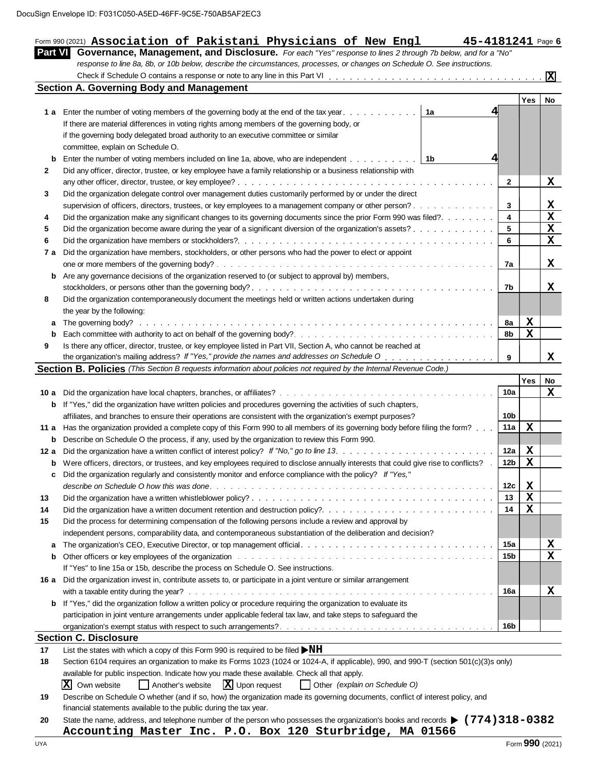| <b>Part VI</b> | Form 990 (2021) Association of Pakistani Physicians of New Engl<br>45-4181241 Page 6<br>Governance, Management, and Disclosure. For each "Yes" response to lines 2 through 7b below, and for a "No"                            |                 |             |                                         |
|----------------|--------------------------------------------------------------------------------------------------------------------------------------------------------------------------------------------------------------------------------|-----------------|-------------|-----------------------------------------|
|                | response to line 8a, 8b, or 10b below, describe the circumstances, processes, or changes on Schedule O. See instructions.                                                                                                      |                 |             |                                         |
|                |                                                                                                                                                                                                                                |                 |             |                                         |
|                | <b>Section A. Governing Body and Management</b>                                                                                                                                                                                |                 |             |                                         |
|                |                                                                                                                                                                                                                                |                 | Yes         | No                                      |
|                | 1a<br>1 a Enter the number of voting members of the governing body at the end of the tax year.                                                                                                                                 |                 |             |                                         |
|                | If there are material differences in voting rights among members of the governing body, or                                                                                                                                     |                 |             |                                         |
|                | if the governing body delegated broad authority to an executive committee or similar                                                                                                                                           |                 |             |                                         |
|                | committee, explain on Schedule O.                                                                                                                                                                                              |                 |             |                                         |
| b              | 4<br>Enter the number of voting members included on line 1a, above, who are independent   1b                                                                                                                                   |                 |             |                                         |
| 2              | Did any officer, director, trustee, or key employee have a family relationship or a business relationship with                                                                                                                 |                 |             |                                         |
|                |                                                                                                                                                                                                                                | $\mathbf{2}$    |             | X                                       |
| 3              | Did the organization delegate control over management duties customarily performed by or under the direct                                                                                                                      |                 |             |                                         |
|                | supervision of officers, directors, trustees, or key employees to a management company or other person?                                                                                                                        | 3<br>4          |             | <u>x</u><br>$\overline{\mathbf{x}}$     |
| 4              | Did the organization make any significant changes to its governing documents since the prior Form 990 was filed?<br>Did the organization become aware during the year of a significant diversion of the organization's assets? | 5               |             | $\overline{\mathbf{x}}$                 |
| 5<br>6         |                                                                                                                                                                                                                                | 6               |             | $\mathbf x$                             |
| 7 а            | Did the organization have members, stockholders, or other persons who had the power to elect or appoint                                                                                                                        |                 |             |                                         |
|                |                                                                                                                                                                                                                                | 7a              |             | X                                       |
| b              | Are any governance decisions of the organization reserved to (or subject to approval by) members,                                                                                                                              |                 |             |                                         |
|                |                                                                                                                                                                                                                                | 7b              |             | х                                       |
| 8              | Did the organization contemporaneously document the meetings held or written actions undertaken during                                                                                                                         |                 |             |                                         |
|                | the year by the following:                                                                                                                                                                                                     |                 |             |                                         |
| a              |                                                                                                                                                                                                                                | 8а              | X           |                                         |
| b              |                                                                                                                                                                                                                                | 8b              | $\mathbf x$ |                                         |
| 9              | Is there any officer, director, trustee, or key employee listed in Part VII, Section A, who cannot be reached at                                                                                                               |                 |             |                                         |
|                |                                                                                                                                                                                                                                | 9               |             | X                                       |
|                | Section B. Policies (This Section B requests information about policies not required by the Internal Revenue Code.)                                                                                                            |                 |             |                                         |
|                |                                                                                                                                                                                                                                |                 | Yes         | No                                      |
|                |                                                                                                                                                                                                                                | 10a             |             | х                                       |
| b              | If "Yes," did the organization have written policies and procedures governing the activities of such chapters,                                                                                                                 |                 |             |                                         |
|                | affiliates, and branches to ensure their operations are consistent with the organization's exempt purposes?                                                                                                                    | 10b             |             |                                         |
|                | 11 a Has the organization provided a complete copy of this Form 990 to all members of its governing body before filing the form?                                                                                               | 11a             | $\mathbf x$ |                                         |
| b              | Describe on Schedule O the process, if any, used by the organization to review this Form 990.                                                                                                                                  |                 |             |                                         |
|                |                                                                                                                                                                                                                                | 12a             | X           |                                         |
| b              | Were officers, directors, or trustees, and key employees required to disclose annually interests that could give rise to conflicts? .                                                                                          | 12 <sub>b</sub> | $\mathbf x$ |                                         |
| c              | Did the organization regularly and consistently monitor and enforce compliance with the policy? If "Yes,"                                                                                                                      |                 |             |                                         |
|                |                                                                                                                                                                                                                                | 12c             | X           |                                         |
| 13             |                                                                                                                                                                                                                                | 13              | $\mathbf x$ |                                         |
| 14             | Did the organization have a written document retention and destruction policy?                                                                                                                                                 | 14              | $\mathbf x$ |                                         |
| 15             | Did the process for determining compensation of the following persons include a review and approval by                                                                                                                         |                 |             |                                         |
|                | independent persons, comparability data, and contemporaneous substantiation of the deliberation and decision?                                                                                                                  | 15a             |             |                                         |
| a<br>b         | Other officers or key employees of the organization with the state of the state of the organization with the state of the organization with the state of the state of the organization.                                        | 15 <sub>b</sub> |             | $\underline{\mathbf{x}}$<br>$\mathbf x$ |
|                | If "Yes" to line 15a or 15b, describe the process on Schedule O. See instructions.                                                                                                                                             |                 |             |                                         |
|                | 16 a Did the organization invest in, contribute assets to, or participate in a joint venture or similar arrangement                                                                                                            |                 |             |                                         |
|                |                                                                                                                                                                                                                                | 16a             |             | X                                       |
| b              | If "Yes," did the organization follow a written policy or procedure requiring the organization to evaluate its                                                                                                                 |                 |             |                                         |
|                | participation in joint venture arrangements under applicable federal tax law, and take steps to safeguard the                                                                                                                  |                 |             |                                         |
|                |                                                                                                                                                                                                                                | 16b             |             |                                         |
|                | <b>Section C. Disclosure</b>                                                                                                                                                                                                   |                 |             |                                         |
|                | List the states with which a copy of this Form 990 is required to be filed $\blacktriangleright$ NH                                                                                                                            |                 |             |                                         |
|                | Section 6104 requires an organization to make its Forms 1023 (1024 or 1024-A, if applicable), 990, and 990-T (section 501(c)(3)s only)                                                                                         |                 |             |                                         |
|                |                                                                                                                                                                                                                                |                 |             |                                         |
|                | available for public inspection. Indicate how you made these available. Check all that apply.                                                                                                                                  |                 |             |                                         |
| 17<br>18       | Another's website $\boxed{\mathbf{X}}$ Upon request<br>$ X $ Own website<br>  Other (explain on Schedule O)                                                                                                                    |                 |             |                                         |
| 19             | Describe on Schedule O whether (and if so, how) the organization made its governing documents, conflict of interest policy, and                                                                                                |                 |             |                                         |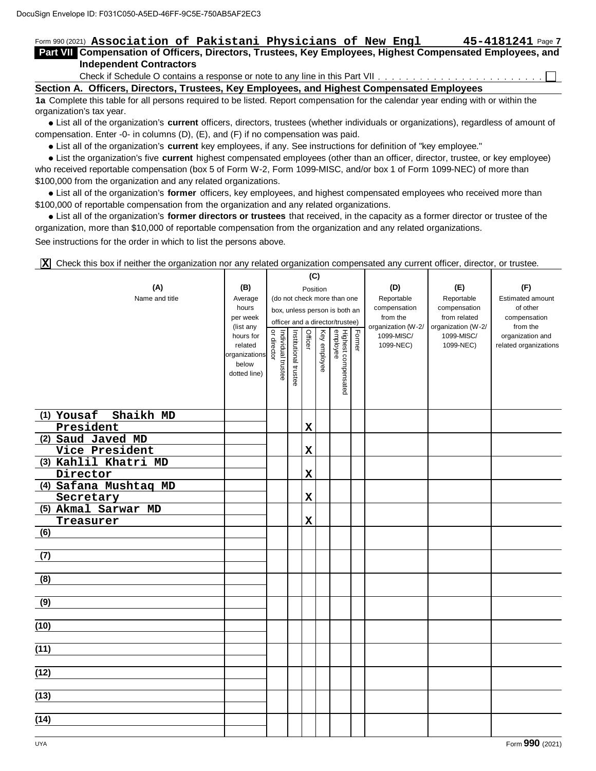### Form 990 (2021)  $45 - 4181241$  Page 7 2: F031C050-A5ED-46FF-9C5E-750AB5AF2EC3<br>**Association of Pakistani Physicians of New Engl \_\_\_\_\_\_\_\_\_\_\_\_\_\_\_\_\_\_\_\_\_\_\_\_\_\_\_\_\_\_\_\_**<br>Impensation of Officers Directors Trustees Key Employees Highest Compensated Employees and

#### **Part VII Part I Compensation of Officers, Directors, Trustees, Key Employees, Highest Compensated Employees, and Independent Contractors**

Check if Schedule O contains a response or note to any line in this Part VII

**Section A. Officers, Directors, Trustees, Key Employees, and Highest Compensated Employees**

**1a** Complete this table for all persons required to be listed. Report compensation for the calendar year ending with or within the organization's tax year.

List all of the organization's **current** officers, directors, trustees (whether individuals or organizations), regardless of amount of compensation. Enter -0- in columns (D), (E), and (F) if no compensation was paid.

List all of the organization's **current** key employees, if any. See instructions for definition of "key employee."

List the organization's five **current** highest compensated employees (other than an officer, director, trustee, or key employee) who received reportable compensation (box 5 of Form W-2, Form 1099-MISC, and/or box 1 of Form 1099-NEC) of more than \$100,000 from the organization and any related organizations.

List all of the organization's **former** officers, key employees, and highest compensated employees who received more than \$100,000 of reportable compensation from the organization and any related organizations.

List all of the organization's **former directors or trustees** that received, in the capacity as a former director or trustee of the organization, more than \$10,000 of reportable compensation from the organization and any related organizations. See instructions for the order in which to list the persons above.

Check this box if neither the organization nor any related organization compensated any current officer, director, or trustee. **X**

|                         |                       |                    |                       | (C)         |              |                                 |        |                                |                                    |                          |
|-------------------------|-----------------------|--------------------|-----------------------|-------------|--------------|---------------------------------|--------|--------------------------------|------------------------------------|--------------------------|
| (A)                     | (B)                   |                    |                       | Position    |              |                                 |        | (D)                            | (E)                                | (F)                      |
| Name and title          | Average               |                    |                       |             |              | (do not check more than one     |        | Reportable                     | Reportable                         | Estimated amount         |
|                         | hours                 |                    |                       |             |              | box, unless person is both an   |        | compensation                   | compensation                       | of other                 |
|                         | per week<br>(list any |                    |                       |             |              | officer and a director/trustee) |        | from the<br>organization (W-2/ | from related<br>organization (W-2/ | compensation<br>from the |
|                         | hours for             | or director        |                       | Officer     |              |                                 | Former | 1099-MISC/                     | 1099-MISC/                         | organization and         |
|                         | related               | Individual trustee | Institutional trustee |             | Key employee |                                 |        | 1099-NEC)                      | 1099-NEC)                          | related organizations    |
|                         | organizations         |                    |                       |             |              |                                 |        |                                |                                    |                          |
|                         | below<br>dotted line) |                    |                       |             |              |                                 |        |                                |                                    |                          |
|                         |                       |                    |                       |             |              | Highest compensated<br>employee |        |                                |                                    |                          |
|                         |                       |                    |                       |             |              |                                 |        |                                |                                    |                          |
|                         |                       |                    |                       |             |              |                                 |        |                                |                                    |                          |
| Shaikh MD<br>(1) Yousaf |                       |                    |                       |             |              |                                 |        |                                |                                    |                          |
| President               |                       |                    |                       | $\mathbf x$ |              |                                 |        |                                |                                    |                          |
| (2) Saud Javed MD       |                       |                    |                       |             |              |                                 |        |                                |                                    |                          |
| Vice President          |                       |                    |                       | $\mathbf x$ |              |                                 |        |                                |                                    |                          |
| (3) Kahlil Khatri MD    |                       |                    |                       |             |              |                                 |        |                                |                                    |                          |
| Director                |                       |                    |                       | $\mathbf x$ |              |                                 |        |                                |                                    |                          |
| (4) Safana Mushtaq MD   |                       |                    |                       |             |              |                                 |        |                                |                                    |                          |
| Secretary               |                       |                    |                       | $\mathbf x$ |              |                                 |        |                                |                                    |                          |
| (5) Akmal Sarwar MD     |                       |                    |                       |             |              |                                 |        |                                |                                    |                          |
| Treasurer               |                       |                    |                       | $\mathbf x$ |              |                                 |        |                                |                                    |                          |
| (6)                     |                       |                    |                       |             |              |                                 |        |                                |                                    |                          |
|                         |                       |                    |                       |             |              |                                 |        |                                |                                    |                          |
| (7)                     |                       |                    |                       |             |              |                                 |        |                                |                                    |                          |
|                         |                       |                    |                       |             |              |                                 |        |                                |                                    |                          |
| (8)                     |                       |                    |                       |             |              |                                 |        |                                |                                    |                          |
|                         |                       |                    |                       |             |              |                                 |        |                                |                                    |                          |
| (9)                     |                       |                    |                       |             |              |                                 |        |                                |                                    |                          |
| (10)                    |                       |                    |                       |             |              |                                 |        |                                |                                    |                          |
|                         |                       |                    |                       |             |              |                                 |        |                                |                                    |                          |
| (11)                    |                       |                    |                       |             |              |                                 |        |                                |                                    |                          |
|                         |                       |                    |                       |             |              |                                 |        |                                |                                    |                          |
| (12)                    |                       |                    |                       |             |              |                                 |        |                                |                                    |                          |
|                         |                       |                    |                       |             |              |                                 |        |                                |                                    |                          |
| (13)                    |                       |                    |                       |             |              |                                 |        |                                |                                    |                          |
|                         |                       |                    |                       |             |              |                                 |        |                                |                                    |                          |
| (14)                    |                       |                    |                       |             |              |                                 |        |                                |                                    |                          |
|                         |                       |                    |                       |             |              |                                 |        |                                |                                    |                          |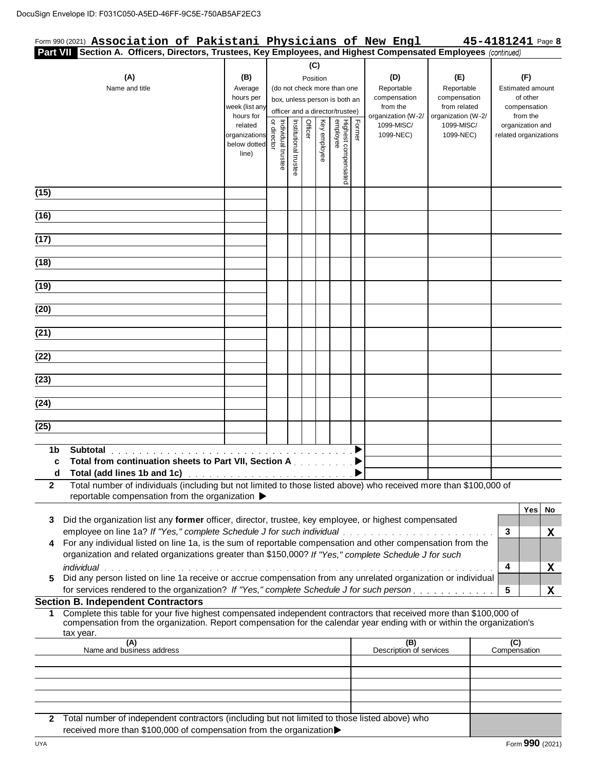| Form 990 (2021) Association of Pakistani Physicians of New Engl<br>Part VII Section A. Officers, Directors, Trustees, Key Employees, and Highest Compensated Employees (continued)                                                                                                                                                                                                                                                                                                                  |                                                                                                          |                                   |                       |                 |              |                                                                                                                                    |        |                                                                                         |                                                                                             | 45-4181241 Page 8                                                                                            |         |
|-----------------------------------------------------------------------------------------------------------------------------------------------------------------------------------------------------------------------------------------------------------------------------------------------------------------------------------------------------------------------------------------------------------------------------------------------------------------------------------------------------|----------------------------------------------------------------------------------------------------------|-----------------------------------|-----------------------|-----------------|--------------|------------------------------------------------------------------------------------------------------------------------------------|--------|-----------------------------------------------------------------------------------------|---------------------------------------------------------------------------------------------|--------------------------------------------------------------------------------------------------------------|---------|
| (A)                                                                                                                                                                                                                                                                                                                                                                                                                                                                                                 | (B)                                                                                                      |                                   |                       | (C)<br>Position |              |                                                                                                                                    |        | (D)                                                                                     | (E)                                                                                         | (F)                                                                                                          |         |
| Name and title                                                                                                                                                                                                                                                                                                                                                                                                                                                                                      | Average<br>hours per<br>week (list any<br>hours for<br>related<br>organizations<br>below dotted<br>line) | Individual trustee<br>or director | Institutional trustee | Officer         | Key employee | (do not check more than one<br>box, unless person is both an<br>officer and a director/trustee)<br>Highest compensated<br>employee | Former | Reportable<br>compensation<br>from the<br>organization (W-2/<br>1099-MISC/<br>1099-NEC) | Reportable<br>compensation<br>from related<br>organization (W-2/<br>1099-MISC/<br>1099-NEC) | <b>Estimated amount</b><br>of other<br>compensation<br>from the<br>organization and<br>related organizations |         |
| (15)                                                                                                                                                                                                                                                                                                                                                                                                                                                                                                |                                                                                                          |                                   |                       |                 |              |                                                                                                                                    |        |                                                                                         |                                                                                             |                                                                                                              |         |
| (16)                                                                                                                                                                                                                                                                                                                                                                                                                                                                                                |                                                                                                          |                                   |                       |                 |              |                                                                                                                                    |        |                                                                                         |                                                                                             |                                                                                                              |         |
| (17)                                                                                                                                                                                                                                                                                                                                                                                                                                                                                                |                                                                                                          |                                   |                       |                 |              |                                                                                                                                    |        |                                                                                         |                                                                                             |                                                                                                              |         |
| (18)                                                                                                                                                                                                                                                                                                                                                                                                                                                                                                |                                                                                                          |                                   |                       |                 |              |                                                                                                                                    |        |                                                                                         |                                                                                             |                                                                                                              |         |
| (19)                                                                                                                                                                                                                                                                                                                                                                                                                                                                                                |                                                                                                          |                                   |                       |                 |              |                                                                                                                                    |        |                                                                                         |                                                                                             |                                                                                                              |         |
| (20)                                                                                                                                                                                                                                                                                                                                                                                                                                                                                                |                                                                                                          |                                   |                       |                 |              |                                                                                                                                    |        |                                                                                         |                                                                                             |                                                                                                              |         |
| (21)                                                                                                                                                                                                                                                                                                                                                                                                                                                                                                |                                                                                                          |                                   |                       |                 |              |                                                                                                                                    |        |                                                                                         |                                                                                             |                                                                                                              |         |
| (22)                                                                                                                                                                                                                                                                                                                                                                                                                                                                                                |                                                                                                          |                                   |                       |                 |              |                                                                                                                                    |        |                                                                                         |                                                                                             |                                                                                                              |         |
| (23)                                                                                                                                                                                                                                                                                                                                                                                                                                                                                                |                                                                                                          |                                   |                       |                 |              |                                                                                                                                    |        |                                                                                         |                                                                                             |                                                                                                              |         |
| (24)                                                                                                                                                                                                                                                                                                                                                                                                                                                                                                |                                                                                                          |                                   |                       |                 |              |                                                                                                                                    |        |                                                                                         |                                                                                             |                                                                                                              |         |
| (25)                                                                                                                                                                                                                                                                                                                                                                                                                                                                                                |                                                                                                          |                                   |                       |                 |              |                                                                                                                                    |        |                                                                                         |                                                                                             |                                                                                                              |         |
| Subtotal descriptions and contained a services and contained a services of the services of the services of the<br>1b<br>Total from continuation sheets to Part VII, Section A<br>c<br>Total (add lines 1b and 1c) And All Alberta and Alberta Communications and Alberta Alberta and Alberta Alberta A<br>d<br>Total number of individuals (including but not limited to those listed above) who received more than \$100,000 of<br>$\mathbf{2}$<br>reportable compensation from the organization ▶ |                                                                                                          |                                   |                       |                 |              |                                                                                                                                    |        |                                                                                         |                                                                                             |                                                                                                              |         |
| Did the organization list any former officer, director, trustee, key employee, or highest compensated<br>3<br>employee on line 1a? If "Yes," complete Schedule J for such individual.                                                                                                                                                                                                                                                                                                               |                                                                                                          |                                   |                       |                 |              |                                                                                                                                    |        |                                                                                         |                                                                                             | Yes<br>3                                                                                                     | No<br>х |
| For any individual listed on line 1a, is the sum of reportable compensation and other compensation from the<br>4<br>organization and related organizations greater than \$150,000? If "Yes," complete Schedule J for such                                                                                                                                                                                                                                                                           |                                                                                                          |                                   |                       |                 |              |                                                                                                                                    |        |                                                                                         |                                                                                             |                                                                                                              |         |
| <i>individual</i><br>Did any person listed on line 1a receive or accrue compensation from any unrelated organization or individual<br>5<br>for services rendered to the organization? If "Yes," complete Schedule J for such person                                                                                                                                                                                                                                                                 |                                                                                                          |                                   |                       |                 |              |                                                                                                                                    |        |                                                                                         |                                                                                             | 4<br>5                                                                                                       | X       |
| <b>Section B. Independent Contractors</b>                                                                                                                                                                                                                                                                                                                                                                                                                                                           |                                                                                                          |                                   |                       |                 |              |                                                                                                                                    |        |                                                                                         |                                                                                             |                                                                                                              | X       |
| Complete this table for your five highest compensated independent contractors that received more than \$100,000 of<br>1<br>compensation from the organization. Report compensation for the calendar year ending with or within the organization's<br>tax year.                                                                                                                                                                                                                                      |                                                                                                          |                                   |                       |                 |              |                                                                                                                                    |        |                                                                                         |                                                                                             |                                                                                                              |         |
| (A)<br>Name and business address                                                                                                                                                                                                                                                                                                                                                                                                                                                                    |                                                                                                          |                                   |                       |                 |              |                                                                                                                                    |        | (B)<br>Description of services                                                          |                                                                                             | (C)<br>Compensation                                                                                          |         |
|                                                                                                                                                                                                                                                                                                                                                                                                                                                                                                     |                                                                                                          |                                   |                       |                 |              |                                                                                                                                    |        |                                                                                         |                                                                                             |                                                                                                              |         |

**2** Total number of independent contractors (including but not limited to those listed above) who received more than \$100,000 of compensation from the organization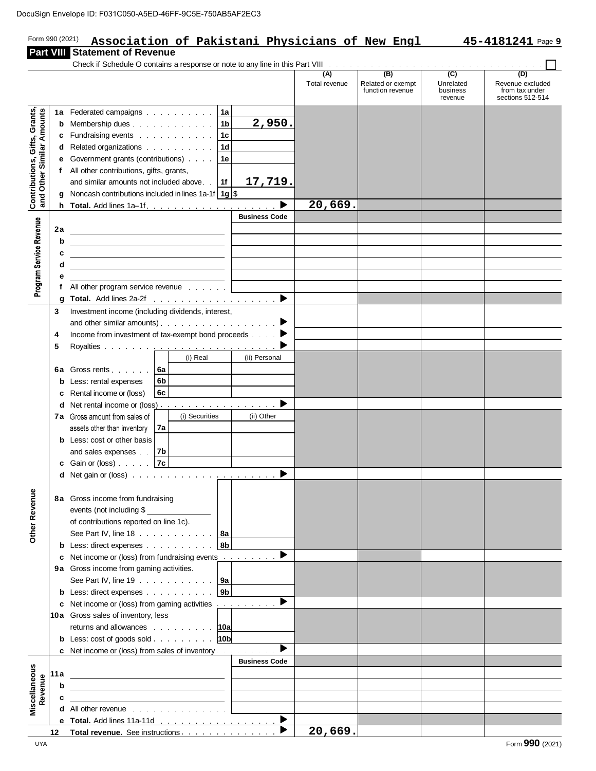|                                      |        | pcuSign    Envelope ID: F031C050-A5ED-46FF-9C5E-750AB5AF2EC3                                                                                                                                                                   |                      |                                              |                                           |                                           |
|--------------------------------------|--------|--------------------------------------------------------------------------------------------------------------------------------------------------------------------------------------------------------------------------------|----------------------|----------------------------------------------|-------------------------------------------|-------------------------------------------|
| Form 990 (2021)                      |        | Association of Pakistani Physicians of New Engl                                                                                                                                                                                |                      |                                              |                                           | 45-4181241 Page 9                         |
|                                      |        | <b>Part VIII Statement of Revenue</b>                                                                                                                                                                                          |                      |                                              |                                           |                                           |
|                                      |        | Check if Schedule O contains a response or note to any line in this Part VIII (and a subseted that is a set of subseted that is a set of subseted that is a set of subseted that is a set of the independent of the Part VIII  | (A)<br>Total revenue | (B)<br>Related or exempt<br>function revenue | $\overline{(c)}$<br>Unrelated<br>business | (D)<br>Revenue excluded<br>from tax under |
|                                      |        |                                                                                                                                                                                                                                |                      |                                              | revenue                                   | sections 512-514                          |
|                                      |        | 1a Federated campaigns 1a                                                                                                                                                                                                      |                      |                                              |                                           |                                           |
| Other Similar Amounts                |        | 2,950.<br><b>b</b> Membership dues $\ldots$ $\ldots$ $\ldots$ $\ldots$ $\ldots$ 1b                                                                                                                                             |                      |                                              |                                           |                                           |
|                                      |        | c Fundraising events $\ldots$ 1c                                                                                                                                                                                               |                      |                                              |                                           |                                           |
|                                      |        | d Related organizations  <br>1d                                                                                                                                                                                                |                      |                                              |                                           |                                           |
|                                      |        | e Government grants (contributions)<br>1e<br>f All other contributions, gifts, grants,                                                                                                                                         |                      |                                              |                                           |                                           |
|                                      |        | 17,719.<br>and similar amounts not included above. [16]<br>1f                                                                                                                                                                  |                      |                                              |                                           |                                           |
|                                      |        | Noncash contributions included in lines 1a-1f $\frac{1}{9}$                                                                                                                                                                    |                      |                                              |                                           |                                           |
| Contributions, Gifts, Grants,<br>and | h.     | ▶                                                                                                                                                                                                                              | 20,669.              |                                              |                                           |                                           |
|                                      |        | <b>Business Code</b>                                                                                                                                                                                                           |                      |                                              |                                           |                                           |
|                                      | 2a     |                                                                                                                                                                                                                                |                      |                                              |                                           |                                           |
|                                      | b      | <u> 1989 - Johann Stein, mars and de Britannich (b. 1989)</u>                                                                                                                                                                  |                      |                                              |                                           |                                           |
|                                      | c      |                                                                                                                                                                                                                                |                      |                                              |                                           |                                           |
|                                      | d      | <u> 1989 - Johann Barn, amerikansk politiker (d. 1989)</u>                                                                                                                                                                     |                      |                                              |                                           |                                           |
| Program Service Revenue              | е      | f All other program service revenue $\ldots$                                                                                                                                                                                   |                      |                                              |                                           |                                           |
|                                      | g      |                                                                                                                                                                                                                                |                      |                                              |                                           |                                           |
|                                      | 3      | Investment income (including dividends, interest,                                                                                                                                                                              |                      |                                              |                                           |                                           |
|                                      |        |                                                                                                                                                                                                                                |                      |                                              |                                           |                                           |
|                                      | 4      | Income from investment of tax-exempt bond proceeds $\ldots$ .                                                                                                                                                                  |                      |                                              |                                           |                                           |
|                                      | 5      |                                                                                                                                                                                                                                |                      |                                              |                                           |                                           |
|                                      |        | (i) Real<br>(ii) Personal                                                                                                                                                                                                      |                      |                                              |                                           |                                           |
|                                      |        | 6a Gross rents 6a<br>6b                                                                                                                                                                                                        |                      |                                              |                                           |                                           |
|                                      | b<br>c | Less: rental expenses<br><b>6c</b><br>Rental income or (loss)                                                                                                                                                                  |                      |                                              |                                           |                                           |
|                                      |        | <b>d</b> Net rental income or (loss) $\cdots$ $\cdots$ $\cdots$ $\cdots$ $\cdots$ $\cdots$                                                                                                                                     |                      |                                              |                                           |                                           |
|                                      |        | 7a Gross amount from sales of<br>(i) Securities<br>(ii) Other                                                                                                                                                                  |                      |                                              |                                           |                                           |
|                                      |        | assets other than inventory $ 7a $                                                                                                                                                                                             |                      |                                              |                                           |                                           |
|                                      |        | <b>b</b> Less: cost or other basis                                                                                                                                                                                             |                      |                                              |                                           |                                           |
|                                      |        | and sales expenses . 7b                                                                                                                                                                                                        |                      |                                              |                                           |                                           |
|                                      |        | Gain or (loss) $\ldots$ 7c                                                                                                                                                                                                     |                      |                                              |                                           |                                           |
|                                      |        |                                                                                                                                                                                                                                |                      |                                              |                                           |                                           |
|                                      |        | 8a Gross income from fundraising                                                                                                                                                                                               |                      |                                              |                                           |                                           |
| Other Revenue                        |        | events (not including \$                                                                                                                                                                                                       |                      |                                              |                                           |                                           |
|                                      |        | of contributions reported on line 1c).                                                                                                                                                                                         |                      |                                              |                                           |                                           |
|                                      |        | See Part IV, line 18 $\ldots$ $\ldots$ $\ldots$ $\ldots$   8a                                                                                                                                                                  |                      |                                              |                                           |                                           |
|                                      |        | <b>b</b> Less: direct expenses<br>8b                                                                                                                                                                                           |                      |                                              |                                           |                                           |
|                                      | c      | Net income or (loss) from fundraising events ▶                                                                                                                                                                                 |                      |                                              |                                           |                                           |
|                                      |        | 9a Gross income from gaming activities.                                                                                                                                                                                        |                      |                                              |                                           |                                           |
|                                      |        | See Part IV, line 19 $\ldots$ $\ldots$ $\ldots$ $\ldots$   9a<br><b>b</b> Less: direct expenses<br>9 <sub>b</sub>                                                                                                              |                      |                                              |                                           |                                           |
|                                      |        | <b>c</b> Net income or (loss) from gaming activities                                                                                                                                                                           |                      |                                              |                                           |                                           |
|                                      |        | 10a Gross sales of inventory, less                                                                                                                                                                                             |                      |                                              |                                           |                                           |
|                                      |        | returns and allowances 10a                                                                                                                                                                                                     |                      |                                              |                                           |                                           |
|                                      |        | <b>b</b> Less: cost of goods sold $\ldots$ $\ldots$ $\ldots$ $\lceil 10b \rceil$                                                                                                                                               |                      |                                              |                                           |                                           |
|                                      |        | c Net income or (loss) from sales of inventory                                                                                                                                                                                 |                      |                                              |                                           |                                           |
|                                      |        | <b>Business Code</b>                                                                                                                                                                                                           |                      |                                              |                                           |                                           |
|                                      | 11 a   |                                                                                                                                                                                                                                |                      |                                              |                                           |                                           |
| Miscellaneous<br>Revenue             | b      | the control of the control of the control of the control of the control of                                                                                                                                                     |                      |                                              |                                           |                                           |
|                                      |        | d All other revenue contained a state of the state of the state of the state of the state of the state of the state of the state of the state of the state of the state of the state of the state of the state of the state of |                      |                                              |                                           |                                           |
|                                      |        | ▶                                                                                                                                                                                                                              |                      |                                              |                                           |                                           |
|                                      | 12     | <b>Total revenue.</b> See instructions <b>contains contained revenue.</b> See instructions                                                                                                                                     | 20,669.              |                                              |                                           |                                           |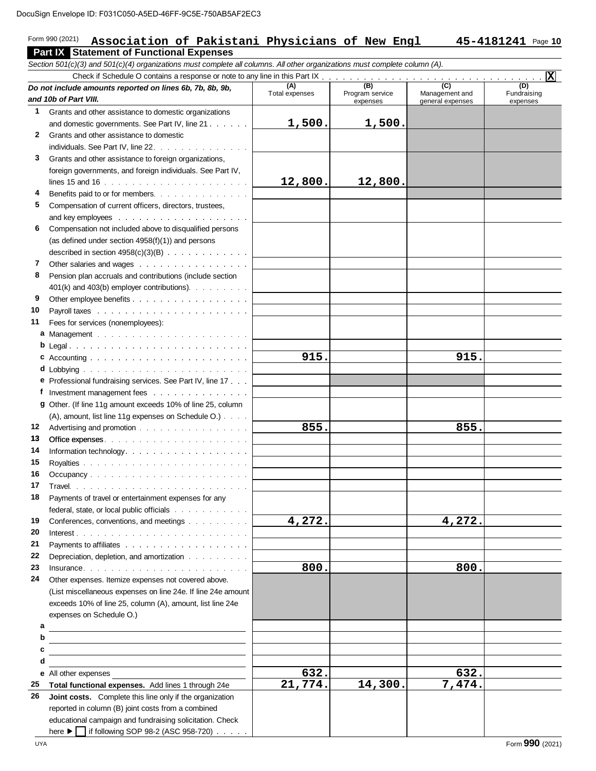#### Form 990 (2021) **Part IX Statement of Functional Expenses** 15-4181241 Page 10 D:F031C050-A5ED-46FF-9C5E-750AB5AF2EC3<br>**Association of Pakistani Physicians of New Engl 145-4181241** Page

*Section 501(c)(3) and 501(c)(4) organizations must complete all columns. All other organizations must complete column (A).*

|              | $\sigma$ , $\sigma$ , $\sigma$ , $\sigma$ , $\sigma$ , $\sigma$ , $\sigma$ , $\sigma$ , $\sigma$ , $\sigma$ , $\sigma$ , $\sigma$ , $\sigma$ , $\sigma$ , $\sigma$ , $\sigma$ , $\sigma$ , $\sigma$ , $\sigma$ , $\sigma$ , $\sigma$ , $\sigma$ , $\sigma$ , $\sigma$ , $\sigma$ , $\sigma$ , $\sigma$ , $\sigma$ , $\sigma$ , $\sigma$ , $\sigma$ , $\sigma$ |                |                        |                  |                             |
|--------------|---------------------------------------------------------------------------------------------------------------------------------------------------------------------------------------------------------------------------------------------------------------------------------------------------------------------------------------------------------------|----------------|------------------------|------------------|-----------------------------|
|              | Do not include amounts reported on lines 6b, 7b, 8b, 9b,                                                                                                                                                                                                                                                                                                      | (A)            | (B)                    | $\overline{(c)}$ | $\overline{(\overline{D})}$ |
|              | and 10b of Part VIII.                                                                                                                                                                                                                                                                                                                                         | Total expenses | Program service        | Management and   | Fundraising                 |
| $\mathbf 1$  |                                                                                                                                                                                                                                                                                                                                                               |                | expenses               | general expenses | expenses                    |
|              | Grants and other assistance to domestic organizations                                                                                                                                                                                                                                                                                                         |                | 1,500.                 |                  |                             |
|              | and domestic governments. See Part IV, line 21                                                                                                                                                                                                                                                                                                                | 1,500.         |                        |                  |                             |
| $\mathbf{2}$ | Grants and other assistance to domestic                                                                                                                                                                                                                                                                                                                       |                |                        |                  |                             |
|              | individuals. See Part IV, line 22.                                                                                                                                                                                                                                                                                                                            |                |                        |                  |                             |
| 3            | Grants and other assistance to foreign organizations,                                                                                                                                                                                                                                                                                                         |                |                        |                  |                             |
|              | foreign governments, and foreign individuals. See Part IV,                                                                                                                                                                                                                                                                                                    |                |                        |                  |                             |
|              |                                                                                                                                                                                                                                                                                                                                                               | 12,800.        | 12,800.                |                  |                             |
| 4            | Benefits paid to or for members.                                                                                                                                                                                                                                                                                                                              |                |                        |                  |                             |
| 5            | Compensation of current officers, directors, trustees,                                                                                                                                                                                                                                                                                                        |                |                        |                  |                             |
|              |                                                                                                                                                                                                                                                                                                                                                               |                |                        |                  |                             |
| 6            | Compensation not included above to disqualified persons                                                                                                                                                                                                                                                                                                       |                |                        |                  |                             |
|              | (as defined under section $4958(f)(1)$ ) and persons                                                                                                                                                                                                                                                                                                          |                |                        |                  |                             |
|              | described in section $4958(c)(3)(B)$                                                                                                                                                                                                                                                                                                                          |                |                        |                  |                             |
| 7            | Other salaries and wages                                                                                                                                                                                                                                                                                                                                      |                |                        |                  |                             |
| 8            | Pension plan accruals and contributions (include section                                                                                                                                                                                                                                                                                                      |                |                        |                  |                             |
|              | 401(k) and 403(b) employer contributions).                                                                                                                                                                                                                                                                                                                    |                |                        |                  |                             |
| 9            |                                                                                                                                                                                                                                                                                                                                                               |                |                        |                  |                             |
| 10           | Payroll taxes research and contact the contract of the contract of the contract of the contract of the contract of the contract of the contract of the contract of the contract of the contract of the contract of the contrac                                                                                                                                |                |                        |                  |                             |
| 11           | Fees for services (nonemployees):                                                                                                                                                                                                                                                                                                                             |                |                        |                  |                             |
|              |                                                                                                                                                                                                                                                                                                                                                               |                |                        |                  |                             |
|              |                                                                                                                                                                                                                                                                                                                                                               |                |                        |                  |                             |
|              |                                                                                                                                                                                                                                                                                                                                                               | 915.           |                        | 915.             |                             |
|              |                                                                                                                                                                                                                                                                                                                                                               |                |                        |                  |                             |
|              |                                                                                                                                                                                                                                                                                                                                                               |                |                        |                  |                             |
|              | e Professional fundraising services. See Part IV, line 17                                                                                                                                                                                                                                                                                                     |                |                        |                  |                             |
| f.           | Investment management fees                                                                                                                                                                                                                                                                                                                                    |                |                        |                  |                             |
|              | 9 Other. (If line 11g amount exceeds 10% of line 25, column                                                                                                                                                                                                                                                                                                   |                |                        |                  |                             |
|              | (A), amount, list line 11g expenses on Schedule O.)                                                                                                                                                                                                                                                                                                           |                |                        |                  |                             |
| 12           | Advertising and promotion with a state of the state of the state of the state of the state of the state of the                                                                                                                                                                                                                                                | 855.           |                        | 855.             |                             |
| 13           |                                                                                                                                                                                                                                                                                                                                                               |                |                        |                  |                             |
| 14           |                                                                                                                                                                                                                                                                                                                                                               |                |                        |                  |                             |
| 15           |                                                                                                                                                                                                                                                                                                                                                               |                |                        |                  |                             |
| 16           |                                                                                                                                                                                                                                                                                                                                                               |                |                        |                  |                             |
| 17           |                                                                                                                                                                                                                                                                                                                                                               |                |                        |                  |                             |
| 18           | Payments of travel or entertainment expenses for any                                                                                                                                                                                                                                                                                                          |                |                        |                  |                             |
|              | federal, state, or local public officials                                                                                                                                                                                                                                                                                                                     |                |                        |                  |                             |
| 19           | Conferences, conventions, and meetings                                                                                                                                                                                                                                                                                                                        | 4,272.         |                        | 4,272.           |                             |
| 20           |                                                                                                                                                                                                                                                                                                                                                               |                |                        |                  |                             |
| 21           |                                                                                                                                                                                                                                                                                                                                                               |                |                        |                  |                             |
| 22           | Depreciation, depletion, and amortization                                                                                                                                                                                                                                                                                                                     |                |                        |                  |                             |
| 23           |                                                                                                                                                                                                                                                                                                                                                               | 800.           |                        | 800.             |                             |
| 24           | Other expenses. Itemize expenses not covered above.                                                                                                                                                                                                                                                                                                           |                |                        |                  |                             |
|              |                                                                                                                                                                                                                                                                                                                                                               |                |                        |                  |                             |
|              | (List miscellaneous expenses on line 24e. If line 24e amount                                                                                                                                                                                                                                                                                                  |                |                        |                  |                             |
|              | exceeds 10% of line 25, column (A), amount, list line 24e                                                                                                                                                                                                                                                                                                     |                |                        |                  |                             |
|              | expenses on Schedule O.)                                                                                                                                                                                                                                                                                                                                      |                |                        |                  |                             |
| а            |                                                                                                                                                                                                                                                                                                                                                               |                |                        |                  |                             |
| b            |                                                                                                                                                                                                                                                                                                                                                               |                |                        |                  |                             |
| c            |                                                                                                                                                                                                                                                                                                                                                               |                |                        |                  |                             |
| d            |                                                                                                                                                                                                                                                                                                                                                               |                |                        |                  |                             |
|              | e All other expenses                                                                                                                                                                                                                                                                                                                                          | 632.           |                        | 632.             |                             |
| 25           | Total functional expenses. Add lines 1 through 24e                                                                                                                                                                                                                                                                                                            | 21,774.        | $\overline{14}$ , 300. | 7,474.           |                             |
| 26           | Joint costs. Complete this line only if the organization                                                                                                                                                                                                                                                                                                      |                |                        |                  |                             |
|              | reported in column (B) joint costs from a combined                                                                                                                                                                                                                                                                                                            |                |                        |                  |                             |
|              | educational campaign and fundraising solicitation. Check                                                                                                                                                                                                                                                                                                      |                |                        |                  |                             |
|              | here ▶   if following SOP 98-2 (ASC 958-720)                                                                                                                                                                                                                                                                                                                  |                |                        |                  |                             |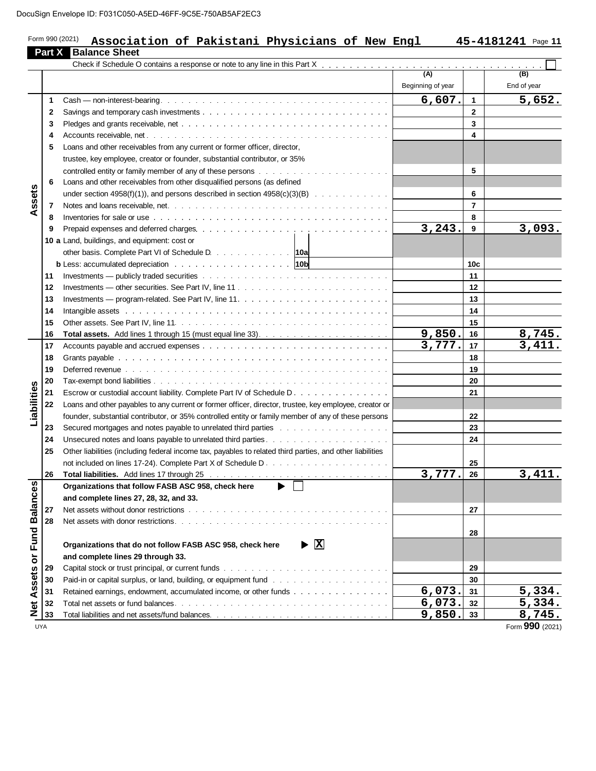|              | Association of Pakistani Physicians of New Engl<br><b>Part X</b> Balance Sheet                                                                                                                                                 |                                       |                | 45-4181241 Page 11  |
|--------------|--------------------------------------------------------------------------------------------------------------------------------------------------------------------------------------------------------------------------------|---------------------------------------|----------------|---------------------|
|              |                                                                                                                                                                                                                                |                                       |                |                     |
|              |                                                                                                                                                                                                                                | $\overline{(A)}$<br>Beginning of year |                | (B)<br>End of year  |
| 1            |                                                                                                                                                                                                                                | 6,607.                                | $\mathbf{1}$   | 5,652.              |
| $\mathbf{2}$ |                                                                                                                                                                                                                                |                                       | $\overline{2}$ |                     |
| 3            |                                                                                                                                                                                                                                |                                       | 3              |                     |
| 4            |                                                                                                                                                                                                                                |                                       | 4              |                     |
| 5            | Loans and other receivables from any current or former officer, director,                                                                                                                                                      |                                       |                |                     |
|              | trustee, key employee, creator or founder, substantial contributor, or 35%                                                                                                                                                     |                                       |                |                     |
|              |                                                                                                                                                                                                                                |                                       | 5              |                     |
| 6            | Loans and other receivables from other disqualified persons (as defined                                                                                                                                                        |                                       |                |                     |
|              | under section 4958(f)(1)), and persons described in section $4958(c)(3)(B)$ .                                                                                                                                                  |                                       | 6              |                     |
| 7            |                                                                                                                                                                                                                                |                                       | $\overline{7}$ |                     |
| 8            | Inventories for sale or use end and contained the contact of the contact of the contact of the contact of the contact of the contact of the contact of the contact of the contact of the contact of the contact of the contact |                                       | 8              |                     |
| 9            |                                                                                                                                                                                                                                | 3, 243.                               | 9              | 3,093.              |
|              | 10 a Land, buildings, and equipment: cost or                                                                                                                                                                                   |                                       |                |                     |
|              | other basis. Complete Part VI of Schedule D. 10a                                                                                                                                                                               |                                       |                |                     |
|              | <b>b</b> Less: accumulated depreciation 10b                                                                                                                                                                                    |                                       | 10c            |                     |
| 11           |                                                                                                                                                                                                                                |                                       | 11             |                     |
| 12           |                                                                                                                                                                                                                                |                                       | 12             |                     |
| 13           |                                                                                                                                                                                                                                |                                       | 13             |                     |
| 14           | Intangible assets response to the contract of the contract of the contract of the contract of the contract of the contract of the contract of the contract of the contract of the contract of the contract of the contract of  |                                       | 14             |                     |
| 15           |                                                                                                                                                                                                                                |                                       | 15             |                     |
| 16           |                                                                                                                                                                                                                                | 9,850.                                | 16             | <u>8,745.</u>       |
| 17           |                                                                                                                                                                                                                                | 3,777.                                | 17             | $\overline{3,411}.$ |
| 18           |                                                                                                                                                                                                                                |                                       | 18             |                     |
| 19           | Deferred revenue business and the contract of the contract of the contract of the contract of the contract of the contract of the contract of the contract of the contract of the contract of the contract of the contract of  |                                       | 19             |                     |
| 20           |                                                                                                                                                                                                                                |                                       | 20             |                     |
| 21           | Escrow or custodial account liability. Complete Part IV of Schedule D.                                                                                                                                                         |                                       | 21             |                     |
| 22           | Loans and other payables to any current or former officer, director, trustee, key employee, creator or                                                                                                                         |                                       |                |                     |
|              | founder, substantial contributor, or 35% controlled entity or family member of any of these persons                                                                                                                            |                                       | 22             |                     |
| 23           | Secured mortgages and notes payable to unrelated third parties with a substitution of the secured mortgages and notes payable to unrelated third parties with a substitution of the second secured with the second more second |                                       | 23             |                     |
| 24           |                                                                                                                                                                                                                                |                                       | 24             |                     |
| 25           | Other liabilities (including federal income tax, payables to related third parties, and other liabilities                                                                                                                      |                                       |                |                     |
|              |                                                                                                                                                                                                                                |                                       | 25             |                     |
| 26           |                                                                                                                                                                                                                                | 3,777.                                | 26             | 3,411.              |
|              | ь.<br>Organizations that follow FASB ASC 958, check here                                                                                                                                                                       |                                       |                |                     |
|              | and complete lines 27, 28, 32, and 33.                                                                                                                                                                                         |                                       |                |                     |
| 27           |                                                                                                                                                                                                                                |                                       | 27             |                     |
| 28           |                                                                                                                                                                                                                                |                                       |                |                     |
|              |                                                                                                                                                                                                                                |                                       | 28             |                     |
|              | $\blacktriangleright$ $\overline{\mathbf{X}}$<br>Organizations that do not follow FASB ASC 958, check here                                                                                                                     |                                       |                |                     |
|              | and complete lines 29 through 33.                                                                                                                                                                                              |                                       |                |                     |
| 29           |                                                                                                                                                                                                                                |                                       | 29             |                     |
| 30           |                                                                                                                                                                                                                                |                                       | 30             |                     |
| 31           | Retained earnings, endowment, accumulated income, or other funds                                                                                                                                                               | 6,073.                                | 31             | 5,334.              |
| 32           |                                                                                                                                                                                                                                | 6,073.                                | 32             | 5,334.              |
|              |                                                                                                                                                                                                                                |                                       |                |                     |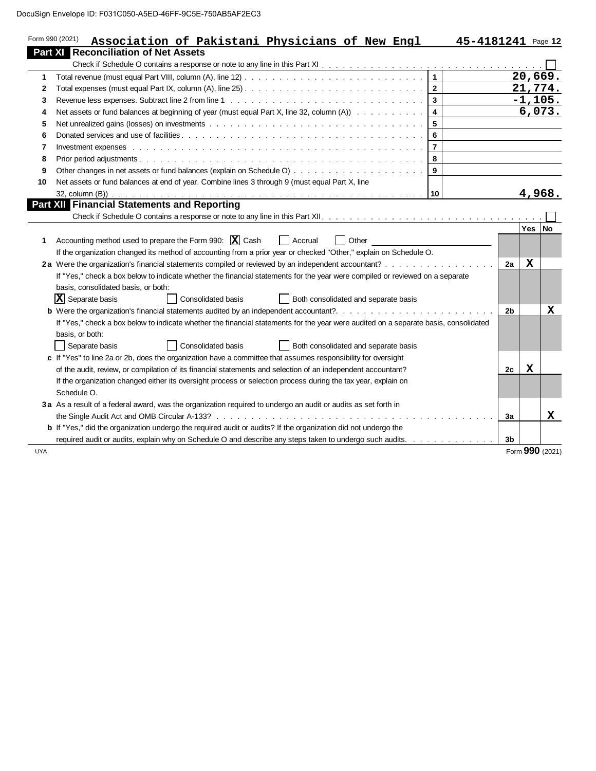| Form 990 (2021)<br>Association of Pakistani Physicians of New Engl                                                                                                                                                                                                                                                                                       |                         | 45-4181241 Page 12 |                |           |   |
|----------------------------------------------------------------------------------------------------------------------------------------------------------------------------------------------------------------------------------------------------------------------------------------------------------------------------------------------------------|-------------------------|--------------------|----------------|-----------|---|
| <b>Part XI Reconciliation of Net Assets</b>                                                                                                                                                                                                                                                                                                              |                         |                    |                |           |   |
|                                                                                                                                                                                                                                                                                                                                                          |                         |                    |                |           |   |
|                                                                                                                                                                                                                                                                                                                                                          | $\overline{1}$          |                    |                | 20,669.   |   |
|                                                                                                                                                                                                                                                                                                                                                          | $\overline{2}$          |                    |                | 21,774.   |   |
| Revenue less expenses. Subtract line 2 from line 1 (b) and a subset of the state of the state of the state of the state of the state of the state of the state of the state of the state of the state of the state of the stat                                                                                                                           | $\mathbf{3}$            |                    |                | $-1,105.$ |   |
| Net assets or fund balances at beginning of year (must equal Part X, line 32, column (A))                                                                                                                                                                                                                                                                | $\overline{\mathbf{4}}$ |                    |                | 6,073.    |   |
| Net unrealized gains (losses) on investments with a state of the state of the state of the state of the state of the state of the state of the state of the state of the state of the state of the state of the state of the s                                                                                                                           | 5                       |                    |                |           |   |
|                                                                                                                                                                                                                                                                                                                                                          | 6                       |                    |                |           |   |
| Investment expenses (expenses of the contract of the contract of the contract of the contract of the contract of the contract of the contract of the contract of the contract of the contract of the contract of the contract                                                                                                                            | $\overline{7}$          |                    |                |           |   |
|                                                                                                                                                                                                                                                                                                                                                          | 8                       |                    |                |           |   |
|                                                                                                                                                                                                                                                                                                                                                          | $\mathbf{9}$            |                    |                |           |   |
| Net assets or fund balances at end of year. Combine lines 3 through 9 (must equal Part X, line                                                                                                                                                                                                                                                           |                         |                    |                |           |   |
| <b>Part XII</b> Financial Statements and Reporting                                                                                                                                                                                                                                                                                                       | 10                      |                    |                | 4,968.    |   |
| Accounting method used to prepare the Form 990: $X$ Cash<br>Other<br>  Accrual                                                                                                                                                                                                                                                                           |                         |                    |                | Yes   No  |   |
| If the organization changed its method of accounting from a prior year or checked "Other," explain on Schedule O.<br>2a Were the organization's financial statements compiled or reviewed by an independent accountant?<br>If "Yes," check a box below to indicate whether the financial statements for the year were compiled or reviewed on a separate |                         |                    | 2a             | X         |   |
| basis, consolidated basis, or both:                                                                                                                                                                                                                                                                                                                      |                         |                    |                |           |   |
| $ \mathbf{X} $ Separate basis<br>Consolidated basis<br>Both consolidated and separate basis                                                                                                                                                                                                                                                              |                         |                    | 2 <sub>b</sub> |           |   |
| If "Yes," check a box below to indicate whether the financial statements for the year were audited on a separate basis, consolidated<br>basis, or both:<br><b>Consolidated basis</b><br>Separate basis<br>Both consolidated and separate basis                                                                                                           |                         |                    |                |           | х |
| c If "Yes" to line 2a or 2b, does the organization have a committee that assumes responsibility for oversight                                                                                                                                                                                                                                            |                         |                    |                |           |   |
| of the audit, review, or compilation of its financial statements and selection of an independent accountant?                                                                                                                                                                                                                                             |                         |                    | 2c             | X         |   |
| If the organization changed either its oversight process or selection process during the tax year, explain on                                                                                                                                                                                                                                            |                         |                    |                |           |   |
| Schedule O.                                                                                                                                                                                                                                                                                                                                              |                         |                    |                |           |   |
| 3a As a result of a federal award, was the organization required to undergo an audit or audits as set forth in                                                                                                                                                                                                                                           |                         |                    |                |           |   |
|                                                                                                                                                                                                                                                                                                                                                          |                         |                    | За             |           | X |
| b If "Yes," did the organization undergo the required audit or audits? If the organization did not undergo the<br>required audit or audits, explain why on Schedule O and describe any steps taken to undergo such audits.                                                                                                                               |                         |                    | 3b             |           |   |

 $\overline{\phantom{a}}$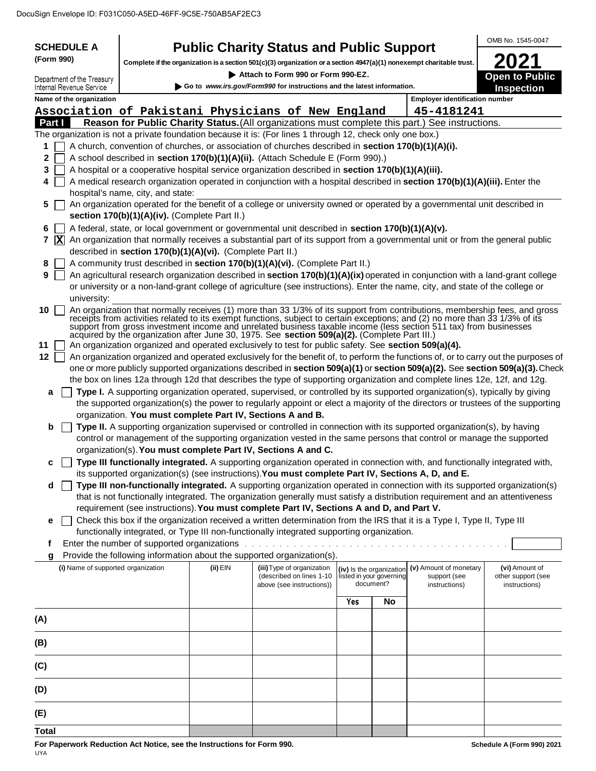|                                                                                                            |                                                            |            |                                                                                                                                                                                                                                                                                                                                                                                                                                                                                  |     |                                       |                                       | OMB No. 1545-0047                                                                                                                   |
|------------------------------------------------------------------------------------------------------------|------------------------------------------------------------|------------|----------------------------------------------------------------------------------------------------------------------------------------------------------------------------------------------------------------------------------------------------------------------------------------------------------------------------------------------------------------------------------------------------------------------------------------------------------------------------------|-----|---------------------------------------|---------------------------------------|-------------------------------------------------------------------------------------------------------------------------------------|
| <b>SCHEDULE A</b><br>(Form 990)                                                                            |                                                            |            | <b>Public Charity Status and Public Support</b>                                                                                                                                                                                                                                                                                                                                                                                                                                  |     |                                       |                                       |                                                                                                                                     |
|                                                                                                            |                                                            |            | Complete if the organization is a section 501(c)(3) organization or a section 4947(a)(1) nonexempt charitable trust.                                                                                                                                                                                                                                                                                                                                                             |     |                                       |                                       |                                                                                                                                     |
| Department of the Treasury<br>Internal Revenue Service                                                     |                                                            |            | Attach to Form 990 or Form 990-EZ.<br>Go to www.irs.gov/Form990 for instructions and the latest information.                                                                                                                                                                                                                                                                                                                                                                     |     |                                       |                                       | <b>Open to Public</b>                                                                                                               |
| Name of the organization                                                                                   |                                                            |            |                                                                                                                                                                                                                                                                                                                                                                                                                                                                                  |     |                                       | <b>Employer identification number</b> | <b>Inspection</b>                                                                                                                   |
| Association of Pakistani Physicians of New England                                                         | 45-4181241                                                 |            |                                                                                                                                                                                                                                                                                                                                                                                                                                                                                  |     |                                       |                                       |                                                                                                                                     |
| Reason for Public Charity Status. (All organizations must complete this part.) See instructions.<br>Part I |                                                            |            |                                                                                                                                                                                                                                                                                                                                                                                                                                                                                  |     |                                       |                                       |                                                                                                                                     |
| The organization is not a private foundation because it is: (For lines 1 through 12, check only one box.)  |                                                            |            |                                                                                                                                                                                                                                                                                                                                                                                                                                                                                  |     |                                       |                                       |                                                                                                                                     |
| 1                                                                                                          |                                                            |            | A church, convention of churches, or association of churches described in section 170(b)(1)(A)(i).                                                                                                                                                                                                                                                                                                                                                                               |     |                                       |                                       |                                                                                                                                     |
| 2                                                                                                          |                                                            |            | A school described in section 170(b)(1)(A)(ii). (Attach Schedule E (Form 990).)                                                                                                                                                                                                                                                                                                                                                                                                  |     |                                       |                                       |                                                                                                                                     |
| 3                                                                                                          |                                                            |            | A hospital or a cooperative hospital service organization described in section 170(b)(1)(A)(iii).                                                                                                                                                                                                                                                                                                                                                                                |     |                                       |                                       |                                                                                                                                     |
| 4                                                                                                          |                                                            |            | A medical research organization operated in conjunction with a hospital described in section 170(b)(1)(A)(iii). Enter the                                                                                                                                                                                                                                                                                                                                                        |     |                                       |                                       |                                                                                                                                     |
|                                                                                                            | hospital's name, city, and state:                          |            |                                                                                                                                                                                                                                                                                                                                                                                                                                                                                  |     |                                       |                                       |                                                                                                                                     |
| 5                                                                                                          |                                                            |            | An organization operated for the benefit of a college or university owned or operated by a governmental unit described in                                                                                                                                                                                                                                                                                                                                                        |     |                                       |                                       |                                                                                                                                     |
|                                                                                                            | section 170(b)(1)(A)(iv). (Complete Part II.)              |            |                                                                                                                                                                                                                                                                                                                                                                                                                                                                                  |     |                                       |                                       |                                                                                                                                     |
| 6<br>$\mathbf{x}$<br>7                                                                                     |                                                            |            | A federal, state, or local government or governmental unit described in section 170(b)(1)(A)(v).<br>An organization that normally receives a substantial part of its support from a governmental unit or from the general public                                                                                                                                                                                                                                                 |     |                                       |                                       |                                                                                                                                     |
|                                                                                                            | described in section 170(b)(1)(A)(vi). (Complete Part II.) |            |                                                                                                                                                                                                                                                                                                                                                                                                                                                                                  |     |                                       |                                       |                                                                                                                                     |
| 8                                                                                                          |                                                            |            | A community trust described in section 170(b)(1)(A)(vi). (Complete Part II.)                                                                                                                                                                                                                                                                                                                                                                                                     |     |                                       |                                       |                                                                                                                                     |
| 9                                                                                                          |                                                            |            | An agricultural research organization described in section 170(b)(1)(A)(ix) operated in conjunction with a land-grant college                                                                                                                                                                                                                                                                                                                                                    |     |                                       |                                       |                                                                                                                                     |
|                                                                                                            |                                                            |            | or university or a non-land-grant college of agriculture (see instructions). Enter the name, city, and state of the college or                                                                                                                                                                                                                                                                                                                                                   |     |                                       |                                       |                                                                                                                                     |
| university:                                                                                                |                                                            |            |                                                                                                                                                                                                                                                                                                                                                                                                                                                                                  |     |                                       |                                       |                                                                                                                                     |
| 10                                                                                                         |                                                            |            | An organization that normally receives (1) more than 33 1/3% of its support from contributions, membership fees, and gross<br>receipts from activities related to its exempt functions, subject to certain exceptions; and (2) no more than 33 1/3% of its<br>support from gross investment income and unrelated business taxable income (less section 511 tax) from businesses<br>acquired by the organization after June 30, 1975. See section 509(a)(2). (Complete Part III.) |     |                                       |                                       |                                                                                                                                     |
| 11                                                                                                         |                                                            |            | An organization organized and operated exclusively to test for public safety. See section 509(a)(4).                                                                                                                                                                                                                                                                                                                                                                             |     |                                       |                                       |                                                                                                                                     |
| 12                                                                                                         |                                                            |            |                                                                                                                                                                                                                                                                                                                                                                                                                                                                                  |     |                                       |                                       | An organization organized and operated exclusively for the benefit of, to perform the functions of, or to carry out the purposes of |
|                                                                                                            |                                                            |            |                                                                                                                                                                                                                                                                                                                                                                                                                                                                                  |     |                                       |                                       | one or more publicly supported organizations described in section 509(a)(1) or section 509(a)(2). See section 509(a)(3). Check      |
|                                                                                                            |                                                            |            | the box on lines 12a through 12d that describes the type of supporting organization and complete lines 12e, 12f, and 12g.                                                                                                                                                                                                                                                                                                                                                        |     |                                       |                                       |                                                                                                                                     |
| a                                                                                                          |                                                            |            | Type I. A supporting organization operated, supervised, or controlled by its supported organization(s), typically by giving                                                                                                                                                                                                                                                                                                                                                      |     |                                       |                                       |                                                                                                                                     |
|                                                                                                            |                                                            |            | the supported organization(s) the power to regularly appoint or elect a majority of the directors or trustees of the supporting<br>organization. You must complete Part IV, Sections A and B.                                                                                                                                                                                                                                                                                    |     |                                       |                                       |                                                                                                                                     |
| b                                                                                                          |                                                            |            | Type II. A supporting organization supervised or controlled in connection with its supported organization(s), by having                                                                                                                                                                                                                                                                                                                                                          |     |                                       |                                       |                                                                                                                                     |
|                                                                                                            |                                                            |            | control or management of the supporting organization vested in the same persons that control or manage the supported                                                                                                                                                                                                                                                                                                                                                             |     |                                       |                                       |                                                                                                                                     |
|                                                                                                            |                                                            |            | organization(s). You must complete Part IV, Sections A and C.                                                                                                                                                                                                                                                                                                                                                                                                                    |     |                                       |                                       |                                                                                                                                     |
| c                                                                                                          |                                                            |            | Type III functionally integrated. A supporting organization operated in connection with, and functionally integrated with,                                                                                                                                                                                                                                                                                                                                                       |     |                                       |                                       |                                                                                                                                     |
|                                                                                                            |                                                            |            | its supported organization(s) (see instructions). You must complete Part IV, Sections A, D, and E.                                                                                                                                                                                                                                                                                                                                                                               |     |                                       |                                       |                                                                                                                                     |
| d                                                                                                          |                                                            |            | Type III non-functionally integrated. A supporting organization operated in connection with its supported organization(s)                                                                                                                                                                                                                                                                                                                                                        |     |                                       |                                       |                                                                                                                                     |
|                                                                                                            |                                                            |            | that is not functionally integrated. The organization generally must satisfy a distribution requirement and an attentiveness                                                                                                                                                                                                                                                                                                                                                     |     |                                       |                                       |                                                                                                                                     |
|                                                                                                            |                                                            |            | requirement (see instructions). You must complete Part IV, Sections A and D, and Part V.                                                                                                                                                                                                                                                                                                                                                                                         |     |                                       |                                       |                                                                                                                                     |
| е                                                                                                          |                                                            |            | Check this box if the organization received a written determination from the IRS that it is a Type I, Type II, Type III                                                                                                                                                                                                                                                                                                                                                          |     |                                       |                                       |                                                                                                                                     |
| f                                                                                                          |                                                            |            | functionally integrated, or Type III non-functionally integrated supporting organization.<br>Enter the number of supported organizations                                                                                                                                                                                                                                                                                                                                         |     |                                       |                                       |                                                                                                                                     |
| g                                                                                                          |                                                            |            | Provide the following information about the supported organization(s).                                                                                                                                                                                                                                                                                                                                                                                                           |     |                                       |                                       |                                                                                                                                     |
| (i) Name of supported organization                                                                         |                                                            | $(ii)$ EIN | (iii) Type of organization                                                                                                                                                                                                                                                                                                                                                                                                                                                       |     | (iv) Is the organization              | (v) Amount of monetary                | (vi) Amount of                                                                                                                      |
|                                                                                                            |                                                            |            | (described on lines 1-10<br>above (see instructions))                                                                                                                                                                                                                                                                                                                                                                                                                            |     | listed in your governing<br>document? | support (see<br>instructions)         | other support (see<br>instructions)                                                                                                 |
|                                                                                                            |                                                            |            |                                                                                                                                                                                                                                                                                                                                                                                                                                                                                  | Yes | No                                    |                                       |                                                                                                                                     |
| (A)                                                                                                        |                                                            |            |                                                                                                                                                                                                                                                                                                                                                                                                                                                                                  |     |                                       |                                       |                                                                                                                                     |
|                                                                                                            |                                                            |            |                                                                                                                                                                                                                                                                                                                                                                                                                                                                                  |     |                                       |                                       |                                                                                                                                     |
| (B)                                                                                                        |                                                            |            |                                                                                                                                                                                                                                                                                                                                                                                                                                                                                  |     |                                       |                                       |                                                                                                                                     |
| (C)                                                                                                        |                                                            |            |                                                                                                                                                                                                                                                                                                                                                                                                                                                                                  |     |                                       |                                       |                                                                                                                                     |
| (D)                                                                                                        |                                                            |            |                                                                                                                                                                                                                                                                                                                                                                                                                                                                                  |     |                                       |                                       |                                                                                                                                     |
| (E)                                                                                                        |                                                            |            |                                                                                                                                                                                                                                                                                                                                                                                                                                                                                  |     |                                       |                                       |                                                                                                                                     |
| <b>Total</b>                                                                                               |                                                            |            |                                                                                                                                                                                                                                                                                                                                                                                                                                                                                  |     |                                       |                                       |                                                                                                                                     |

**For Paperwork Reduction Act Notice, see the Instructions for Form 990.** UYA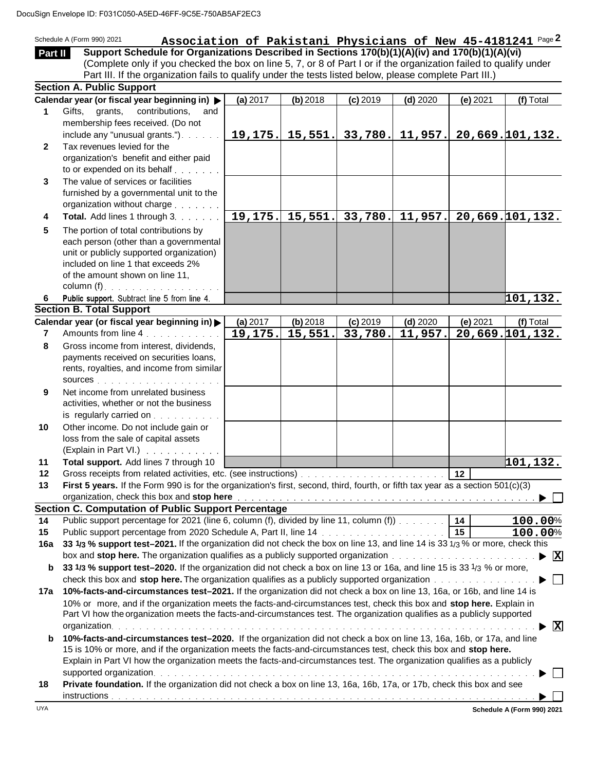|              | uSign Envelope ID: F031C050-A5ED-46FF-9C5E-750AB5AF2EC3                                                                                                                                                                                                                                      |          |            |                              |                        |                 |                 |
|--------------|----------------------------------------------------------------------------------------------------------------------------------------------------------------------------------------------------------------------------------------------------------------------------------------------|----------|------------|------------------------------|------------------------|-----------------|-----------------|
|              | Association of Pakistani Physicians of New 45-4181241 Page 2<br>Schedule A (Form 990) 2021                                                                                                                                                                                                   |          |            |                              |                        |                 |                 |
| Part II      | Support Schedule for Organizations Described in Sections 170(b)(1)(A)(iv) and 170(b)(1)(A)(vi)                                                                                                                                                                                               |          |            |                              |                        |                 |                 |
|              | (Complete only if you checked the box on line 5, 7, or 8 of Part I or if the organization failed to qualify under                                                                                                                                                                            |          |            |                              |                        |                 |                 |
|              | Part III. If the organization fails to qualify under the tests listed below, please complete Part III.)                                                                                                                                                                                      |          |            |                              |                        |                 |                 |
|              | <b>Section A. Public Support</b>                                                                                                                                                                                                                                                             |          |            |                              |                        |                 |                 |
|              | Calendar year (or fiscal year beginning in) >                                                                                                                                                                                                                                                | (a) 2017 | $(b)$ 2018 | $(c)$ 2019                   | $(d)$ 2020             | $(e)$ 2021      | (f) Total       |
| 1            | Gifts, grants,<br>contributions,<br>and                                                                                                                                                                                                                                                      |          |            |                              |                        |                 |                 |
|              | membership fees received. (Do not                                                                                                                                                                                                                                                            |          |            |                              |                        |                 |                 |
|              | include any "unusual grants.").<br>Tax revenues levied for the                                                                                                                                                                                                                               |          |            | $19, 175.$ 15, 551. 33, 780. | 11,957.                |                 | 20,669.101,132. |
| $\mathbf{2}$ | organization's benefit and either paid                                                                                                                                                                                                                                                       |          |            |                              |                        |                 |                 |
|              | to or expended on its behalf                                                                                                                                                                                                                                                                 |          |            |                              |                        |                 |                 |
| 3            | The value of services or facilities                                                                                                                                                                                                                                                          |          |            |                              |                        |                 |                 |
|              | furnished by a governmental unit to the                                                                                                                                                                                                                                                      |          |            |                              |                        |                 |                 |
|              | organization without charge                                                                                                                                                                                                                                                                  |          |            |                              |                        |                 |                 |
| 4            | Total. Add lines 1 through 3.                                                                                                                                                                                                                                                                | 19, 175. |            | $15,551.$ 33,780.            | $\overline{11}$ , 957. |                 | 20,669.101,132. |
| 5            | The portion of total contributions by                                                                                                                                                                                                                                                        |          |            |                              |                        |                 |                 |
|              | each person (other than a governmental                                                                                                                                                                                                                                                       |          |            |                              |                        |                 |                 |
|              | unit or publicly supported organization)                                                                                                                                                                                                                                                     |          |            |                              |                        |                 |                 |
|              | included on line 1 that exceeds 2%                                                                                                                                                                                                                                                           |          |            |                              |                        |                 |                 |
|              | of the amount shown on line 11,                                                                                                                                                                                                                                                              |          |            |                              |                        |                 |                 |
|              | column (f). $\ldots$                                                                                                                                                                                                                                                                         |          |            |                              |                        |                 |                 |
| 6.           | Public support. Subtract line 5 from line 4.                                                                                                                                                                                                                                                 |          |            |                              |                        |                 | 101,132.        |
|              | <b>Section B. Total Support</b>                                                                                                                                                                                                                                                              |          |            |                              |                        |                 |                 |
|              | Calendar year (or fiscal year beginning in)                                                                                                                                                                                                                                                  | (a) 2017 | $(b)$ 2018 | $(c)$ 2019                   | $(d)$ 2020             | (e) 2021        | (f) Total       |
| 7            | Amounts from line 4.                                                                                                                                                                                                                                                                         | 19,175.  | 15,551.    | 33,780.                      | 11,957.                |                 | 20,669.101,132. |
| 8            | Gross income from interest, dividends,                                                                                                                                                                                                                                                       |          |            |                              |                        |                 |                 |
|              | payments received on securities loans,<br>rents, royalties, and income from similar                                                                                                                                                                                                          |          |            |                              |                        |                 |                 |
|              | SOUICES                                                                                                                                                                                                                                                                                      |          |            |                              |                        |                 |                 |
| 9            | Net income from unrelated business                                                                                                                                                                                                                                                           |          |            |                              |                        |                 |                 |
|              | activities, whether or not the business                                                                                                                                                                                                                                                      |          |            |                              |                        |                 |                 |
|              | is regularly carried on                                                                                                                                                                                                                                                                      |          |            |                              |                        |                 |                 |
| 10           | Other income. Do not include gain or                                                                                                                                                                                                                                                         |          |            |                              |                        |                 |                 |
|              | loss from the sale of capital assets                                                                                                                                                                                                                                                         |          |            |                              |                        |                 |                 |
|              | (Explain in Part VI.)                                                                                                                                                                                                                                                                        |          |            |                              |                        |                 |                 |
| 11           | Total support. Add lines 7 through 10                                                                                                                                                                                                                                                        |          |            |                              |                        |                 | 101, 132.       |
| 12           |                                                                                                                                                                                                                                                                                              |          |            |                              |                        | 12              |                 |
| 13           | First 5 years. If the Form 990 is for the organization's first, second, third, fourth, or fifth tax year as a section 501(c)(3)                                                                                                                                                              |          |            |                              |                        |                 |                 |
|              | organization, check this box and stop here with a state of the state of the state of the state of the state of the state of the state of the state of the state of the state of the state of the state of the state of the sta<br><b>Section C. Computation of Public Support Percentage</b> |          |            |                              |                        |                 |                 |
| 14           | Public support percentage for 2021 (line 6, column (f), divided by line 11, column (f))                                                                                                                                                                                                      |          |            |                              |                        | 14              | 100.00%         |
| 15           |                                                                                                                                                                                                                                                                                              |          |            |                              |                        | $\overline{15}$ | 100.00%         |
| 16a          | 33 1/3 % support test-2021. If the organization did not check the box on line 13, and line 14 is 33 1/3 % or more, check this                                                                                                                                                                |          |            |                              |                        |                 |                 |
|              |                                                                                                                                                                                                                                                                                              |          |            |                              |                        |                 | - <u> </u> X    |
| b            | 33 1/3 % support test-2020. If the organization did not check a box on line 13 or 16a, and line 15 is 33 1/3 % or more,                                                                                                                                                                      |          |            |                              |                        |                 |                 |
|              | check this box and stop here. The organization qualifies as a publicly supported organization with a state of the state of the state of the state of the state of the state of the state of the state of the state of the stat                                                               |          |            |                              |                        |                 |                 |
| 17a          | 10%-facts-and-circumstances test-2021. If the organization did not check a box on line 13, 16a, or 16b, and line 14 is                                                                                                                                                                       |          |            |                              |                        |                 |                 |
|              | 10% or more, and if the organization meets the facts-and-circumstances test, check this box and stop here. Explain in                                                                                                                                                                        |          |            |                              |                        |                 |                 |
|              | Part VI how the organization meets the facts-and-circumstances test. The organization qualifies as a publicly supported                                                                                                                                                                      |          |            |                              |                        |                 |                 |
|              |                                                                                                                                                                                                                                                                                              |          |            |                              |                        |                 | ⊠               |
| b            | 10%-facts-and-circumstances test-2020. If the organization did not check a box on line 13, 16a, 16b, or 17a, and line                                                                                                                                                                        |          |            |                              |                        |                 |                 |
|              | 15 is 10% or more, and if the organization meets the facts-and-circumstances test, check this box and stop here.                                                                                                                                                                             |          |            |                              |                        |                 |                 |
|              | Explain in Part VI how the organization meets the facts-and-circumstances test. The organization qualifies as a publicly                                                                                                                                                                     |          |            |                              |                        |                 |                 |
|              | Private foundation. If the organization did not check a box on line 13, 16a, 16b, 17a, or 17b, check this box and see                                                                                                                                                                        |          |            |                              |                        |                 |                 |
| 18           |                                                                                                                                                                                                                                                                                              |          |            |                              |                        |                 |                 |
|              |                                                                                                                                                                                                                                                                                              |          |            |                              |                        |                 |                 |

**Schedule A (Form 990) 2021**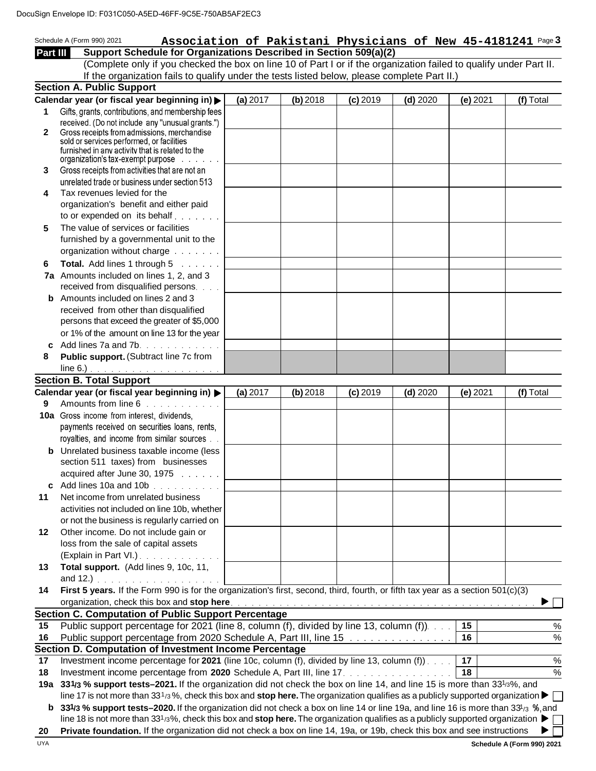|          | JSign Envelope ID: F031C050-A5ED-46FF-9C5E-750AB5AF2EC3                                                                                              |          |            |            |            |            |               |
|----------|------------------------------------------------------------------------------------------------------------------------------------------------------|----------|------------|------------|------------|------------|---------------|
|          | Schedule A (Form 990) 2021<br>Association of Pakistani Physicians of New 45-4181241 Page 3                                                           |          |            |            |            |            |               |
| Part III | Support Schedule for Organizations Described in Section 509(a)(2)                                                                                    |          |            |            |            |            |               |
|          | (Complete only if you checked the box on line 10 of Part I or if the organization failed to qualify under Part II.                                   |          |            |            |            |            |               |
|          | If the organization fails to qualify under the tests listed below, please complete Part II.)                                                         |          |            |            |            |            |               |
|          | <b>Section A. Public Support</b>                                                                                                                     |          |            |            |            |            |               |
|          | Calendar year (or fiscal year beginning in) >                                                                                                        | (a) 2017 | $(b)$ 2018 | $(c)$ 2019 | $(d)$ 2020 | $(e)$ 2021 | (f) Total     |
| 1        | Gifts, grants, contributions, and membership fees                                                                                                    |          |            |            |            |            |               |
|          | received. (Do not include any "unusual grants.")                                                                                                     |          |            |            |            |            |               |
| 2        | Gross receipts from admissions, merchandise<br>sold or services performed, or facilities                                                             |          |            |            |            |            |               |
|          | furnished in any activity that is related to the                                                                                                     |          |            |            |            |            |               |
|          | organization's tax-exempt purpose<br>and a straight                                                                                                  |          |            |            |            |            |               |
| 3        | Gross receipts from activities that are not an                                                                                                       |          |            |            |            |            |               |
|          | unrelated trade or business under section 513                                                                                                        |          |            |            |            |            |               |
| 4        | Tax revenues levied for the                                                                                                                          |          |            |            |            |            |               |
|          | organization's benefit and either paid<br>to or expended on its behalf                                                                               |          |            |            |            |            |               |
| 5        | The value of services or facilities                                                                                                                  |          |            |            |            |            |               |
|          | furnished by a governmental unit to the                                                                                                              |          |            |            |            |            |               |
|          | organization without charge                                                                                                                          |          |            |            |            |            |               |
| 6        | Total. Add lines 1 through 5                                                                                                                         |          |            |            |            |            |               |
|          | 7a Amounts included on lines 1, 2, and 3                                                                                                             |          |            |            |            |            |               |
|          | received from disqualified persons                                                                                                                   |          |            |            |            |            |               |
|          | <b>b</b> Amounts included on lines 2 and 3                                                                                                           |          |            |            |            |            |               |
|          | received from other than disqualified                                                                                                                |          |            |            |            |            |               |
|          | persons that exceed the greater of \$5,000                                                                                                           |          |            |            |            |            |               |
|          | or 1% of the amount on line 13 for the year                                                                                                          |          |            |            |            |            |               |
|          | c Add lines 7a and 7b. $\ldots$                                                                                                                      |          |            |            |            |            |               |
| 8        | Public support. (Subtract line 7c from                                                                                                               |          |            |            |            |            |               |
|          |                                                                                                                                                      |          |            |            |            |            |               |
|          | <b>Section B. Total Support</b>                                                                                                                      |          |            |            |            |            |               |
| 9        | Calendar year (or fiscal year beginning in) ><br>Amounts from line 6                                                                                 | (a) 2017 | $(b)$ 2018 | $(c)$ 2019 | $(d)$ 2020 | (e) 2021   | (f) Total     |
|          | 10a Gross income from interest, dividends,                                                                                                           |          |            |            |            |            |               |
|          | payments received on securities loans, rents,                                                                                                        |          |            |            |            |            |               |
|          | royalties, and income from similar sources                                                                                                           |          |            |            |            |            |               |
|          | <b>b</b> Unrelated business taxable income (less                                                                                                     |          |            |            |            |            |               |
|          | section 511 taxes) from businesses                                                                                                                   |          |            |            |            |            |               |
|          | acquired after June 30, 1975                                                                                                                         |          |            |            |            |            |               |
|          | c Add lines 10a and 10b $\ldots$                                                                                                                     |          |            |            |            |            |               |
| 11       | Net income from unrelated business                                                                                                                   |          |            |            |            |            |               |
|          | activities not included on line 10b, whether                                                                                                         |          |            |            |            |            |               |
|          | or not the business is regularly carried on                                                                                                          |          |            |            |            |            |               |
| 12       | Other income. Do not include gain or                                                                                                                 |          |            |            |            |            |               |
|          | loss from the sale of capital assets                                                                                                                 |          |            |            |            |            |               |
|          | (Explain in Part VI.)                                                                                                                                |          |            |            |            |            |               |
| 13       | Total support. (Add lines 9, 10c, 11,<br>and 12.)                                                                                                    |          |            |            |            |            |               |
| 14       | First 5 years. If the Form 990 is for the organization's first, second, third, fourth, or fifth tax year as a section 501(c)(3)                      |          |            |            |            |            |               |
|          |                                                                                                                                                      |          |            |            |            |            |               |
|          | <b>Section C. Computation of Public Support Percentage</b>                                                                                           |          |            |            |            |            |               |
| 15       | Public support percentage for 2021 (line 8, column (f), divided by line 13, column (f)).                                                             |          |            |            |            | 15         | $\%$          |
| 16       | Public support percentage from 2020 Schedule A, Part III, line 15 manufacture and contact the sub-                                                   |          |            |            |            | 16         | $\%$          |
|          | Section D. Computation of Investment Income Percentage                                                                                               |          |            |            |            |            |               |
| 17       | Investment income percentage for 2021 (line 10c, column (f), divided by line 13, column (f)).                                                        |          |            |            |            | 17         | $\%$          |
| 18       | Investment income percentage from 2020 Schedule A, Part III, line 17.                                                                                |          |            |            |            | 18         | $\frac{6}{6}$ |
|          | 19a 331/3 % support tests–2021. If the organization did not check the box on line 14, and line 15 is more than 331/3%, and                           |          |            |            |            |            |               |
|          | line 17 is not more than 331/3%, check this box and stop here. The organization qualifies as a publicly supported organization $\blacktriangleright$ |          |            |            |            |            |               |
|          | 331/3 % support tests-2020. If the organization did not check a box on line 14 or line 19a, and line 16 is more than 33 <sup>1</sup> /3 %, and       |          |            |            |            |            |               |
|          | line 18 is not more than 331/3%, check this box and stop here. The organization qualifies as a publicly supported organization $\blacktriangleright$ |          |            |            |            |            |               |
| 20       | Private foundation. If the organization did not check a box on line 14, 19a, or 19b, check this box and see instructions                             |          |            |            |            |            |               |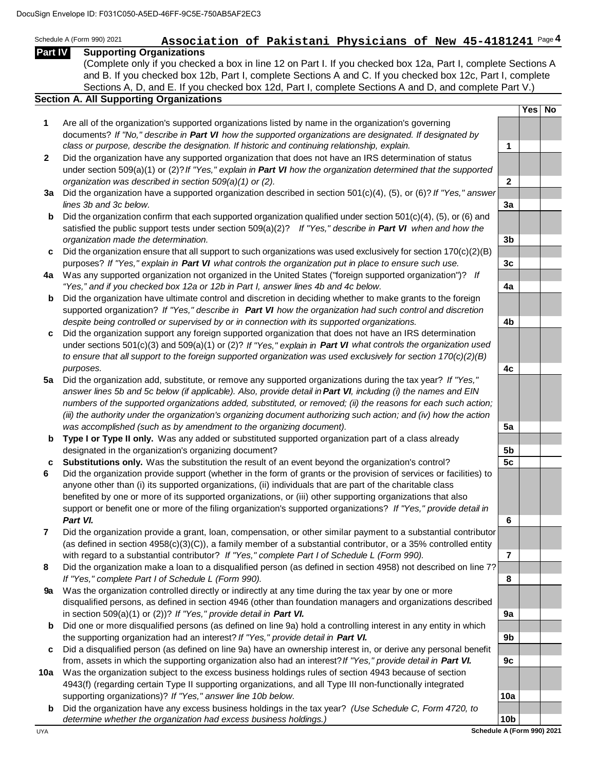|                | Sign Envelope ID: F031C050-A5ED-46FF-9C5E-750AB5AF2EC3                                                                                                                                                             |                      |     |           |
|----------------|--------------------------------------------------------------------------------------------------------------------------------------------------------------------------------------------------------------------|----------------------|-----|-----------|
|                | Association of Pakistani Physicians of New 45-4181241 Page 4<br>Schedule A (Form 990) 2021                                                                                                                         |                      |     |           |
| <b>Part IV</b> | <b>Supporting Organizations</b>                                                                                                                                                                                    |                      |     |           |
|                | (Complete only if you checked a box in line 12 on Part I. If you checked box 12a, Part I, complete Sections A                                                                                                      |                      |     |           |
|                | and B. If you checked box 12b, Part I, complete Sections A and C. If you checked box 12c, Part I, complete                                                                                                         |                      |     |           |
|                | Sections A, D, and E. If you checked box 12d, Part I, complete Sections A and D, and complete Part V.)                                                                                                             |                      |     |           |
|                | <b>Section A. All Supporting Organizations</b>                                                                                                                                                                     |                      |     |           |
|                |                                                                                                                                                                                                                    |                      | Yes | <b>No</b> |
| 1              | Are all of the organization's supported organizations listed by name in the organization's governing                                                                                                               |                      |     |           |
|                | documents? If "No," describe in Part VI how the supported organizations are designated. If designated by<br>class or purpose, describe the designation. If historic and continuing relationship, explain.          | $\blacktriangleleft$ |     |           |
| $\mathbf{2}$   | Did the organization have any supported organization that does not have an IRS determination of status                                                                                                             |                      |     |           |
|                | under section 509(a)(1) or (2)? If "Yes," explain in Part VI how the organization determined that the supported                                                                                                    |                      |     |           |
|                | organization was described in section 509(a)(1) or (2).                                                                                                                                                            | $\mathbf{2}$         |     |           |
| За             | Did the organization have a supported organization described in section $501(c)(4)$ , (5), or (6)? If "Yes," answer                                                                                                |                      |     |           |
|                | lines 3b and 3c below.                                                                                                                                                                                             | 3a                   |     |           |
| b              | Did the organization confirm that each supported organization qualified under section 501(c)(4), (5), or (6) and                                                                                                   |                      |     |           |
|                | satisfied the public support tests under section $509(a)(2)$ ? If "Yes," describe in <b>Part VI</b> when and how the                                                                                               |                      |     |           |
|                | organization made the determination.                                                                                                                                                                               | 3 <sub>b</sub>       |     |           |
| c              | Did the organization ensure that all support to such organizations was used exclusively for section $170(c)(2)(B)$                                                                                                 |                      |     |           |
|                | purposes? If "Yes," explain in Part VI what controls the organization put in place to ensure such use.                                                                                                             | 3c                   |     |           |
|                | 4a Was any supported organization not organized in the United States ("foreign supported organization")? If<br>"Yes," and if you checked box 12a or 12b in Part I, answer lines 4b and 4c below.                   | 4a                   |     |           |
| b              | Did the organization have ultimate control and discretion in deciding whether to make grants to the foreign                                                                                                        |                      |     |           |
|                | supported organization? If "Yes," describe in Part VI how the organization had such control and discretion                                                                                                         |                      |     |           |
|                | despite being controlled or supervised by or in connection with its supported organizations.                                                                                                                       | 4b                   |     |           |
| c              | Did the organization support any foreign supported organization that does not have an IRS determination                                                                                                            |                      |     |           |
|                | under sections 501(c)(3) and 509(a)(1) or (2)? If "Yes," explain in Part VI what controls the organization used                                                                                                    |                      |     |           |
|                | to ensure that all support to the foreign supported organization was used exclusively for section $170(c)(2)(B)$                                                                                                   |                      |     |           |
|                | purposes.                                                                                                                                                                                                          | 4c                   |     |           |
| 5a             | Did the organization add, substitute, or remove any supported organizations during the tax year? If "Yes,"                                                                                                         |                      |     |           |
|                | answer lines 5b and 5c below (if applicable). Also, provide detail in Part VI, including (i) the names and EIN                                                                                                     |                      |     |           |
|                | numbers of the supported organizations added, substituted, or removed; (ii) the reasons for each such action;                                                                                                      |                      |     |           |
|                | (iii) the authority under the organization's organizing document authorizing such action; and (iv) how the action<br>was accomplished (such as by amendment to the organizing document).                           | 5a                   |     |           |
| b              | Type I or Type II only. Was any added or substituted supported organization part of a class already                                                                                                                |                      |     |           |
|                | designated in the organization's organizing document?                                                                                                                                                              | 5b                   |     |           |
| c              | Substitutions only. Was the substitution the result of an event beyond the organization's control?                                                                                                                 | 5c                   |     |           |
| 6              | Did the organization provide support (whether in the form of grants or the provision of services or facilities) to                                                                                                 |                      |     |           |
|                | anyone other than (i) its supported organizations, (ii) individuals that are part of the charitable class                                                                                                          |                      |     |           |
|                | benefited by one or more of its supported organizations, or (iii) other supporting organizations that also                                                                                                         |                      |     |           |
|                | support or benefit one or more of the filing organization's supported organizations? If "Yes," provide detail in                                                                                                   |                      |     |           |
|                | Part VI.                                                                                                                                                                                                           | 6                    |     |           |
| 7              | Did the organization provide a grant, loan, compensation, or other similar payment to a substantial contributor                                                                                                    |                      |     |           |
|                | (as defined in section 4958(c)(3)(C)), a family member of a substantial contributor, or a 35% controlled entity<br>with regard to a substantial contributor? If "Yes," complete Part I of Schedule L (Form 990).   | 7                    |     |           |
| 8              | Did the organization make a loan to a disqualified person (as defined in section 4958) not described on line 7?                                                                                                    |                      |     |           |
|                | If "Yes," complete Part I of Schedule L (Form 990).                                                                                                                                                                | 8                    |     |           |
| <b>9a</b>      | Was the organization controlled directly or indirectly at any time during the tax year by one or more                                                                                                              |                      |     |           |
|                | disqualified persons, as defined in section 4946 (other than foundation managers and organizations described                                                                                                       |                      |     |           |
|                | in section 509(a)(1) or (2))? If "Yes," provide detail in Part VI.                                                                                                                                                 | 9a                   |     |           |
| b              | Did one or more disqualified persons (as defined on line 9a) hold a controlling interest in any entity in which                                                                                                    |                      |     |           |
|                | the supporting organization had an interest? If "Yes," provide detail in Part VI.                                                                                                                                  | 9b                   |     |           |
| c              | Did a disqualified person (as defined on line 9a) have an ownership interest in, or derive any personal benefit                                                                                                    |                      |     |           |
|                | from, assets in which the supporting organization also had an interest? If "Yes," provide detail in Part VI.                                                                                                       | 9c                   |     |           |
| 10a            | Was the organization subject to the excess business holdings rules of section 4943 because of section<br>4943(f) (regarding certain Type II supporting organizations, and all Type III non-functionally integrated |                      |     |           |
|                | supporting organizations)? If "Yes," answer line 10b below.                                                                                                                                                        | 10a                  |     |           |
| b              | Did the organization have any excess business holdings in the tax year? (Use Schedule C, Form 4720, to                                                                                                             |                      |     |           |
|                | determine whether the organization had excess business holdings.)                                                                                                                                                  | 10 <sub>b</sub>      |     |           |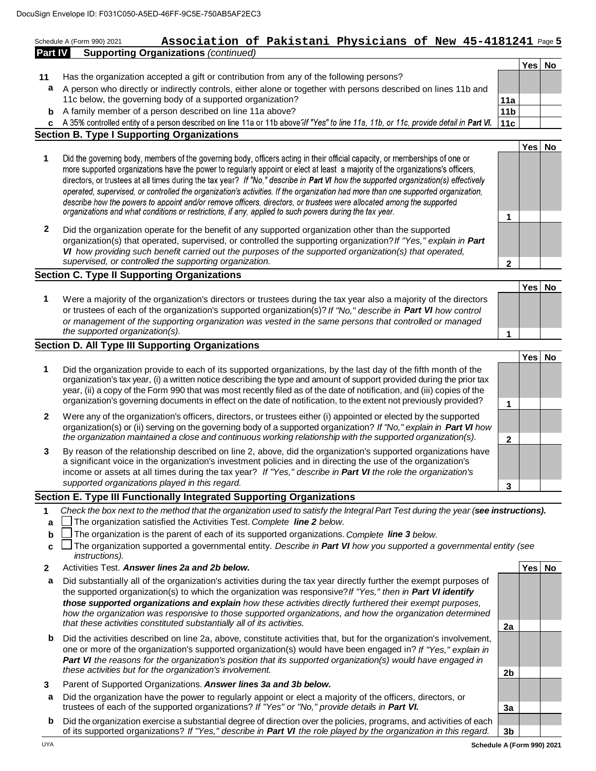### Schedule A (Form 990) 2021 **ASSociation of Pakistani Physicians of New 45-4181241** Page 5 **Part IV Supporting Organizations** *(continued)* 46FF-9C5E-750AB5AF2EC3<br>**Association of Pakistani Physicians of New 45-4181241** Page

- **11** Has the organization accepted a gift or contribution from any of the following persons?
- **a** A person who directly or indirectly controls, either alone or together with persons described on lines 11b and 11c below, the governing body of a supported organization? **11a**
- **b** A family member of a person described on line 11a above? **11b 11b 11b 11b**

**c** A 35% controlled entity of a person described on line 11a or 11b above?If "Yes" to line 11a, 11b, or 11c, provide detail in Part VI. 11c **Section B. Type I Supporting Organizations**

- **Yes No 1**  Did the governing body, members of the governing body, officers acting in their official capacity, or memberships of one or more supported organizations have the power to regularly appoint or elect at least a majority of the organizations's officers, directors, or trustees at all times during the tax year? If "No," describe in Part VI how the supported organization(s) effectively operated, supervised, or controlled the organization's activities. If the organization had more than one supported organization, describe how the powers to appoint and/or remove officers, directors, or trustees were allocated among the supported organizations and what conditions or restrictions, if any, applied to such powers during the tax year. **1** 
	- **2** Did the organization operate for the benefit of any supported organization other than the supported organization(s) that operated, supervised, or controlled the supporting organization? *If "Yes," explain in Part VI how providing such benefit carried out the purposes of the supported organization(s) that operated, supervised, or controlled the supporting organization.* **2**

#### **Section C. Type II Supporting Organizations**

**1** Were a majority of the organization's directors or trustees during the tax year also a majority of the directors or trustees of each of the organization's supported organization(s)? *If "No," describe in Part VI how control or management of the supporting organization was vested in the same persons that controlled or managed the supported organization(s).* 

#### **Section D. All Type III Supporting Organizations**

|                                                                                                                                                                                                                                                                                                                                                                                                                                                                                       | Yes |  |
|---------------------------------------------------------------------------------------------------------------------------------------------------------------------------------------------------------------------------------------------------------------------------------------------------------------------------------------------------------------------------------------------------------------------------------------------------------------------------------------|-----|--|
| Did the organization provide to each of its supported organizations, by the last day of the fifth month of the<br>organization's tax year, (i) a written notice describing the type and amount of support provided during the prior tax<br>year, (ii) a copy of the Form 990 that was most recently filed as of the date of notification, and (iii) copies of the<br>organization's governing documents in effect on the date of notification, to the extent not previously provided? |     |  |
| Were any of the organization's officers, directors, or trustees either (i) appointed or elected by the supported<br>organization(s) or (ii) serving on the governing body of a supported organization? If "No," explain in Part VI how<br>the organization maintained a close and continuous working relationship with the supported organization(s).                                                                                                                                 |     |  |
| By reason of the relationship described on line 2, above, did the organization's supported organizations have                                                                                                                                                                                                                                                                                                                                                                         |     |  |

a significant voice in the organization's investment policies and in directing the use of the organization's income or assets at all times during the tax year? *If "Yes," describe in Part VI the role the organization's supported organizations played in this regard.* **3** 

#### **Section E. Type III Functionally Integrated Supporting Organizations**

- **1** *Check the box next to the method that the organization used to satisfy the Integral Part Test during the year ( see instructions).*
- **a** The organization satisfied the Activities Test. *Complete line 2 below.*
- **b** The organization is the parent of each of its supported organizations. *Complete line 3 below.*
- **c** □ The organization supported a governmental entity. *Describe in Part Ⅵ how you supported a governmental entity (see instructions).*
- **2** Activities Test. *Answer lines 2a and 2b below.* **Yes No**
- **a** Did substantially all of the organization's activities during the tax year directly further the exempt purposes of the supported organization(s) to which the organization was responsive? *If "Yes," then in Part VI identify those supported organizations and explain how these activities directly furthered their exempt purposes,*  how the organization was responsive to those supported organizations, and how the organization determined *that these activities constituted substantially all of its activities.* **2a**
- **b** Did the activities described on line 2a, above, constitute activities that, but for the organization's involvement, one or more of the organization's supported organization(s) would have been engaged in? *If "Yes," explain in Part VI the reasons for the organization's position that its supported organization(s) would have engaged in these activities but for the organization's involvement.* **2b 2b 2b 2b 2b 2b**
- **3** Parent of Supported Organizations. *Answer lines 3a and 3b below.*
- **a** Did the organization have the power to regularly appoint or elect a majority of the officers, directors, or trustees of each of the supported organizations? If "Yes" or "No," provide details in Part VI. **In the Soute 1** 3a
- **b** Did the organization exercise a substantial degree of direction over the policies, programs, and activities of each of its supported organizations? *If "Yes," describe in Part VI the role played by the organization in this regard.* **3b**

**Yes No**

**Yes No**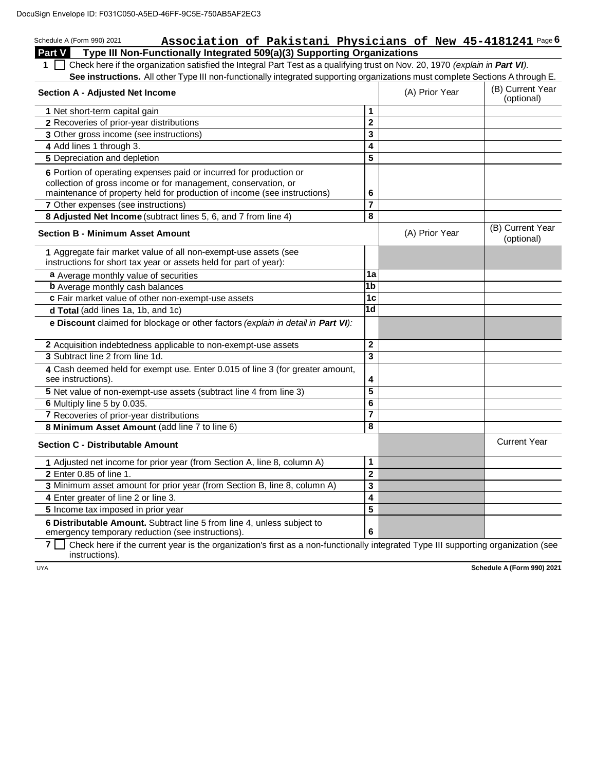### Schedule A (Form 990) 2021 **Association of Pakistani Physicians of New 45-4181241** Page 6 **Part V Type III Non-Functionally Integrated 509(a)(3) Supporting Organizations**  46FF-9C5E-750AB5AF2EC3<br>**Association of Pakistani Physicians of New 45-4181241** <sup>Page (</sup><br>ctionally Integrated 509(a)(3) Supporting Organizations

1  $\Box$  Check here if the organization satisfied the Integral Part Test as a qualifying trust on Nov. 20, 1970 *(explain in Part VI).* See instructions. All other Type III non-functionally integrated supporting organizations must complete Sections A through E.

| (B) Current Year<br>(optional) |
|--------------------------------|
|                                |
|                                |
|                                |
|                                |
|                                |
|                                |
|                                |
|                                |
|                                |
|                                |
|                                |
|                                |
|                                |
| <b>Current Year</b>            |
|                                |
|                                |
|                                |
|                                |
|                                |
|                                |
|                                |

**7**  $\Box$  Check here if the current year is the organization's first as a non-functionally integrated Type III supporting organization (see instructions).

UYA **Schedule A (Form 990) 2021**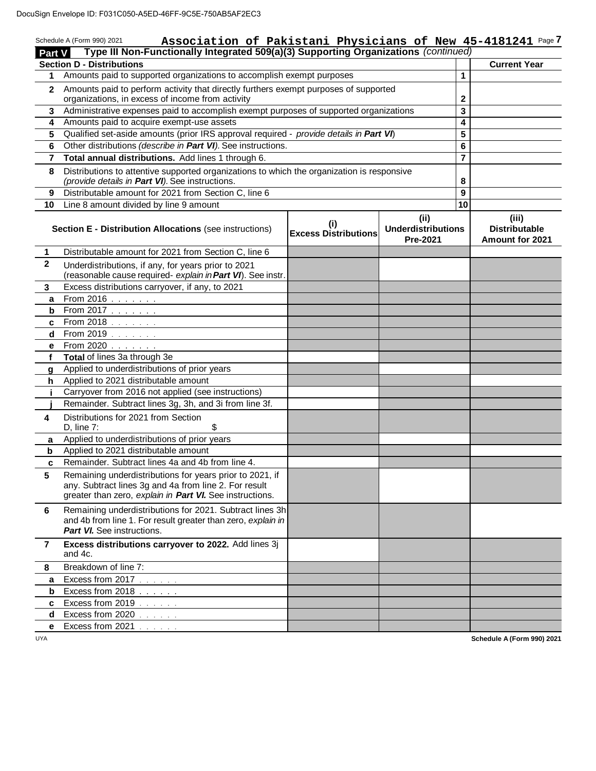|              | Type III Non-Functionally Integrated 509(a)(3) Supporting Organizations (continued)<br><b>Part V</b>                                                                          | Association of Pakistani Physicians of New 45-4181241 Page 7 |                                                     |                |                                                  |
|--------------|-------------------------------------------------------------------------------------------------------------------------------------------------------------------------------|--------------------------------------------------------------|-----------------------------------------------------|----------------|--------------------------------------------------|
|              | <b>Section D - Distributions</b>                                                                                                                                              |                                                              |                                                     |                | <b>Current Year</b>                              |
| 1            | Amounts paid to supported organizations to accomplish exempt purposes                                                                                                         |                                                              |                                                     | 1              |                                                  |
| $\mathbf{2}$ | Amounts paid to perform activity that directly furthers exempt purposes of supported                                                                                          |                                                              |                                                     |                |                                                  |
|              | organizations, in excess of income from activity                                                                                                                              |                                                              |                                                     | $\mathbf{2}$   |                                                  |
| 3            | Administrative expenses paid to accomplish exempt purposes of supported organizations                                                                                         |                                                              |                                                     | 3              |                                                  |
| 4            | Amounts paid to acquire exempt-use assets                                                                                                                                     |                                                              |                                                     | 4              |                                                  |
| 5            | Qualified set-aside amounts (prior IRS approval required - provide details in Part VI)                                                                                        |                                                              |                                                     | 5              |                                                  |
| 6            | Other distributions (describe in Part VI). See instructions.                                                                                                                  |                                                              |                                                     | 6              |                                                  |
| 7            | Total annual distributions. Add lines 1 through 6.                                                                                                                            |                                                              |                                                     | $\overline{7}$ |                                                  |
| 8            | Distributions to attentive supported organizations to which the organization is responsive<br>(provide details in Part VI). See instructions.                                 |                                                              |                                                     | 8              |                                                  |
| 9            | Distributable amount for 2021 from Section C, line 6                                                                                                                          |                                                              |                                                     | 9              |                                                  |
| 10           | Line 8 amount divided by line 9 amount                                                                                                                                        |                                                              |                                                     | 10             |                                                  |
|              | <b>Section E - Distribution Allocations (see instructions)</b>                                                                                                                | (i)<br><b>Excess Distributions</b>                           | (i)<br><b>Underdistributions</b><br><b>Pre-2021</b> |                | (iii)<br><b>Distributable</b><br>Amount for 2021 |
| $\mathbf 1$  | Distributable amount for 2021 from Section C, line 6                                                                                                                          |                                                              |                                                     |                |                                                  |
| $\mathbf{2}$ | Underdistributions, if any, for years prior to 2021<br>(reasonable cause required- explain in Part VI). See instr.                                                            |                                                              |                                                     |                |                                                  |
| 3            | Excess distributions carryover, if any, to 2021                                                                                                                               |                                                              |                                                     |                |                                                  |
| a            | <b>From 2016</b> $\ldots$ $\ldots$                                                                                                                                            |                                                              |                                                     |                |                                                  |
| b            | From 2017                                                                                                                                                                     |                                                              |                                                     |                |                                                  |
| c            | From 2018                                                                                                                                                                     |                                                              |                                                     |                |                                                  |
| d            | From 2019                                                                                                                                                                     |                                                              |                                                     |                |                                                  |
| е            | From 2020                                                                                                                                                                     |                                                              |                                                     |                |                                                  |
| f            | Total of lines 3a through 3e                                                                                                                                                  |                                                              |                                                     |                |                                                  |
| g            | Applied to underdistributions of prior years                                                                                                                                  |                                                              |                                                     |                |                                                  |
| h            | Applied to 2021 distributable amount                                                                                                                                          |                                                              |                                                     |                |                                                  |
| j.           | Carryover from 2016 not applied (see instructions)                                                                                                                            |                                                              |                                                     |                |                                                  |
|              | Remainder. Subtract lines 3g, 3h, and 3i from line 3f.                                                                                                                        |                                                              |                                                     |                |                                                  |
| 4            | Distributions for 2021 from Section<br>D, line $7:$<br>\$                                                                                                                     |                                                              |                                                     |                |                                                  |
| a            | Applied to underdistributions of prior years                                                                                                                                  |                                                              |                                                     |                |                                                  |
| b            | Applied to 2021 distributable amount                                                                                                                                          |                                                              |                                                     |                |                                                  |
| C            | Remainder. Subtract lines 4a and 4b from line 4.                                                                                                                              |                                                              |                                                     |                |                                                  |
| 5            | Remaining underdistributions for years prior to 2021, if<br>any. Subtract lines 3g and 4a from line 2. For result<br>greater than zero, explain in Part VI. See instructions. |                                                              |                                                     |                |                                                  |
| 6            | Remaining underdistributions for 2021. Subtract lines 3h<br>and 4b from line 1. For result greater than zero, explain in<br>Part VI. See instructions.                        |                                                              |                                                     |                |                                                  |
| 7            | Excess distributions carryover to 2022. Add lines 3j<br>and 4c.                                                                                                               |                                                              |                                                     |                |                                                  |
| 8            | Breakdown of line 7:                                                                                                                                                          |                                                              |                                                     |                |                                                  |
| a            | Excess from 2017                                                                                                                                                              |                                                              |                                                     |                |                                                  |
| b            | Excess from 2018                                                                                                                                                              |                                                              |                                                     |                |                                                  |
| c            | Excess from 2019                                                                                                                                                              |                                                              |                                                     |                |                                                  |
| d            | Excess from 2020                                                                                                                                                              |                                                              |                                                     |                |                                                  |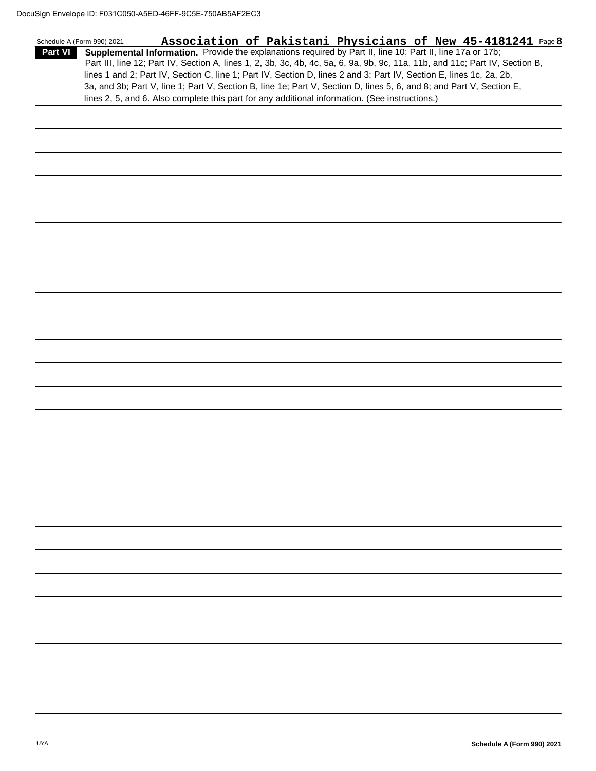|                | Association of Pakistani Physicians of New 45-4181241 Page 8<br>Schedule A (Form 990) 2021                                   |  |
|----------------|------------------------------------------------------------------------------------------------------------------------------|--|
| <b>Part VI</b> | Supplemental Information. Provide the explanations required by Part II, line 10; Part II, line 17a or 17b;                   |  |
|                | Part III, line 12; Part IV, Section A, lines 1, 2, 3b, 3c, 4b, 4c, 5a, 6, 9a, 9b, 9c, 11a, 11b, and 11c; Part IV, Section B, |  |
|                | lines 1 and 2; Part IV, Section C, line 1; Part IV, Section D, lines 2 and 3; Part IV, Section E, lines 1c, 2a, 2b,          |  |
|                | 3a, and 3b; Part V, line 1; Part V, Section B, line 1e; Part V, Section D, lines 5, 6, and 8; and Part V, Section E,         |  |
|                | lines 2, 5, and 6. Also complete this part for any additional information. (See instructions.)                               |  |
|                |                                                                                                                              |  |
|                |                                                                                                                              |  |
|                |                                                                                                                              |  |
|                |                                                                                                                              |  |
|                |                                                                                                                              |  |
|                |                                                                                                                              |  |
|                |                                                                                                                              |  |
|                |                                                                                                                              |  |
|                |                                                                                                                              |  |
|                |                                                                                                                              |  |
|                |                                                                                                                              |  |
|                |                                                                                                                              |  |
|                |                                                                                                                              |  |
|                |                                                                                                                              |  |
|                |                                                                                                                              |  |
|                |                                                                                                                              |  |
|                |                                                                                                                              |  |
|                |                                                                                                                              |  |
|                |                                                                                                                              |  |
|                |                                                                                                                              |  |
|                |                                                                                                                              |  |
|                |                                                                                                                              |  |
|                |                                                                                                                              |  |
|                |                                                                                                                              |  |
|                |                                                                                                                              |  |
|                |                                                                                                                              |  |
|                |                                                                                                                              |  |
|                |                                                                                                                              |  |
|                |                                                                                                                              |  |
|                |                                                                                                                              |  |
|                |                                                                                                                              |  |
|                |                                                                                                                              |  |
|                |                                                                                                                              |  |
|                |                                                                                                                              |  |
|                |                                                                                                                              |  |
|                |                                                                                                                              |  |
|                |                                                                                                                              |  |
|                |                                                                                                                              |  |
|                |                                                                                                                              |  |
|                |                                                                                                                              |  |
|                |                                                                                                                              |  |
|                |                                                                                                                              |  |
|                |                                                                                                                              |  |
|                |                                                                                                                              |  |
|                |                                                                                                                              |  |
|                |                                                                                                                              |  |
|                |                                                                                                                              |  |
|                |                                                                                                                              |  |
|                |                                                                                                                              |  |
|                |                                                                                                                              |  |
|                |                                                                                                                              |  |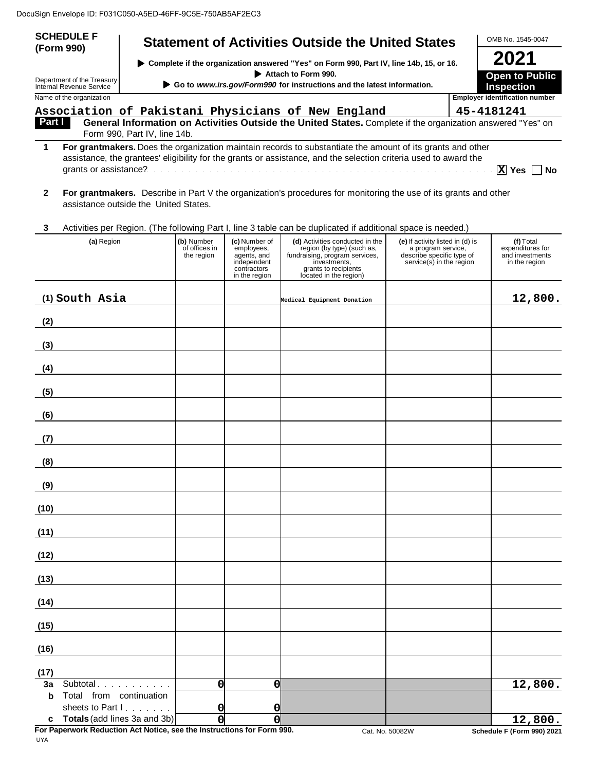| <b>SCHEDULE F</b>                                      |                                       |                                                                        |                                                                                           | <b>Statement of Activities Outside the United States</b>                                                                                                                                                                       |                                                                                                                 | OMB No. 1545-0047                                                   |
|--------------------------------------------------------|---------------------------------------|------------------------------------------------------------------------|-------------------------------------------------------------------------------------------|--------------------------------------------------------------------------------------------------------------------------------------------------------------------------------------------------------------------------------|-----------------------------------------------------------------------------------------------------------------|---------------------------------------------------------------------|
| (Form 990)                                             |                                       |                                                                        |                                                                                           | ▶ Complete if the organization answered "Yes" on Form 990, Part IV, line 14b, 15, or 16.                                                                                                                                       |                                                                                                                 | 2021                                                                |
| Department of the Treasury<br>Internal Revenue Service |                                       | Go to www.irs.gov/Form990 for instructions and the latest information. | <b>Open to Public</b><br><b>Inspection</b>                                                |                                                                                                                                                                                                                                |                                                                                                                 |                                                                     |
| Name of the organization                               |                                       |                                                                        |                                                                                           |                                                                                                                                                                                                                                |                                                                                                                 | <b>Employer identification number</b>                               |
| Part I                                                 |                                       |                                                                        |                                                                                           | Association of Pakistani Physicians of New England<br>General Information on Activities Outside the United States. Complete if the organization answered "Yes" on                                                              |                                                                                                                 | 45-4181241                                                          |
|                                                        | Form 990, Part IV, line 14b.          |                                                                        |                                                                                           |                                                                                                                                                                                                                                |                                                                                                                 |                                                                     |
| 1                                                      |                                       |                                                                        |                                                                                           | For grantmakers. Does the organization maintain records to substantiate the amount of its grants and other<br>assistance, the grantees' eligibility for the grants or assistance, and the selection criteria used to award the |                                                                                                                 | $\overline{X}$ Yes $\Box$<br>l No                                   |
| 2                                                      | assistance outside the United States. |                                                                        |                                                                                           | For grantmakers. Describe in Part V the organization's procedures for monitoring the use of its grants and other                                                                                                               |                                                                                                                 |                                                                     |
| 3                                                      |                                       |                                                                        |                                                                                           | Activities per Region. (The following Part I, line 3 table can be duplicated if additional space is needed.)                                                                                                                   |                                                                                                                 |                                                                     |
| (a) Region                                             |                                       | (b) Number<br>of offices in<br>the region                              | (c) Number of<br>employees,<br>agents, and<br>independent<br>contractors<br>in the region | (d) Activities conducted in the<br>region (by type) (such as,<br>fundraising, program services,<br>investments,<br>grants to recipients<br>located in the region)                                                              | (e) If activity listed in (d) is<br>a program service,<br>describe specific type of<br>service(s) in the region | $(f)$ Total<br>expenditures for<br>and investments<br>in the region |
| (1) South Asia                                         |                                       |                                                                        |                                                                                           | Medical Equipment Donation                                                                                                                                                                                                     |                                                                                                                 | 12,800.                                                             |
| (2)                                                    |                                       |                                                                        |                                                                                           |                                                                                                                                                                                                                                |                                                                                                                 |                                                                     |
| (3)                                                    |                                       |                                                                        |                                                                                           |                                                                                                                                                                                                                                |                                                                                                                 |                                                                     |
| (4)                                                    |                                       |                                                                        |                                                                                           |                                                                                                                                                                                                                                |                                                                                                                 |                                                                     |
| (5)                                                    |                                       |                                                                        |                                                                                           |                                                                                                                                                                                                                                |                                                                                                                 |                                                                     |
| (6)                                                    |                                       |                                                                        |                                                                                           |                                                                                                                                                                                                                                |                                                                                                                 |                                                                     |
| (7)                                                    |                                       |                                                                        |                                                                                           |                                                                                                                                                                                                                                |                                                                                                                 |                                                                     |
| (8)                                                    |                                       |                                                                        |                                                                                           |                                                                                                                                                                                                                                |                                                                                                                 |                                                                     |
| (9)                                                    |                                       |                                                                        |                                                                                           |                                                                                                                                                                                                                                |                                                                                                                 |                                                                     |
| (10)                                                   |                                       |                                                                        |                                                                                           |                                                                                                                                                                                                                                |                                                                                                                 |                                                                     |
| (11)                                                   |                                       |                                                                        |                                                                                           |                                                                                                                                                                                                                                |                                                                                                                 |                                                                     |
| (12)                                                   |                                       |                                                                        |                                                                                           |                                                                                                                                                                                                                                |                                                                                                                 |                                                                     |
| (13)                                                   |                                       |                                                                        |                                                                                           |                                                                                                                                                                                                                                |                                                                                                                 |                                                                     |
| (14)                                                   |                                       |                                                                        |                                                                                           |                                                                                                                                                                                                                                |                                                                                                                 |                                                                     |
| (15)                                                   |                                       |                                                                        |                                                                                           |                                                                                                                                                                                                                                |                                                                                                                 |                                                                     |
| (16)                                                   |                                       |                                                                        |                                                                                           |                                                                                                                                                                                                                                |                                                                                                                 |                                                                     |

**(17) 3a** Subtotal **b** Total from continuation sheets to Part I. . . . . . . **c Totals** (add lines 3a and 3b) **0 0 12,800. 0 0** 12,800.<br>
0 0 0 0<br>
0 12,800.<br>
0 12,800.<br>
0 12,800.

**For Paperwork Reduction Act Notice, see the Instructions for Form 990.** Cat. No. 50082W **Schedule F (Form 990) 2021**<br>UYA

Cat. No. 50082W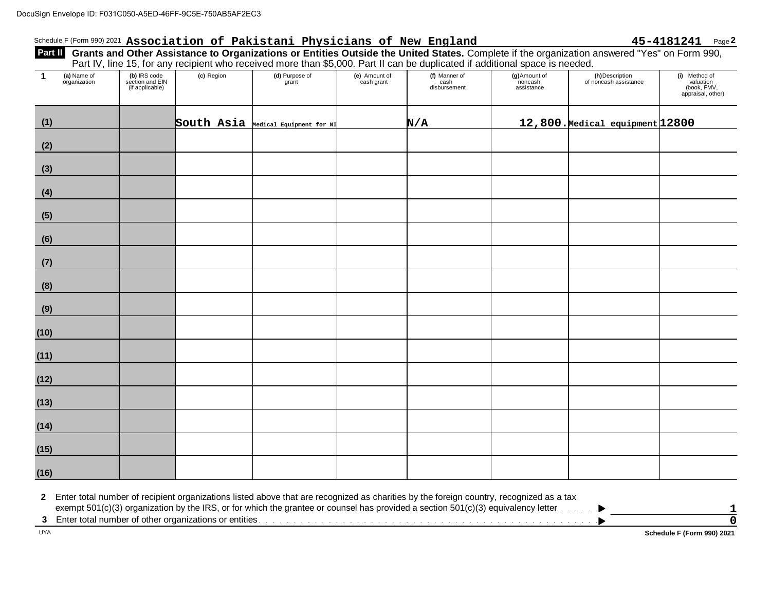#### Schedule F (Form 990) 2021 Association of Pakistani Physicians of New England 45-4181241 Page 2

## Part II Grants and Other Assistance to Organizations or Entities Outside the United States. Complete if the organization answered "Yes" on Form 990, Part IV, line 15, for any recipient who received more than \$5,000. Part II can be duplicated if additional space is needed. 50-A5ED-46FF-9C5E-750AB5AF2EC3<br>**Association of Pakistani Physicians of New England 45-4181241** Page<br>Other Assistance to Organizations or Entities Outside the United States Complete if the organization answered "Yes" on For

| $\mathbf{1}$ | (a) Name of<br>organization | (b) IRS code<br>section and EIN<br>(if applicable) | (c) Region | (d) Purpose of<br>grant             | (e) Amount of<br>cash grant | (f) Manner of<br>cash<br>disbursement | (g) Amount of<br>noncash<br>assistance | (h)Description<br>of noncash assistance | (i) Method of<br>valuation<br>(book, FMV,<br>appraisal, other) |
|--------------|-----------------------------|----------------------------------------------------|------------|-------------------------------------|-----------------------------|---------------------------------------|----------------------------------------|-----------------------------------------|----------------------------------------------------------------|
| (1)          |                             |                                                    |            | South Asia Medical Equipment for NI |                             | N/A                                   |                                        | 12,800. Medical equipment 12800         |                                                                |
| (2)          |                             |                                                    |            |                                     |                             |                                       |                                        |                                         |                                                                |
| (3)          |                             |                                                    |            |                                     |                             |                                       |                                        |                                         |                                                                |
| (4)          |                             |                                                    |            |                                     |                             |                                       |                                        |                                         |                                                                |
| (5)          |                             |                                                    |            |                                     |                             |                                       |                                        |                                         |                                                                |
| (6)          |                             |                                                    |            |                                     |                             |                                       |                                        |                                         |                                                                |
| (7)          |                             |                                                    |            |                                     |                             |                                       |                                        |                                         |                                                                |
| (8)          |                             |                                                    |            |                                     |                             |                                       |                                        |                                         |                                                                |
| (9)          |                             |                                                    |            |                                     |                             |                                       |                                        |                                         |                                                                |
| (10)         |                             |                                                    |            |                                     |                             |                                       |                                        |                                         |                                                                |
| (11)         |                             |                                                    |            |                                     |                             |                                       |                                        |                                         |                                                                |
| (12)         |                             |                                                    |            |                                     |                             |                                       |                                        |                                         |                                                                |
| (13)         |                             |                                                    |            |                                     |                             |                                       |                                        |                                         |                                                                |
| (14)         |                             |                                                    |            |                                     |                             |                                       |                                        |                                         |                                                                |
| (15)         |                             |                                                    |            |                                     |                             |                                       |                                        |                                         |                                                                |
| (16)         |                             |                                                    |            |                                     |                             |                                       |                                        |                                         |                                                                |

**2** Enter total number of recipient organizations listed above that are recognized as charities by the foreign country, recognized as a tax exempt 501(c)(3) organization by the IRS, or for which the grantee or counsel has provided a section 501(c)(3) equivalency letter

**3** Enter total number of other organizations or entities

UYA **Schedule F (Form 990) 2021**

▸

**1 0**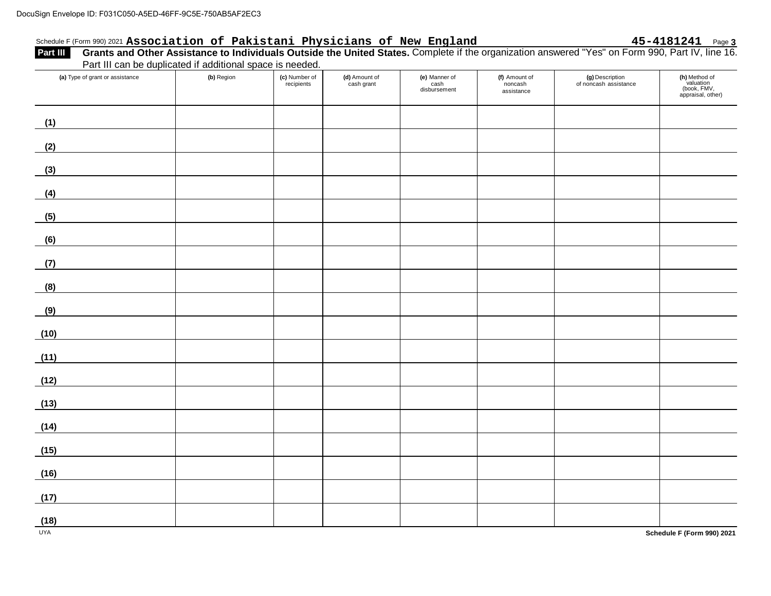#### Schedule F(Form 990) 2021 **Association of Pakistani Physicians of New England 45-4181241** Page **3**

| Sign Envelope ID: F031C050-A5ED-46FF-9C5E-750AB5AF2EC3                                                                                                                                                                                                                                        |            |                             |                             |                                       |                                        |                                          |                                                                |
|-----------------------------------------------------------------------------------------------------------------------------------------------------------------------------------------------------------------------------------------------------------------------------------------------|------------|-----------------------------|-----------------------------|---------------------------------------|----------------------------------------|------------------------------------------|----------------------------------------------------------------|
| Schedule F (Form 990) 2021 Association of Pakistani Physicians of New England 45-4181241 Page 3<br>Part III Grants and Other Assistance to Individuals Outside the United States. Complete if the organization answered "Yes" on<br>Part III can be duplicated if additional space is needed. |            |                             |                             |                                       |                                        |                                          |                                                                |
| (a) Type of grant or assistance                                                                                                                                                                                                                                                               | (b) Region | (c) Number of<br>recipients | (d) Amount of<br>cash grant | (e) Manner of<br>cash<br>disbursement | (f) Amount of<br>noncash<br>assistance | (g) Description<br>of noncash assistance | (h) Method of<br>valuation<br>(book, FMV,<br>appraisal, other) |
| (1)                                                                                                                                                                                                                                                                                           |            |                             |                             |                                       |                                        |                                          |                                                                |
| (2)                                                                                                                                                                                                                                                                                           |            |                             |                             |                                       |                                        |                                          |                                                                |
| (3)                                                                                                                                                                                                                                                                                           |            |                             |                             |                                       |                                        |                                          |                                                                |
| (4)                                                                                                                                                                                                                                                                                           |            |                             |                             |                                       |                                        |                                          |                                                                |
| (5)                                                                                                                                                                                                                                                                                           |            |                             |                             |                                       |                                        |                                          |                                                                |
| (6)                                                                                                                                                                                                                                                                                           |            |                             |                             |                                       |                                        |                                          |                                                                |
| (7)                                                                                                                                                                                                                                                                                           |            |                             |                             |                                       |                                        |                                          |                                                                |
| (8)                                                                                                                                                                                                                                                                                           |            |                             |                             |                                       |                                        |                                          |                                                                |
| (9)                                                                                                                                                                                                                                                                                           |            |                             |                             |                                       |                                        |                                          |                                                                |
| (10)                                                                                                                                                                                                                                                                                          |            |                             |                             |                                       |                                        |                                          |                                                                |
| (11)                                                                                                                                                                                                                                                                                          |            |                             |                             |                                       |                                        |                                          |                                                                |
| (12)                                                                                                                                                                                                                                                                                          |            |                             |                             |                                       |                                        |                                          |                                                                |
| (13)                                                                                                                                                                                                                                                                                          |            |                             |                             |                                       |                                        |                                          |                                                                |
| (14)                                                                                                                                                                                                                                                                                          |            |                             |                             |                                       |                                        |                                          |                                                                |
| (15)                                                                                                                                                                                                                                                                                          |            |                             |                             |                                       |                                        |                                          |                                                                |
| (16)                                                                                                                                                                                                                                                                                          |            |                             |                             |                                       |                                        |                                          |                                                                |
| (17)                                                                                                                                                                                                                                                                                          |            |                             |                             |                                       |                                        |                                          |                                                                |
| (18)                                                                                                                                                                                                                                                                                          |            |                             |                             |                                       |                                        |                                          |                                                                |
| <b>UYA</b>                                                                                                                                                                                                                                                                                    |            |                             |                             |                                       |                                        |                                          | Schedule F (Form 990) 2021                                     |

**Schedule F (Form 990) 2021**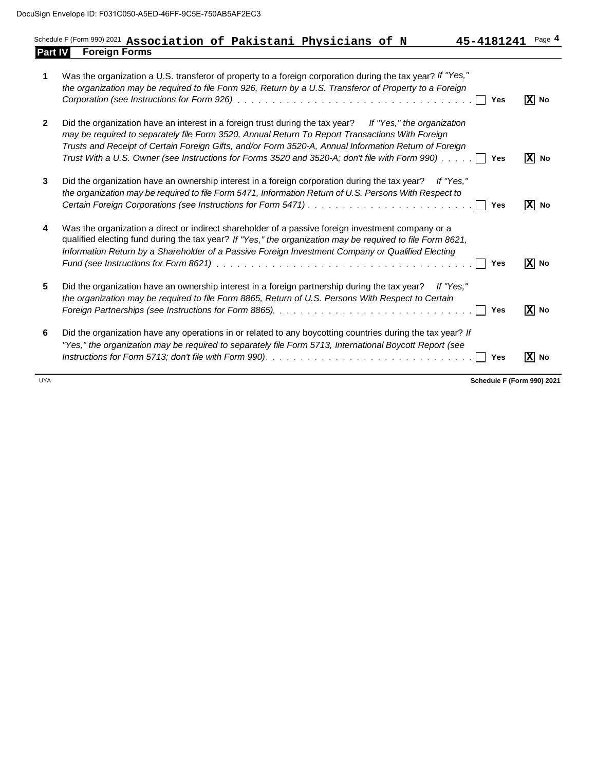|                | Sign Envelope ID: F031C050-A5ED-46FF-9C5E-750AB5AF2EC3<br>Page 4<br>45-4181241<br>ΙXΙ<br>No<br>Yes<br>IXI<br>No<br>Yes                                                                                                                                                                                                                                                                                                 |     |                         |
|----------------|------------------------------------------------------------------------------------------------------------------------------------------------------------------------------------------------------------------------------------------------------------------------------------------------------------------------------------------------------------------------------------------------------------------------|-----|-------------------------|
| <b>Part IV</b> | Schedule F (Form 990) 2021 Association of Pakistani Physicians of N<br><b>Foreign Forms</b>                                                                                                                                                                                                                                                                                                                            |     |                         |
| 1              | Was the organization a U.S. transferor of property to a foreign corporation during the tax year? If "Yes,"<br>the organization may be required to file Form 926, Return by a U.S. Transferor of Property to a Foreign                                                                                                                                                                                                  |     |                         |
| $\mathbf{2}$   | Did the organization have an interest in a foreign trust during the tax year? If "Yes," the organization<br>may be required to separately file Form 3520, Annual Return To Report Transactions With Foreign<br>Trusts and Receipt of Certain Foreign Gifts, and/or Form 3520-A, Annual Information Return of Foreign<br>Trust With a U.S. Owner (see Instructions for Forms 3520 and 3520-A; don't file with Form 990) |     |                         |
| 3              | Did the organization have an ownership interest in a foreign corporation during the tax year?<br>If "Yes."<br>the organization may be required to file Form 5471, Information Return of U.S. Persons With Respect to                                                                                                                                                                                                   | Yes | $\boxed{\mathbf{X}}$ No |
| 4              | Was the organization a direct or indirect shareholder of a passive foreign investment company or a<br>qualified electing fund during the tax year? If "Yes," the organization may be required to file Form 8621,<br>Information Return by a Shareholder of a Passive Foreign Investment Company or Qualified Electing                                                                                                  | Yes | $\mathbf{x}$<br>No      |
| 5              | Did the organization have an ownership interest in a foreign partnership during the tax year?<br>If "Yes."<br>the organization may be required to file Form 8865, Return of U.S. Persons With Respect to Certain                                                                                                                                                                                                       | Yes | $ \overline{X} $ No     |
| 6              | Did the organization have any operations in or related to any boycotting countries during the tax year? If<br>"Yes," the organization may be required to separately file Form 5713, International Boycott Report (see                                                                                                                                                                                                  | Yes | $ \mathbf{X} $ No       |

UYA **Schedule F (Form 990) 2021**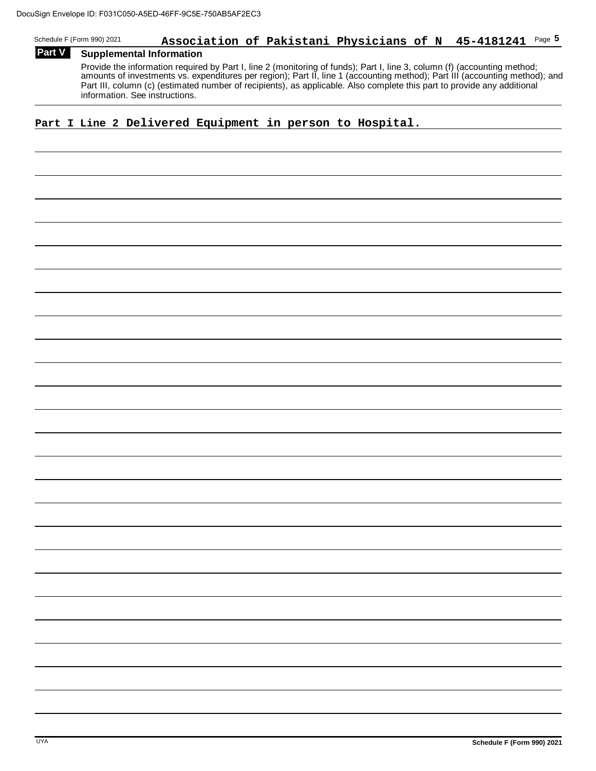## Schedule F (Form 990) 2021 **Association of Pakistani Physicians of N** 45-4181241 Page  $5$ 46FF-9C5E-750AB5AF2EC3<br>**Association of Pakistani Physicians of N 45-4181241** Page<br>ormation

#### **Part V** Supplemental Information

Provide the information required by Part I, line 2 (monitoring of funds); Part I, line 3, column (f) (accounting method; amounts of investments vs. expenditures per region); Part II, line 1 (accounting method); Part III (accounting method); and Part III, column (c) (estimated number of recipients), as applicable. Also complete this part to provide any additional information. See instructions.

#### **Part I Line 2 Delivered Equipment in person to Hospital.**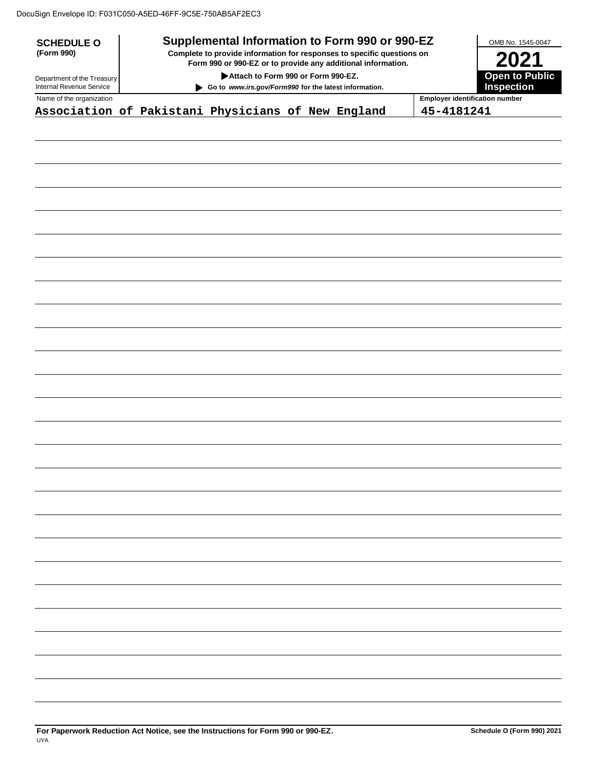| <b>SCHEDULE O</b>                                      |                                                                                                                                                                                                                                       | Supplemental Information to Form 990 or 990-EZ |  |  |            | OMB No. 1545-0047                           |  |
|--------------------------------------------------------|---------------------------------------------------------------------------------------------------------------------------------------------------------------------------------------------------------------------------------------|------------------------------------------------|--|--|------------|---------------------------------------------|--|
| (Form 990)                                             | Complete to provide information for responses to specific questions on<br>Form 990 or 990-EZ or to provide any additional information.<br>Attach to Form 990 or Form 990-EZ.<br>Go to www.irs.gov/Form990 for the latest information. |                                                |  |  |            | 2021<br><b>Open to Public</b><br>Inspection |  |
| Department of the Treasury<br>Internal Revenue Service |                                                                                                                                                                                                                                       |                                                |  |  |            |                                             |  |
| Name of the organization                               |                                                                                                                                                                                                                                       |                                                |  |  |            | <b>Employer identification number</b>       |  |
| Association of Pakistani Physicians of New England     |                                                                                                                                                                                                                                       |                                                |  |  | 45-4181241 |                                             |  |
|                                                        |                                                                                                                                                                                                                                       |                                                |  |  |            |                                             |  |
|                                                        |                                                                                                                                                                                                                                       |                                                |  |  |            |                                             |  |
|                                                        |                                                                                                                                                                                                                                       |                                                |  |  |            |                                             |  |
|                                                        |                                                                                                                                                                                                                                       |                                                |  |  |            |                                             |  |
|                                                        |                                                                                                                                                                                                                                       |                                                |  |  |            |                                             |  |
|                                                        |                                                                                                                                                                                                                                       |                                                |  |  |            |                                             |  |
|                                                        |                                                                                                                                                                                                                                       |                                                |  |  |            |                                             |  |
|                                                        |                                                                                                                                                                                                                                       |                                                |  |  |            |                                             |  |
|                                                        |                                                                                                                                                                                                                                       |                                                |  |  |            |                                             |  |
|                                                        |                                                                                                                                                                                                                                       |                                                |  |  |            |                                             |  |
|                                                        |                                                                                                                                                                                                                                       |                                                |  |  |            |                                             |  |
|                                                        |                                                                                                                                                                                                                                       |                                                |  |  |            |                                             |  |
|                                                        |                                                                                                                                                                                                                                       |                                                |  |  |            |                                             |  |
|                                                        |                                                                                                                                                                                                                                       |                                                |  |  |            |                                             |  |
|                                                        |                                                                                                                                                                                                                                       |                                                |  |  |            |                                             |  |
|                                                        |                                                                                                                                                                                                                                       |                                                |  |  |            |                                             |  |
|                                                        |                                                                                                                                                                                                                                       |                                                |  |  |            |                                             |  |
|                                                        |                                                                                                                                                                                                                                       |                                                |  |  |            |                                             |  |
|                                                        |                                                                                                                                                                                                                                       |                                                |  |  |            |                                             |  |
|                                                        |                                                                                                                                                                                                                                       |                                                |  |  |            |                                             |  |
|                                                        |                                                                                                                                                                                                                                       |                                                |  |  |            |                                             |  |
|                                                        |                                                                                                                                                                                                                                       |                                                |  |  |            |                                             |  |
|                                                        |                                                                                                                                                                                                                                       |                                                |  |  |            |                                             |  |
|                                                        |                                                                                                                                                                                                                                       |                                                |  |  |            |                                             |  |
|                                                        |                                                                                                                                                                                                                                       |                                                |  |  |            |                                             |  |
|                                                        |                                                                                                                                                                                                                                       |                                                |  |  |            |                                             |  |
|                                                        |                                                                                                                                                                                                                                       |                                                |  |  |            |                                             |  |
|                                                        |                                                                                                                                                                                                                                       |                                                |  |  |            |                                             |  |
|                                                        |                                                                                                                                                                                                                                       |                                                |  |  |            |                                             |  |
|                                                        |                                                                                                                                                                                                                                       |                                                |  |  |            |                                             |  |
|                                                        |                                                                                                                                                                                                                                       |                                                |  |  |            |                                             |  |
|                                                        |                                                                                                                                                                                                                                       |                                                |  |  |            |                                             |  |
|                                                        |                                                                                                                                                                                                                                       |                                                |  |  |            |                                             |  |
|                                                        |                                                                                                                                                                                                                                       |                                                |  |  |            |                                             |  |
|                                                        |                                                                                                                                                                                                                                       |                                                |  |  |            |                                             |  |
|                                                        |                                                                                                                                                                                                                                       |                                                |  |  |            |                                             |  |
|                                                        |                                                                                                                                                                                                                                       |                                                |  |  |            |                                             |  |
|                                                        |                                                                                                                                                                                                                                       |                                                |  |  |            |                                             |  |
|                                                        |                                                                                                                                                                                                                                       |                                                |  |  |            |                                             |  |
|                                                        |                                                                                                                                                                                                                                       |                                                |  |  |            |                                             |  |
|                                                        |                                                                                                                                                                                                                                       |                                                |  |  |            |                                             |  |
|                                                        |                                                                                                                                                                                                                                       |                                                |  |  |            |                                             |  |
|                                                        |                                                                                                                                                                                                                                       |                                                |  |  |            |                                             |  |
|                                                        |                                                                                                                                                                                                                                       |                                                |  |  |            |                                             |  |
|                                                        |                                                                                                                                                                                                                                       |                                                |  |  |            |                                             |  |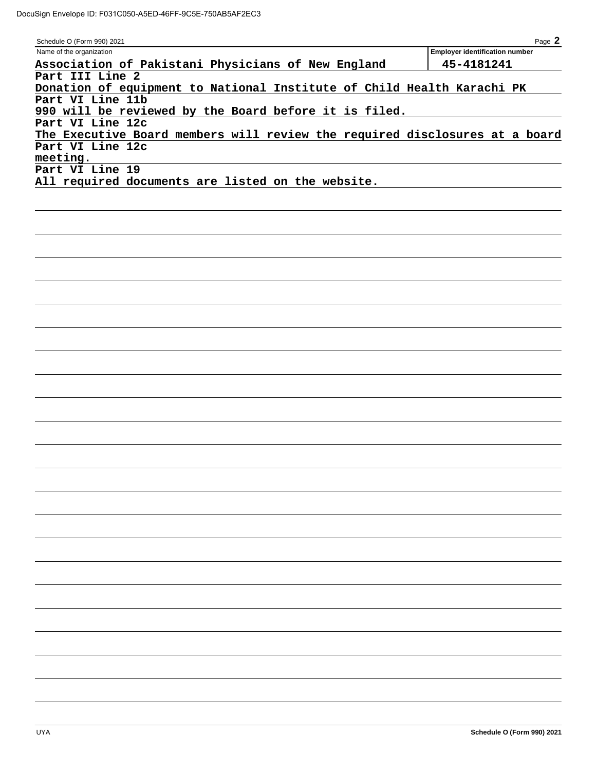| Schedule O (Form 990) 2021                                                  | Page 2                                |
|-----------------------------------------------------------------------------|---------------------------------------|
| Name of the organization                                                    | <b>Employer identification number</b> |
| Association of Pakistani Physicians of New England                          | 45-4181241                            |
| Part III Line 2                                                             |                                       |
| Donation of equipment to National Institute of Child Health Karachi PK      |                                       |
| Part VI Line 11b                                                            |                                       |
| 990 will be reviewed by the Board before it is filed.                       |                                       |
| Part VI Line 12c                                                            |                                       |
| The Executive Board members will review the required disclosures at a board |                                       |
| Part VI Line 12c                                                            |                                       |
| meeting.                                                                    |                                       |
| Part VI Line 19                                                             |                                       |
| All required documents are listed on the website.                           |                                       |
|                                                                             |                                       |
|                                                                             |                                       |
|                                                                             |                                       |
|                                                                             |                                       |
|                                                                             |                                       |
|                                                                             |                                       |
|                                                                             |                                       |
|                                                                             |                                       |
|                                                                             |                                       |
|                                                                             |                                       |
|                                                                             |                                       |
|                                                                             |                                       |
|                                                                             |                                       |
|                                                                             |                                       |
|                                                                             |                                       |
|                                                                             |                                       |
|                                                                             |                                       |
|                                                                             |                                       |
|                                                                             |                                       |
|                                                                             |                                       |
|                                                                             |                                       |
|                                                                             |                                       |
|                                                                             |                                       |
|                                                                             |                                       |
|                                                                             |                                       |
|                                                                             |                                       |
|                                                                             |                                       |
|                                                                             |                                       |
|                                                                             |                                       |
|                                                                             |                                       |
|                                                                             |                                       |
|                                                                             |                                       |
|                                                                             |                                       |
|                                                                             |                                       |
|                                                                             |                                       |
|                                                                             |                                       |
|                                                                             |                                       |
|                                                                             |                                       |
|                                                                             |                                       |
|                                                                             |                                       |
|                                                                             |                                       |
|                                                                             |                                       |
|                                                                             |                                       |
|                                                                             |                                       |
|                                                                             |                                       |
|                                                                             |                                       |
|                                                                             |                                       |
| <b>UYA</b>                                                                  | Schedule O (Form 990) 2021            |